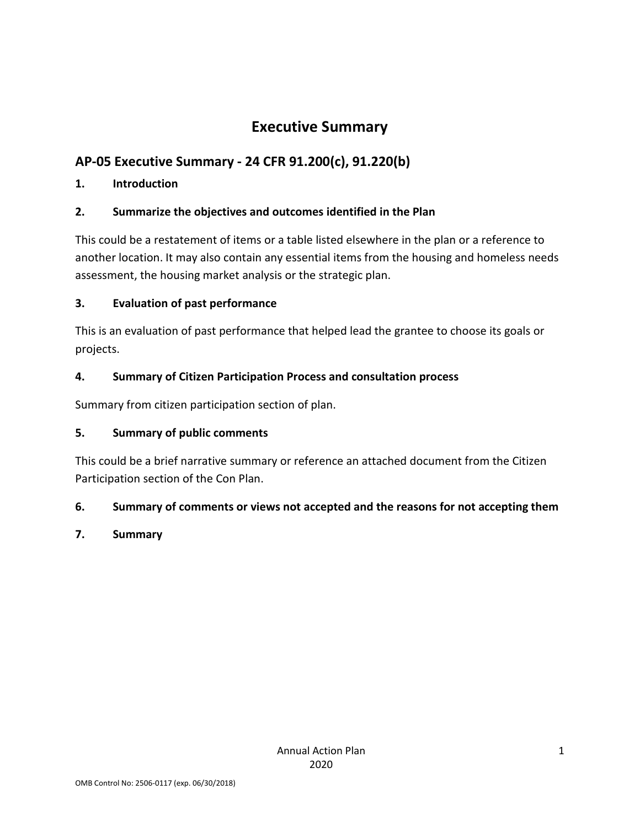# **Executive Summary**

# **AP-05 Executive Summary - 24 CFR 91.200(c), 91.220(b)**

# **1. Introduction**

# **2. Summarize the objectives and outcomes identified in the Plan**

This could be a restatement of items or a table listed elsewhere in the plan or a reference to another location. It may also contain any essential items from the housing and homeless needs assessment, the housing market analysis or the strategic plan.

# **3. Evaluation of past performance**

This is an evaluation of past performance that helped lead the grantee to choose its goals or projects.

# **4. Summary of Citizen Participation Process and consultation process**

Summary from citizen participation section of plan.

# **5. Summary of public comments**

This could be a brief narrative summary or reference an attached document from the Citizen Participation section of the Con Plan.

## **6. Summary of comments or views not accepted and the reasons for not accepting them**

**7. Summary**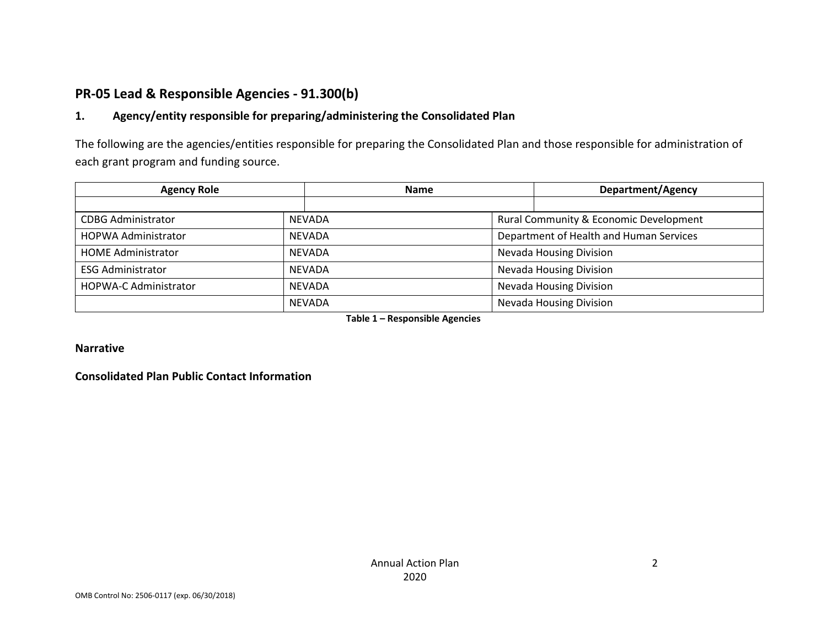# **PR-05 Lead & Responsible Agencies - 91.300(b)**

### **1. Agency/entity responsible for preparing/administering the Consolidated Plan**

The following are the agencies/entities responsible for preparing the Consolidated Plan and those responsible for administration of each grant program and funding source.

| <b>Agency Role</b>           | <b>Name</b>   |                                         | <b>Department/Agency</b>                          |  |  |
|------------------------------|---------------|-----------------------------------------|---------------------------------------------------|--|--|
|                              |               |                                         |                                                   |  |  |
| <b>CDBG Administrator</b>    | NEVADA        |                                         | <b>Rural Community &amp; Economic Development</b> |  |  |
| <b>HOPWA Administrator</b>   | <b>NEVADA</b> | Department of Health and Human Services |                                                   |  |  |
| <b>HOME Administrator</b>    | <b>NEVADA</b> | <b>Nevada Housing Division</b>          |                                                   |  |  |
| <b>ESG Administrator</b>     | <b>NEVADA</b> |                                         | <b>Nevada Housing Division</b>                    |  |  |
| <b>HOPWA-C Administrator</b> | <b>NEVADA</b> |                                         | <b>Nevada Housing Division</b>                    |  |  |
|                              | <b>NEVADA</b> |                                         | <b>Nevada Housing Division</b>                    |  |  |

**Table 1 – Responsible Agencies**

**Narrative**

**Consolidated Plan Public Contact Information**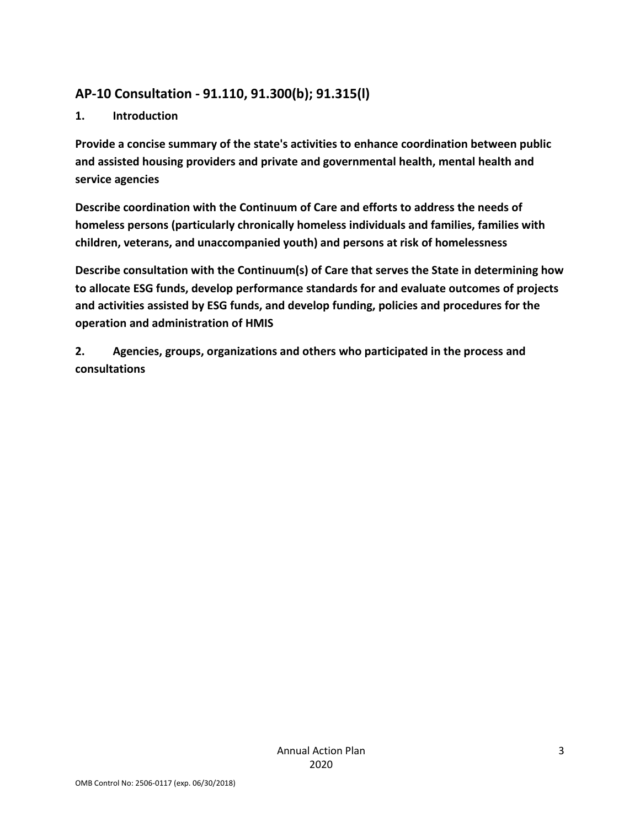# **AP-10 Consultation - 91.110, 91.300(b); 91.315(l)**

### **1. Introduction**

**Provide a concise summary of the state's activities to enhance coordination between public and assisted housing providers and private and governmental health, mental health and service agencies**

**Describe coordination with the Continuum of Care and efforts to address the needs of homeless persons (particularly chronically homeless individuals and families, families with children, veterans, and unaccompanied youth) and persons at risk of homelessness**

**Describe consultation with the Continuum(s) of Care that serves the State in determining how to allocate ESG funds, develop performance standards for and evaluate outcomes of projects and activities assisted by ESG funds, and develop funding, policies and procedures for the operation and administration of HMIS**

**2. Agencies, groups, organizations and others who participated in the process and consultations**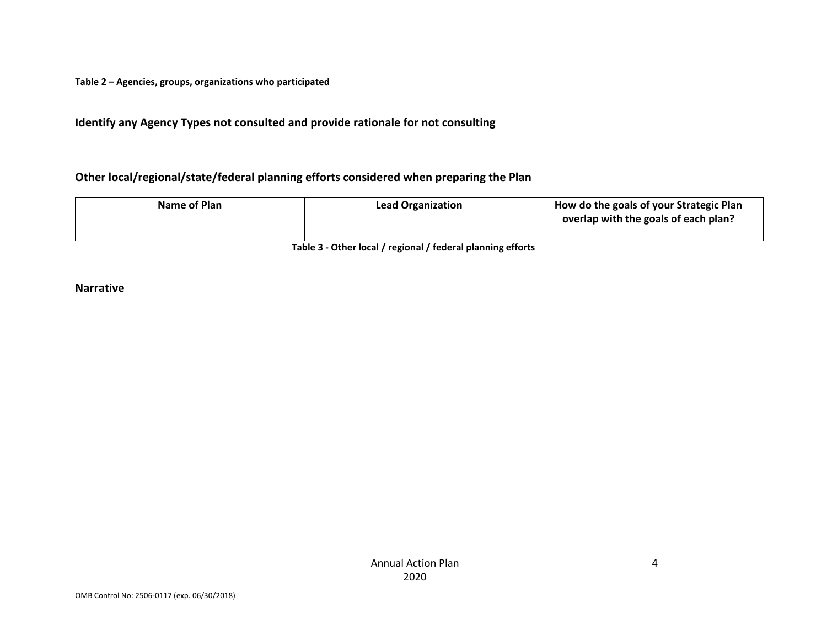**Table 2 – Agencies, groups, organizations who participated**

**Identify any Agency Types not consulted and provide rationale for not consulting**

### **Other local/regional/state/federal planning efforts considered when preparing the Plan**

| Name of Plan | <b>Lead Organization</b> | How do the goals of your Strategic Plan<br>overlap with the goals of each plan? |
|--------------|--------------------------|---------------------------------------------------------------------------------|
|              |                          |                                                                                 |

**Table 3 - Other local / regional / federal planning efforts**

**Narrative**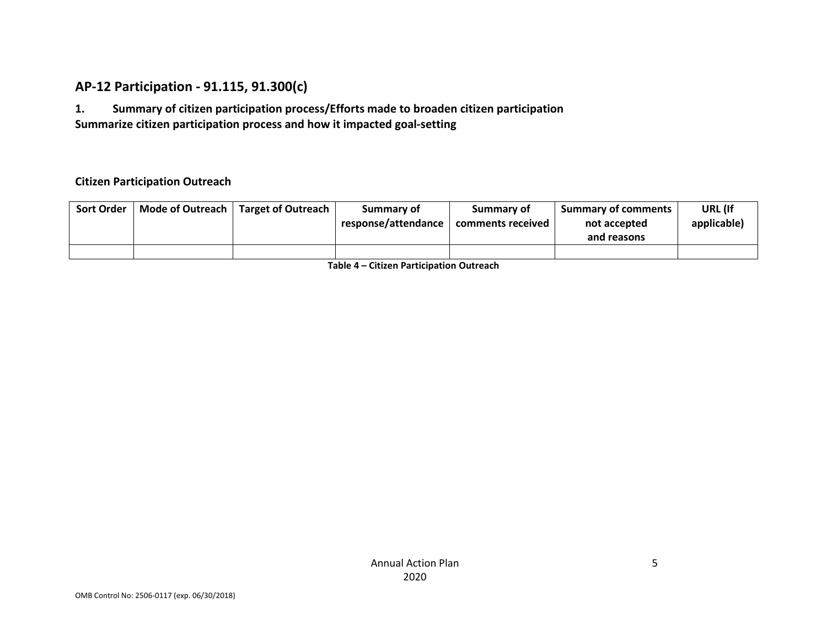# **AP-12 Participation - 91.115, 91.300(c)**

**1. Summary of citizen participation process/Efforts made to broaden citizen participation Summarize citizen participation process and how it impacted goal-setting**

### **Citizen Participation Outreach**

| <b>Sort Order</b> | <b>Mode of Outreach</b> | Target of Outreach | Summary of          | Summary of        | <b>Summary of comments</b> | URL (If     |
|-------------------|-------------------------|--------------------|---------------------|-------------------|----------------------------|-------------|
|                   |                         |                    | response/attendance | comments received | not accepted               | applicable) |
|                   |                         |                    |                     |                   | and reasons                |             |
|                   |                         |                    |                     |                   |                            |             |

**Table 4 – Citizen Participation Outreach**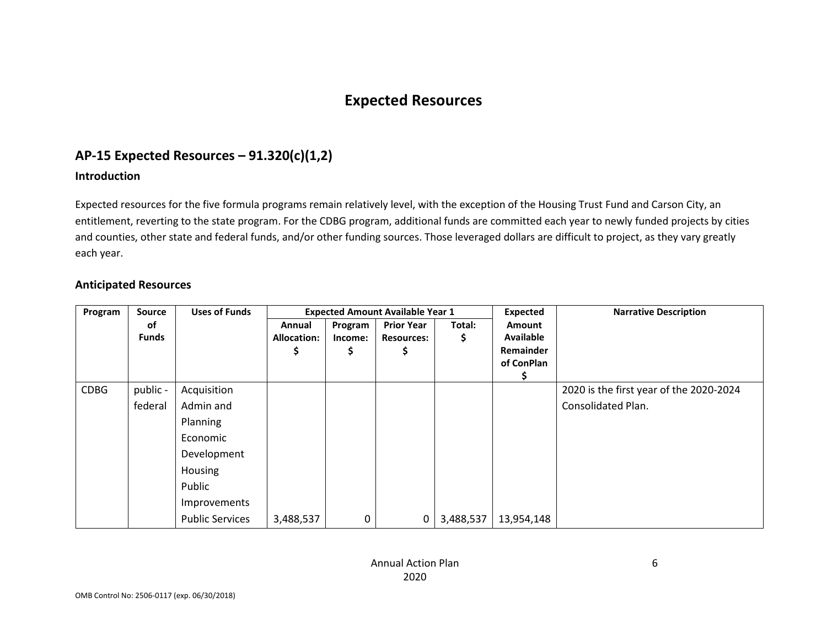# **Expected Resources**

# **AP-15 Expected Resources – 91.320(c)(1,2)**

### **Introduction**

Expected resources for the five formula programs remain relatively level, with the exception of the Housing Trust Fund and Carson City, an entitlement, reverting to the state program. For the CDBG program, additional funds are committed each year to newly funded projects by cities and counties, other state and federal funds, and/or other funding sources. Those leveraged dollars are difficult to project, as they vary greatly each year.

### **Anticipated Resources**

| Program     | <b>Source</b> | <b>Uses of Funds</b>   |                    |         | <b>Expected Amount Available Year 1</b> |           | <b>Expected</b>                | <b>Narrative Description</b>            |
|-------------|---------------|------------------------|--------------------|---------|-----------------------------------------|-----------|--------------------------------|-----------------------------------------|
|             | оf            |                        | Annual             | Program | <b>Prior Year</b>                       | Total:    | <b>Amount</b>                  |                                         |
|             | <b>Funds</b>  |                        | <b>Allocation:</b> | Income: | <b>Resources:</b>                       | Ş         | Available                      |                                         |
|             |               |                        |                    | Ş       |                                         |           | <b>Remainder</b><br>of ConPlan |                                         |
|             |               |                        |                    |         |                                         |           |                                |                                         |
| <b>CDBG</b> | public -      | Acquisition            |                    |         |                                         |           |                                | 2020 is the first year of the 2020-2024 |
|             | federal       | Admin and              |                    |         |                                         |           |                                | <b>Consolidated Plan.</b>               |
|             |               | Planning               |                    |         |                                         |           |                                |                                         |
|             |               | Economic               |                    |         |                                         |           |                                |                                         |
|             |               | Development            |                    |         |                                         |           |                                |                                         |
|             |               | Housing                |                    |         |                                         |           |                                |                                         |
|             |               | Public                 |                    |         |                                         |           |                                |                                         |
|             |               | Improvements           |                    |         |                                         |           |                                |                                         |
|             |               | <b>Public Services</b> | 3,488,537          | 0       | 0                                       | 3,488,537 | 13,954,148                     |                                         |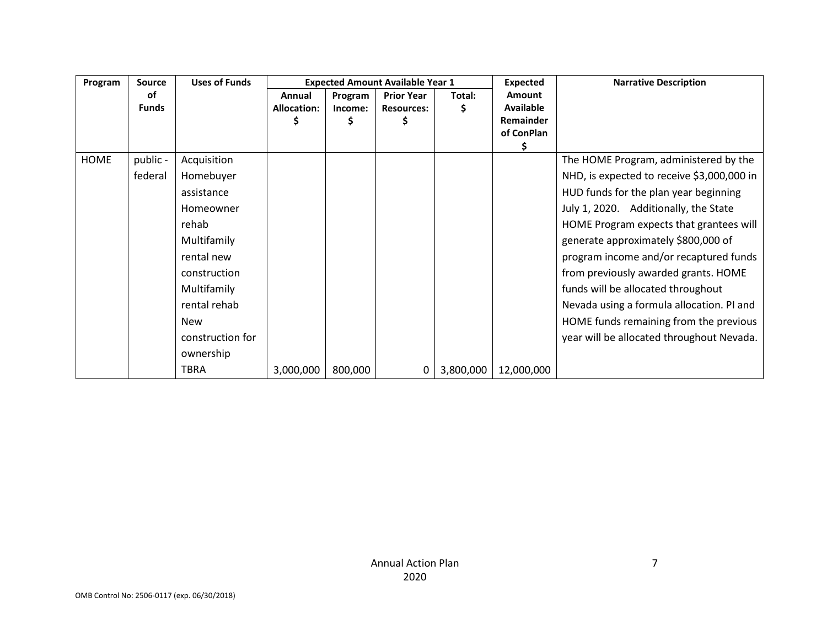| Program | <b>Source</b> | <b>Uses of Funds</b> | <b>Expected Amount Available Year 1</b> |         |                   |           | <b>Expected</b> | <b>Narrative Description</b>               |
|---------|---------------|----------------------|-----------------------------------------|---------|-------------------|-----------|-----------------|--------------------------------------------|
|         | οf            |                      | Annual                                  | Program | <b>Prior Year</b> | Total:    | Amount          |                                            |
|         | <b>Funds</b>  |                      | <b>Allocation:</b>                      | Income: | <b>Resources:</b> | S         | Available       |                                            |
|         |               |                      |                                         |         |                   |           | Remainder       |                                            |
|         |               |                      |                                         |         |                   |           | of ConPlan      |                                            |
| HOME    | public -      | Acquisition          |                                         |         |                   |           |                 | The HOME Program, administered by the      |
|         | federal       | Homebuyer            |                                         |         |                   |           |                 | NHD, is expected to receive \$3,000,000 in |
|         |               | assistance           |                                         |         |                   |           |                 | HUD funds for the plan year beginning      |
|         |               | Homeowner            |                                         |         |                   |           |                 | July 1, 2020. Additionally, the State      |
|         |               | rehab                |                                         |         |                   |           |                 | HOME Program expects that grantees will    |
|         |               | Multifamily          |                                         |         |                   |           |                 | generate approximately \$800,000 of        |
|         |               | rental new           |                                         |         |                   |           |                 | program income and/or recaptured funds     |
|         |               | construction         |                                         |         |                   |           |                 | from previously awarded grants. HOME       |
|         |               | Multifamily          |                                         |         |                   |           |                 | funds will be allocated throughout         |
|         |               | rental rehab         |                                         |         |                   |           |                 | Nevada using a formula allocation. PI and  |
|         |               | <b>New</b>           |                                         |         |                   |           |                 | HOME funds remaining from the previous     |
|         |               | construction for     |                                         |         |                   |           |                 | year will be allocated throughout Nevada.  |
|         |               | ownership            |                                         |         |                   |           |                 |                                            |
|         |               | <b>TBRA</b>          | 3,000,000                               | 800,000 | 0                 | 3,800,000 | 12,000,000      |                                            |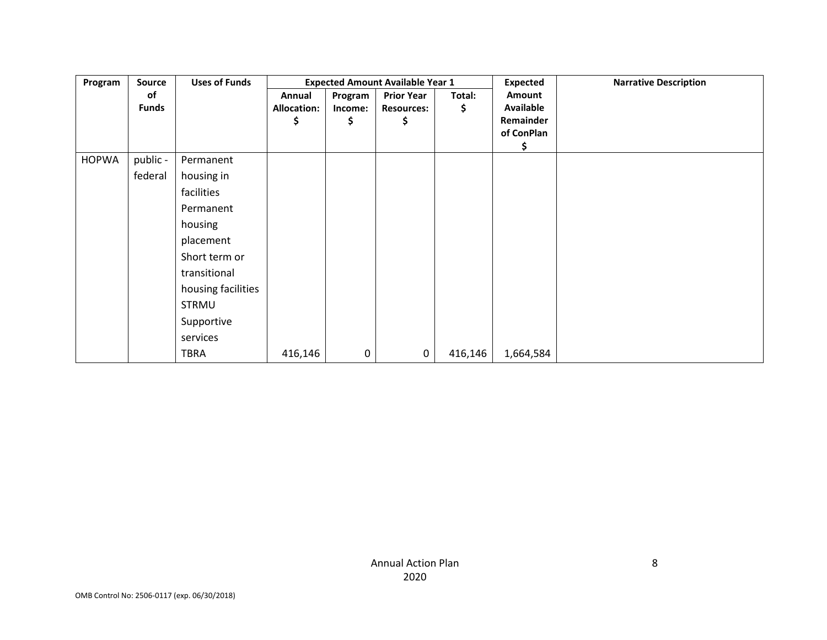| Program      | Source             | <b>Uses of Funds</b> |                                   | <b>Expected Amount Available Year 1</b> |                                              |              |                                  | <b>Narrative Description</b> |
|--------------|--------------------|----------------------|-----------------------------------|-----------------------------------------|----------------------------------------------|--------------|----------------------------------|------------------------------|
|              | of<br><b>Funds</b> |                      | Annual<br><b>Allocation:</b><br>Ş | Program<br>Income:<br>\$                | <b>Prior Year</b><br><b>Resources:</b><br>\$ | Total:<br>\$ | Amount<br>Available<br>Remainder |                              |
|              |                    |                      |                                   |                                         |                                              |              | of ConPlan<br>S                  |                              |
| <b>HOPWA</b> | public -           | Permanent            |                                   |                                         |                                              |              |                                  |                              |
|              | federal            | housing in           |                                   |                                         |                                              |              |                                  |                              |
|              |                    | facilities           |                                   |                                         |                                              |              |                                  |                              |
|              |                    | Permanent            |                                   |                                         |                                              |              |                                  |                              |
|              |                    | housing              |                                   |                                         |                                              |              |                                  |                              |
|              |                    | placement            |                                   |                                         |                                              |              |                                  |                              |
|              |                    | Short term or        |                                   |                                         |                                              |              |                                  |                              |
|              |                    | transitional         |                                   |                                         |                                              |              |                                  |                              |
|              |                    | housing facilities   |                                   |                                         |                                              |              |                                  |                              |
|              |                    | STRMU                |                                   |                                         |                                              |              |                                  |                              |
|              |                    | Supportive           |                                   |                                         |                                              |              |                                  |                              |
|              |                    | services             |                                   |                                         |                                              |              |                                  |                              |
|              |                    | TBRA                 | 416,146                           | 0                                       | $\mathbf 0$                                  | 416,146      | 1,664,584                        |                              |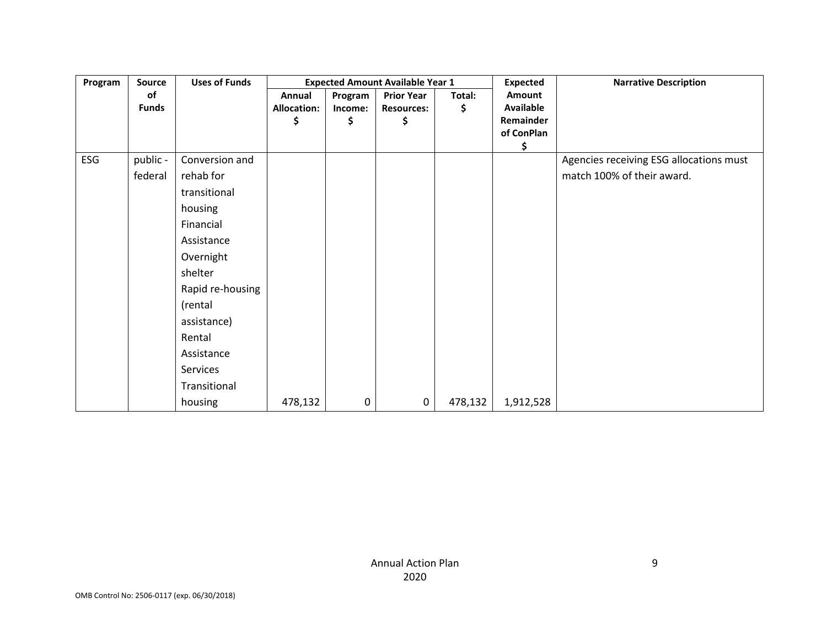| Program | <b>Source</b>      | <b>Uses of Funds</b> |                                    |                          | <b>Expected Amount Available Year 1</b>      |              | <b>Expected</b>                                       | <b>Narrative Description</b>            |
|---------|--------------------|----------------------|------------------------------------|--------------------------|----------------------------------------------|--------------|-------------------------------------------------------|-----------------------------------------|
|         | of<br><b>Funds</b> |                      | Annual<br><b>Allocation:</b><br>\$ | Program<br>Income:<br>\$ | <b>Prior Year</b><br><b>Resources:</b><br>\$ | Total:<br>\$ | Amount<br><b>Available</b><br>Remainder<br>of ConPlan |                                         |
|         |                    |                      |                                    |                          |                                              |              | \$                                                    |                                         |
| ESG     | public -           | Conversion and       |                                    |                          |                                              |              |                                                       | Agencies receiving ESG allocations must |
|         | federal            | rehab for            |                                    |                          |                                              |              |                                                       | match 100% of their award.              |
|         |                    | transitional         |                                    |                          |                                              |              |                                                       |                                         |
|         |                    | housing              |                                    |                          |                                              |              |                                                       |                                         |
|         |                    | Financial            |                                    |                          |                                              |              |                                                       |                                         |
|         |                    | Assistance           |                                    |                          |                                              |              |                                                       |                                         |
|         |                    | Overnight            |                                    |                          |                                              |              |                                                       |                                         |
|         |                    | shelter              |                                    |                          |                                              |              |                                                       |                                         |
|         |                    | Rapid re-housing     |                                    |                          |                                              |              |                                                       |                                         |
|         |                    | (rental              |                                    |                          |                                              |              |                                                       |                                         |
|         |                    | assistance)          |                                    |                          |                                              |              |                                                       |                                         |
|         |                    | Rental               |                                    |                          |                                              |              |                                                       |                                         |
|         |                    | Assistance           |                                    |                          |                                              |              |                                                       |                                         |
|         |                    | Services             |                                    |                          |                                              |              |                                                       |                                         |
|         |                    | Transitional         |                                    |                          |                                              |              |                                                       |                                         |
|         |                    | housing              | 478,132                            | $\mathbf 0$              | $\mathbf 0$                                  | 478,132      | 1,912,528                                             |                                         |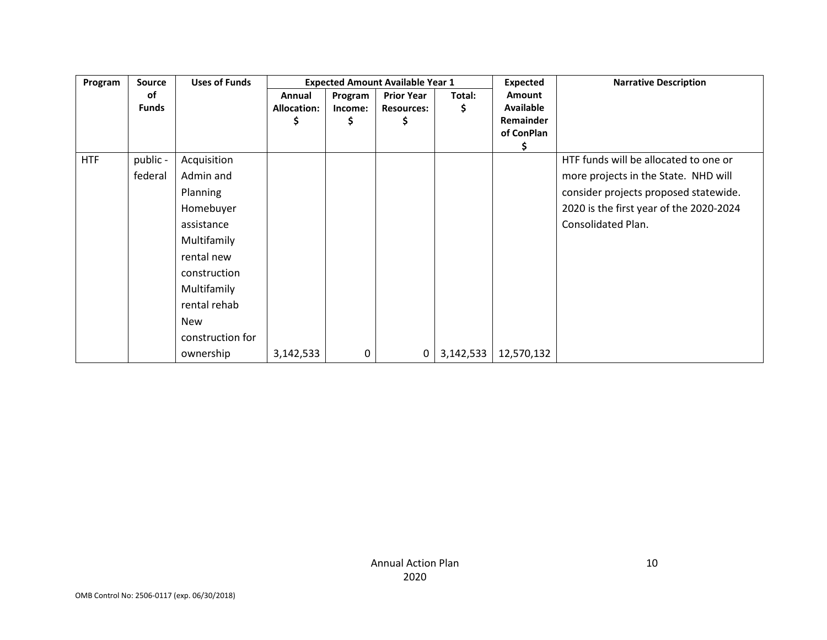| Program    | <b>Source</b>      | <b>Uses of Funds</b> |                                    |                          | <b>Expected Amount Available Year 1</b>      |              | <b>Expected</b>                                       | <b>Narrative Description</b>            |
|------------|--------------------|----------------------|------------------------------------|--------------------------|----------------------------------------------|--------------|-------------------------------------------------------|-----------------------------------------|
|            | оf<br><b>Funds</b> |                      | Annual<br><b>Allocation:</b><br>\$ | Program<br>Income:<br>\$ | <b>Prior Year</b><br><b>Resources:</b><br>\$ | Total:<br>Ş. | Amount<br><b>Available</b><br>Remainder<br>of ConPlan |                                         |
| <b>HTF</b> | public -           | Acquisition          |                                    |                          |                                              |              |                                                       | HTF funds will be allocated to one or   |
|            | federal            | Admin and            |                                    |                          |                                              |              |                                                       | more projects in the State. NHD will    |
|            |                    | Planning             |                                    |                          |                                              |              |                                                       | consider projects proposed statewide.   |
|            |                    | Homebuyer            |                                    |                          |                                              |              |                                                       | 2020 is the first year of the 2020-2024 |
|            |                    | assistance           |                                    |                          |                                              |              |                                                       | Consolidated Plan.                      |
|            |                    | Multifamily          |                                    |                          |                                              |              |                                                       |                                         |
|            |                    | rental new           |                                    |                          |                                              |              |                                                       |                                         |
|            |                    | construction         |                                    |                          |                                              |              |                                                       |                                         |
|            |                    | Multifamily          |                                    |                          |                                              |              |                                                       |                                         |
|            |                    | rental rehab         |                                    |                          |                                              |              |                                                       |                                         |
|            |                    | New                  |                                    |                          |                                              |              |                                                       |                                         |
|            |                    | construction for     |                                    |                          |                                              |              |                                                       |                                         |
|            |                    | ownership            | 3,142,533                          | 0                        | 0                                            | 3,142,533    | 12,570,132                                            |                                         |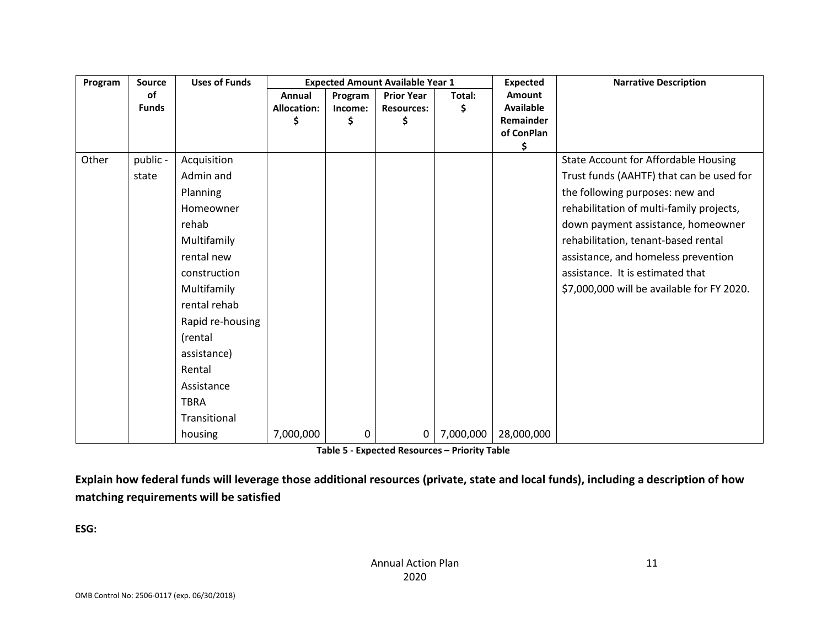| Program | <b>Source</b>      | <b>Uses of Funds</b> |                                    |                          | <b>Expected Amount Available Year 1</b>      |              | <b>Expected</b>                                                           | <b>Narrative Description</b>               |  |
|---------|--------------------|----------------------|------------------------------------|--------------------------|----------------------------------------------|--------------|---------------------------------------------------------------------------|--------------------------------------------|--|
|         | 0f<br><b>Funds</b> |                      | Annual<br><b>Allocation:</b><br>\$ | Program<br>Income:<br>\$ | <b>Prior Year</b><br><b>Resources:</b><br>\$ | Total:<br>\$ | <b>Amount</b><br><b>Available</b><br><b>Remainder</b><br>of ConPlan<br>\$ |                                            |  |
| Other   | public -           | Acquisition          |                                    |                          |                                              |              |                                                                           | State Account for Affordable Housing       |  |
|         | state              | Admin and            |                                    |                          |                                              |              |                                                                           | Trust funds (AAHTF) that can be used for   |  |
|         |                    | Planning             |                                    |                          |                                              |              |                                                                           | the following purposes: new and            |  |
|         |                    | Homeowner            |                                    |                          |                                              |              |                                                                           | rehabilitation of multi-family projects,   |  |
|         |                    | rehab                |                                    |                          |                                              |              |                                                                           | down payment assistance, homeowner         |  |
|         |                    | Multifamily          |                                    |                          |                                              |              |                                                                           | rehabilitation, tenant-based rental        |  |
|         |                    | rental new           |                                    |                          |                                              |              |                                                                           | assistance, and homeless prevention        |  |
|         |                    | construction         |                                    |                          |                                              |              |                                                                           | assistance. It is estimated that           |  |
|         |                    | Multifamily          |                                    |                          |                                              |              |                                                                           | \$7,000,000 will be available for FY 2020. |  |
|         |                    | rental rehab         |                                    |                          |                                              |              |                                                                           |                                            |  |
|         |                    | Rapid re-housing     |                                    |                          |                                              |              |                                                                           |                                            |  |
|         |                    | (rental              |                                    |                          |                                              |              |                                                                           |                                            |  |
|         |                    | assistance)          |                                    |                          |                                              |              |                                                                           |                                            |  |
|         |                    | Rental               |                                    |                          |                                              |              |                                                                           |                                            |  |
|         |                    | Assistance           |                                    |                          |                                              |              |                                                                           |                                            |  |
|         |                    | <b>TBRA</b>          |                                    |                          |                                              |              |                                                                           |                                            |  |
|         |                    | Transitional         |                                    |                          |                                              |              |                                                                           |                                            |  |
|         |                    | housing              | 7,000,000                          | 0                        | 0                                            | 7,000,000    | 28,000,000                                                                |                                            |  |

**Table 5 - Expected Resources – Priority Table**

**Explain how federal funds will leverage those additional resources (private, state and local funds), including a description of how matching requirements will be satisfied**

**ESG:**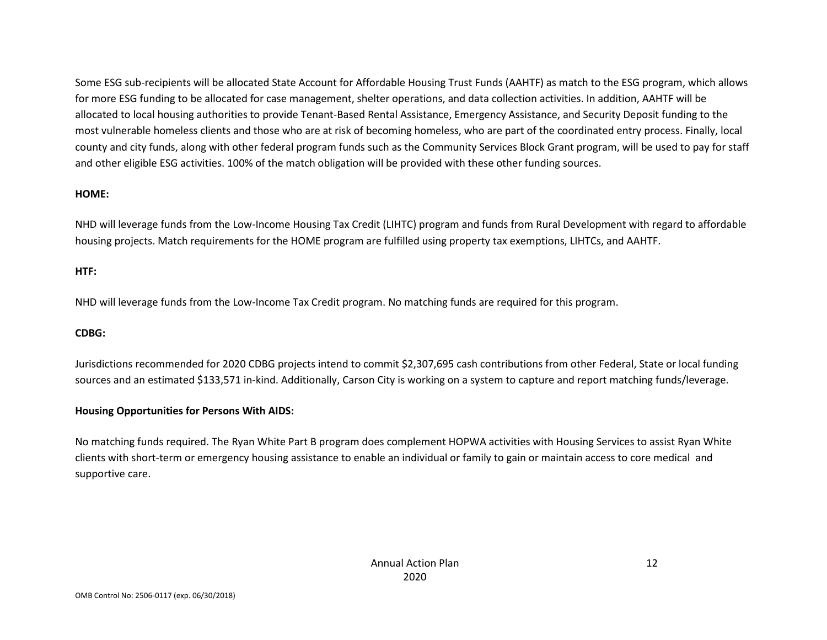Some ESG sub-recipients will be allocated State Account for Affordable Housing Trust Funds (AAHTF) as match to the ESG program, which allows for more ESG funding to be allocated for case management, shelter operations, and data collection activities. In addition, AAHTF will be allocated to local housing authorities to provide Tenant-Based Rental Assistance, Emergency Assistance, and Security Deposit funding to the most vulnerable homeless clients and those who are at risk of becoming homeless, who are part of the coordinated entry process. Finally, local county and city funds, along with other federal program funds such as the Community Services Block Grant program, will be used to pay for staff and other eligible ESG activities. 100% of the match obligation will be provided with these other funding sources.

#### **HOME:**

NHD will leverage funds from the Low-Income Housing Tax Credit (LIHTC) program and funds from Rural Development with regard to affordable housing projects. Match requirements for the HOME program are fulfilled using property tax exemptions, LIHTCs, and AAHTF.

#### **HTF:**

NHD will leverage funds from the Low-Income Tax Credit program. No matching funds are required for this program.

#### **CDBG:**

Jurisdictions recommended for 2020 CDBG projects intend to commit \$2,307,695 cash contributions from other Federal, State or local funding sources and an estimated \$133,571 in-kind. Additionally, Carson City is working on a system to capture and report matching funds/leverage.

#### **Housing Opportunities for Persons With AIDS:**

No matching funds required. The Ryan White Part B program does complement HOPWA activities with Housing Services to assist Ryan White clients with short-term or emergency housing assistance to enable an individual or family to gain or maintain access to core medical and supportive care.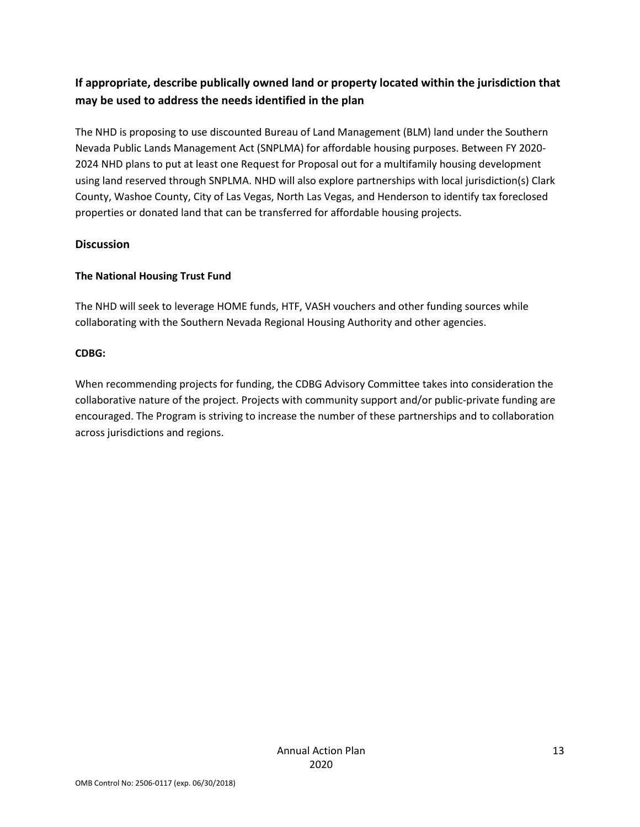# **If appropriate, describe publically owned land or property located within the jurisdiction that may be used to address the needs identified in the plan**

The NHD is proposing to use discounted Bureau of Land Management (BLM) land under the Southern Nevada Public Lands Management Act (SNPLMA) for affordable housing purposes. Between FY 2020- 2024 NHD plans to put at least one Request for Proposal out for a multifamily housing development using land reserved through SNPLMA. NHD will also explore partnerships with local jurisdiction(s) Clark County, Washoe County, City of Las Vegas, North Las Vegas, and Henderson to identify tax foreclosed properties or donated land that can be transferred for affordable housing projects.

### **Discussion**

### **The National Housing Trust Fund**

The NHD will seek to leverage HOME funds, HTF, VASH vouchers and other funding sources while collaborating with the Southern Nevada Regional Housing Authority and other agencies.

### **CDBG:**

When recommending projects for funding, the CDBG Advisory Committee takes into consideration the collaborative nature of the project. Projects with community support and/or public-private funding are encouraged. The Program is striving to increase the number of these partnerships and to collaboration across jurisdictions and regions.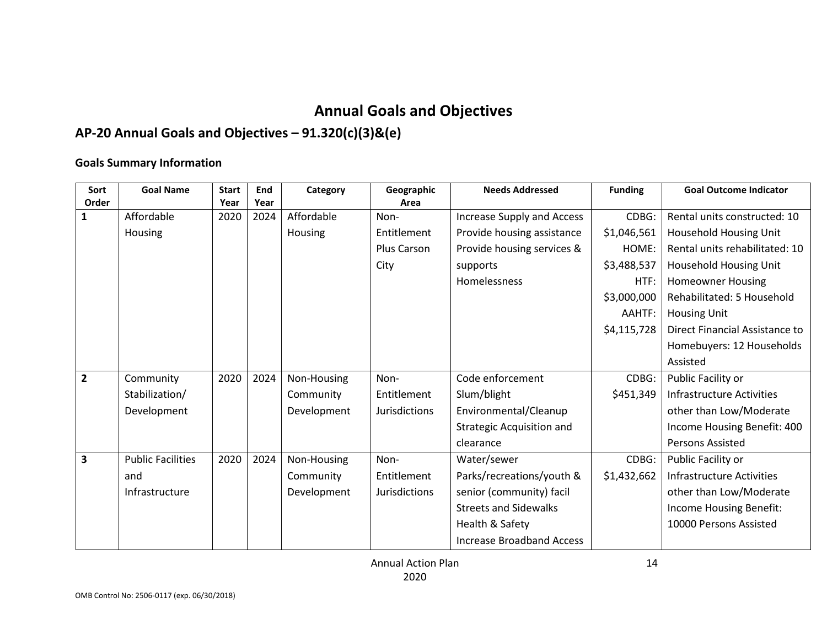# **Annual Goals and Objectives**

# **AP-20 Annual Goals and Objectives – 91.320(c)(3)&(e)**

### **Goals Summary Information**

| Sort           | <b>Goal Name</b>         | <b>Start</b> | <b>End</b> | Category    | Geographic    | <b>Needs Addressed</b>            | <b>Funding</b> | <b>Goal Outcome Indicator</b>    |
|----------------|--------------------------|--------------|------------|-------------|---------------|-----------------------------------|----------------|----------------------------------|
| Order          |                          | Year         | Year       |             | Area          |                                   |                |                                  |
| 1              | Affordable               | 2020         | 2024       | Affordable  | Non-          | <b>Increase Supply and Access</b> | CDBG:          | Rental units constructed: 10     |
|                | Housing                  |              |            | Housing     | Entitlement   | Provide housing assistance        | \$1,046,561    | Household Housing Unit           |
|                |                          |              |            |             | Plus Carson   | Provide housing services &        | HOME:          | Rental units rehabilitated: 10   |
|                |                          |              |            |             | City          | supports                          | \$3,488,537    | Household Housing Unit           |
|                |                          |              |            |             |               | Homelessness                      | HTF:           | <b>Homeowner Housing</b>         |
|                |                          |              |            |             |               |                                   | \$3,000,000    | Rehabilitated: 5 Household       |
|                |                          |              |            |             |               |                                   | AAHTF:         | Housing Unit                     |
|                |                          |              |            |             |               |                                   | \$4,115,728    | Direct Financial Assistance to   |
|                |                          |              |            |             |               |                                   |                | Homebuyers: 12 Households        |
|                |                          |              |            |             |               |                                   |                | Assisted                         |
| $\overline{2}$ | Community                | 2020         | 2024       | Non-Housing | Non-          | Code enforcement                  | CDBG:          | Public Facility or               |
|                | Stabilization/           |              |            | Community   | Entitlement   | Slum/blight                       | \$451,349      | <b>Infrastructure Activities</b> |
|                | Development              |              |            | Development | Jurisdictions | Environmental/Cleanup             |                | other than Low/Moderate          |
|                |                          |              |            |             |               | <b>Strategic Acquisition and</b>  |                | Income Housing Benefit: 400      |
|                |                          |              |            |             |               | clearance                         |                | <b>Persons Assisted</b>          |
| 3              | <b>Public Facilities</b> | 2020         | 2024       | Non-Housing | Non-          | Water/sewer                       | CDBG:          | Public Facility or               |
|                | and                      |              |            | Community   | Entitlement   | Parks/recreations/youth &         | \$1,432,662    | <b>Infrastructure Activities</b> |
|                | Infrastructure           |              |            | Development | Jurisdictions | senior (community) facil          |                | other than Low/Moderate          |
|                |                          |              |            |             |               | <b>Streets and Sidewalks</b>      |                | Income Housing Benefit:          |
|                |                          |              |            |             |               | Health & Safety                   |                | 10000 Persons Assisted           |
|                |                          |              |            |             |               | Increase Broadband Access         |                |                                  |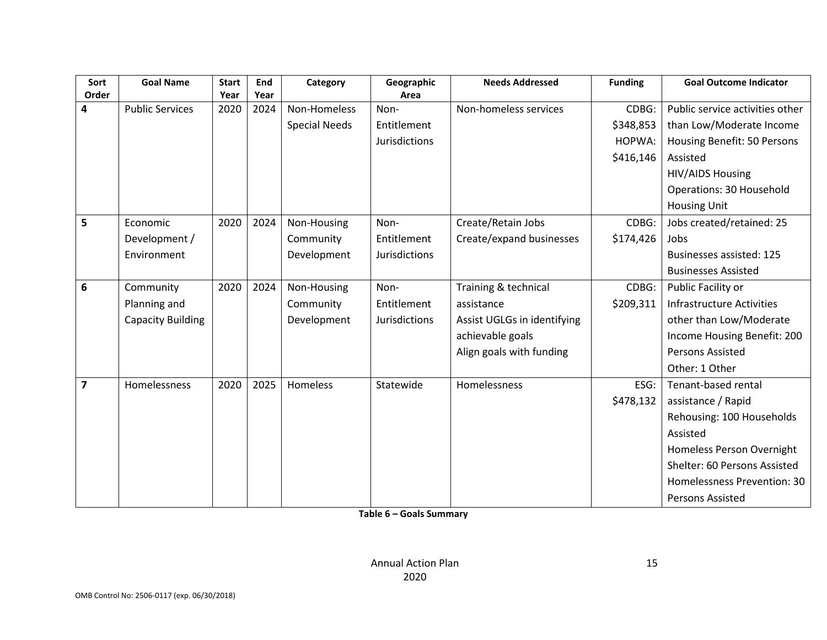| Sort                    | <b>Goal Name</b>         | <b>Start</b> | End  | Category             | Geographic           | <b>Needs Addressed</b>      | <b>Funding</b> | <b>Goal Outcome Indicator</b>    |
|-------------------------|--------------------------|--------------|------|----------------------|----------------------|-----------------------------|----------------|----------------------------------|
| Order                   |                          | Year         | Year |                      | Area                 |                             |                |                                  |
| $\overline{\mathbf{4}}$ | <b>Public Services</b>   | 2020         | 2024 | Non-Homeless         | Non-                 | Non-homeless services       | CDBG:          | Public service activities other  |
|                         |                          |              |      | <b>Special Needs</b> | Entitlement          |                             | \$348,853      | than Low/Moderate Income         |
|                         |                          |              |      |                      | <b>Jurisdictions</b> |                             | HOPWA:         | Housing Benefit: 50 Persons      |
|                         |                          |              |      |                      |                      |                             | \$416,146      | Assisted                         |
|                         |                          |              |      |                      |                      |                             |                | HIV/AIDS Housing                 |
|                         |                          |              |      |                      |                      |                             |                | <b>Operations: 30 Household</b>  |
|                         |                          |              |      |                      |                      |                             |                | <b>Housing Unit</b>              |
| 5                       | Economic                 | 2020         | 2024 | Non-Housing          | Non-                 | Create/Retain Jobs          | CDBG:          | Jobs created/retained: 25        |
|                         | Development /            |              |      | Community            | Entitlement          | Create/expand businesses    | \$174,426      | Jobs                             |
|                         | Environment              |              |      | Development          | <b>Jurisdictions</b> |                             |                | <b>Businesses assisted: 125</b>  |
|                         |                          |              |      |                      |                      |                             |                | <b>Businesses Assisted</b>       |
| 6                       | Community                | 2020         | 2024 | Non-Housing          | Non-                 | Training & technical        | CDBG:          | Public Facility or               |
|                         | Planning and             |              |      | Community            | Entitlement          | assistance                  | \$209,311      | <b>Infrastructure Activities</b> |
|                         | <b>Capacity Building</b> |              |      | Development          | Jurisdictions        | Assist UGLGs in identifying |                | other than Low/Moderate          |
|                         |                          |              |      |                      |                      | achievable goals            |                | Income Housing Benefit: 200      |
|                         |                          |              |      |                      |                      | Align goals with funding    |                | <b>Persons Assisted</b>          |
|                         |                          |              |      |                      |                      |                             |                | Other: 1 Other                   |
| $\overline{7}$          | Homelessness             | 2020         | 2025 | Homeless             | Statewide            | Homelessness                | ESG:           | Tenant-based rental              |
|                         |                          |              |      |                      |                      |                             | \$478,132      | assistance / Rapid               |
|                         |                          |              |      |                      |                      |                             |                | Rehousing: 100 Households        |
|                         |                          |              |      |                      |                      |                             |                | Assisted                         |
|                         |                          |              |      |                      |                      |                             |                | Homeless Person Overnight        |
|                         |                          |              |      |                      |                      |                             |                | Shelter: 60 Persons Assisted     |
|                         |                          |              |      |                      |                      |                             |                | Homelessness Prevention: 30      |
|                         |                          |              |      |                      |                      |                             |                | <b>Persons Assisted</b>          |

**Table 6 – Goals Summary**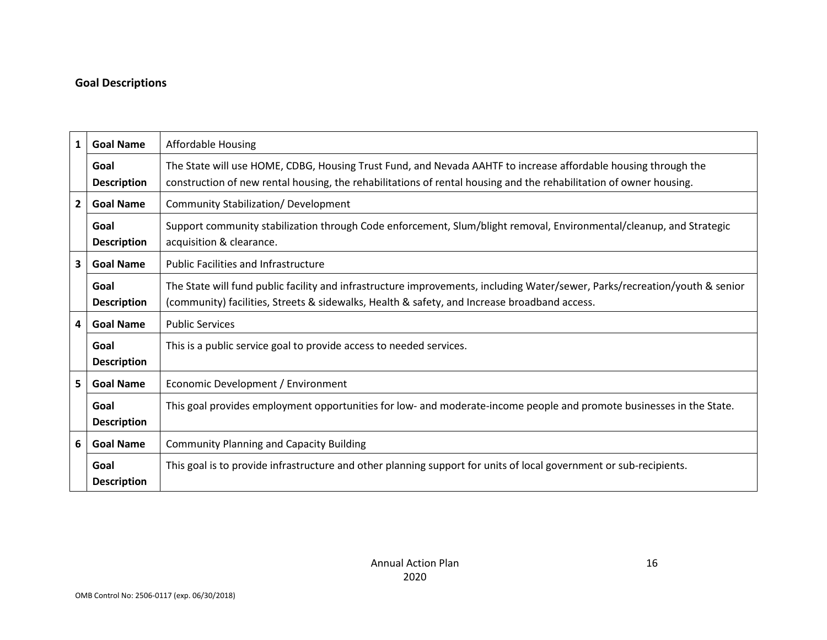## **Goal Descriptions**

| $\mathbf{1}$            | <b>Goal Name</b>           | Affordable Housing                                                                                                                                                                                                                   |
|-------------------------|----------------------------|--------------------------------------------------------------------------------------------------------------------------------------------------------------------------------------------------------------------------------------|
|                         | Goal<br><b>Description</b> | The State will use HOME, CDBG, Housing Trust Fund, and Nevada AAHTF to increase affordable housing through the<br>construction of new rental housing, the rehabilitations of rental housing and the rehabilitation of owner housing. |
| $2^{\circ}$             | <b>Goal Name</b>           | <b>Community Stabilization/ Development</b>                                                                                                                                                                                          |
|                         | Goal<br><b>Description</b> | Support community stabilization through Code enforcement, Slum/blight removal, Environmental/cleanup, and Strategic<br>acquisition & clearance.                                                                                      |
| $\mathbf{3}$            | <b>Goal Name</b>           | <b>Public Facilities and Infrastructure</b>                                                                                                                                                                                          |
|                         | Goal<br><b>Description</b> | The State will fund public facility and infrastructure improvements, including Water/sewer, Parks/recreation/youth & senior<br>(community) facilities, Streets & sidewalks, Health & safety, and Increase broadband access.          |
| $\overline{\mathbf{4}}$ | <b>Goal Name</b>           | <b>Public Services</b>                                                                                                                                                                                                               |
|                         | Goal<br><b>Description</b> | This is a public service goal to provide access to needed services.                                                                                                                                                                  |
| 5 <sup>1</sup>          | <b>Goal Name</b>           | Economic Development / Environment                                                                                                                                                                                                   |
|                         | Goal<br><b>Description</b> | This goal provides employment opportunities for low- and moderate-income people and promote businesses in the State.                                                                                                                 |
| 6                       | <b>Goal Name</b>           | <b>Community Planning and Capacity Building</b>                                                                                                                                                                                      |
|                         | Goal<br><b>Description</b> | This goal is to provide infrastructure and other planning support for units of local government or sub-recipients.                                                                                                                   |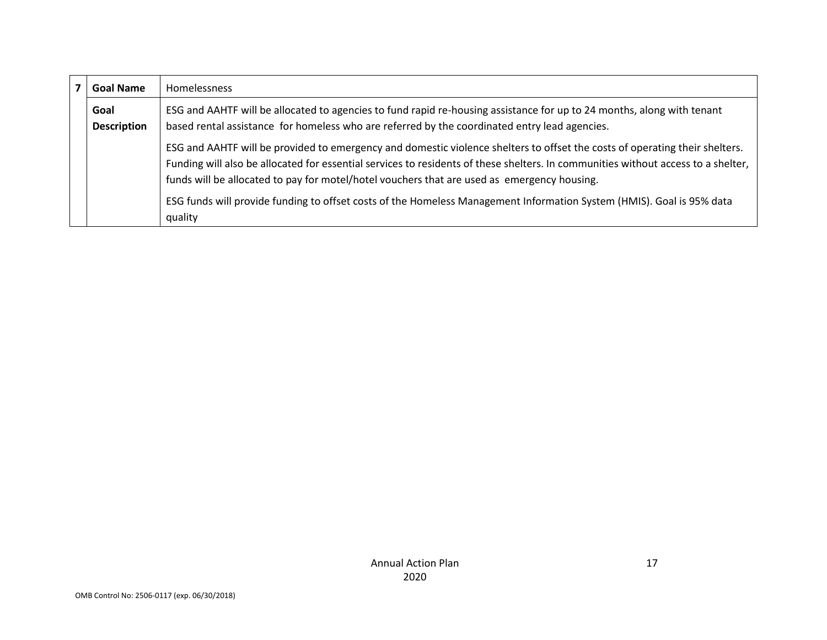| <b>Goal Name</b>           | <b>Homelessness</b>                                                                                                                                                                                                                                                                                                                                                                                                                                                                                 |
|----------------------------|-----------------------------------------------------------------------------------------------------------------------------------------------------------------------------------------------------------------------------------------------------------------------------------------------------------------------------------------------------------------------------------------------------------------------------------------------------------------------------------------------------|
| Goal<br><b>Description</b> | ESG and AAHTF will be allocated to agencies to fund rapid re-housing assistance for up to 24 months, along with tenant<br>based rental assistance for homeless who are referred by the coordinated entry lead agencies.                                                                                                                                                                                                                                                                             |
|                            | ESG and AAHTF will be provided to emergency and domestic violence shelters to offset the costs of operating their shelters.<br>Funding will also be allocated for essential services to residents of these shelters. In communities without access to a shelter,<br>funds will be allocated to pay for motel/hotel vouchers that are used as emergency housing.<br>ESG funds will provide funding to offset costs of the Homeless Management Information System (HMIS). Goal is 95% data<br>quality |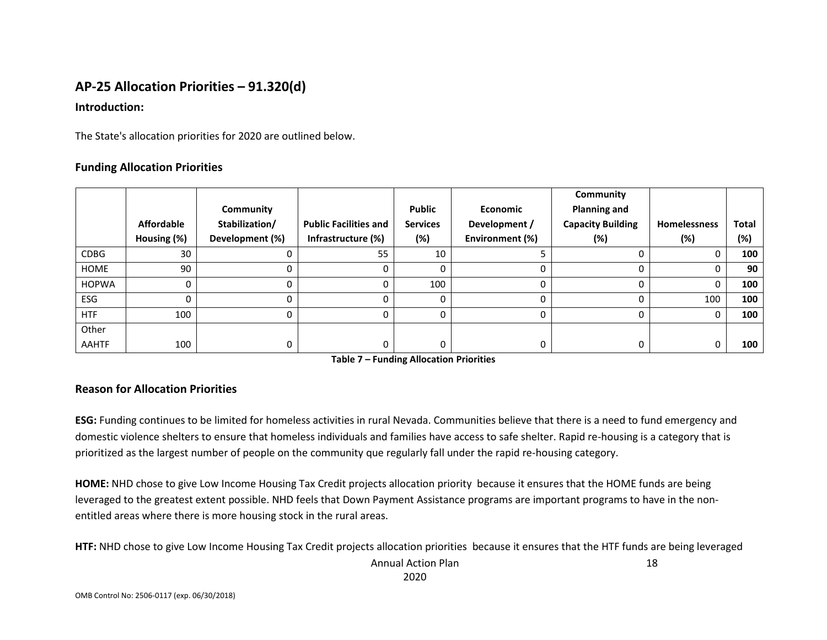# **AP-25 Allocation Priorities – 91.320(d)**

### **Introduction:**

The State's allocation priorities for 2020 are outlined below.

### **Funding Allocation Priorities**

|              |                   |                 |                              |                 |                 | Community                |                     |       |
|--------------|-------------------|-----------------|------------------------------|-----------------|-----------------|--------------------------|---------------------|-------|
|              |                   | Community       |                              | <b>Public</b>   | <b>Economic</b> | <b>Planning and</b>      |                     |       |
|              | <b>Affordable</b> | Stabilization/  | <b>Public Facilities and</b> | <b>Services</b> | Development /   | <b>Capacity Building</b> | <b>Homelessness</b> | Total |
|              | Housing (%)       | Development (%) | Infrastructure (%)           | (%)             | Environment (%) | (%)                      | (%)                 | (%)   |
| <b>CDBG</b>  | 30                |                 | 55                           | 10              |                 |                          | 0                   | 100   |
| HOME         | 90                |                 | 0                            |                 |                 |                          | 0                   | 90    |
| <b>HOPWA</b> | 0                 |                 | 0                            | 100             |                 |                          | 0                   | 100   |
| ESG          |                   |                 | 0                            |                 |                 |                          | 100                 | 100   |
| <b>HTF</b>   | 100               |                 | 0                            |                 |                 |                          | 0                   | 100   |
| Other        |                   |                 |                              |                 |                 |                          |                     |       |
| <b>AAHTF</b> | 100               |                 | 0                            |                 |                 |                          | 0                   | 100   |

**Table 7 – Funding Allocation Priorities**

### **Reason for Allocation Priorities**

**ESG:** Funding continues to be limited for homeless activities in rural Nevada. Communities believe that there is a need to fund emergency and domestic violence shelters to ensure that homeless individuals and families have access to safe shelter. Rapid re-housing is a category that is prioritized as the largest number of people on the community que regularly fall under the rapid re-housing category.

**HOME:** NHD chose to give Low Income Housing Tax Credit projects allocation priority because it ensures that the HOME funds are being leveraged to the greatest extent possible. NHD feels that Down Payment Assistance programs are important programs to have in the nonentitled areas where there is more housing stock in the rural areas.

**HTF:** NHD chose to give Low Income Housing Tax Credit projects allocation priorities because it ensures that the HTF funds are being leveraged

Annual Action Plan 2020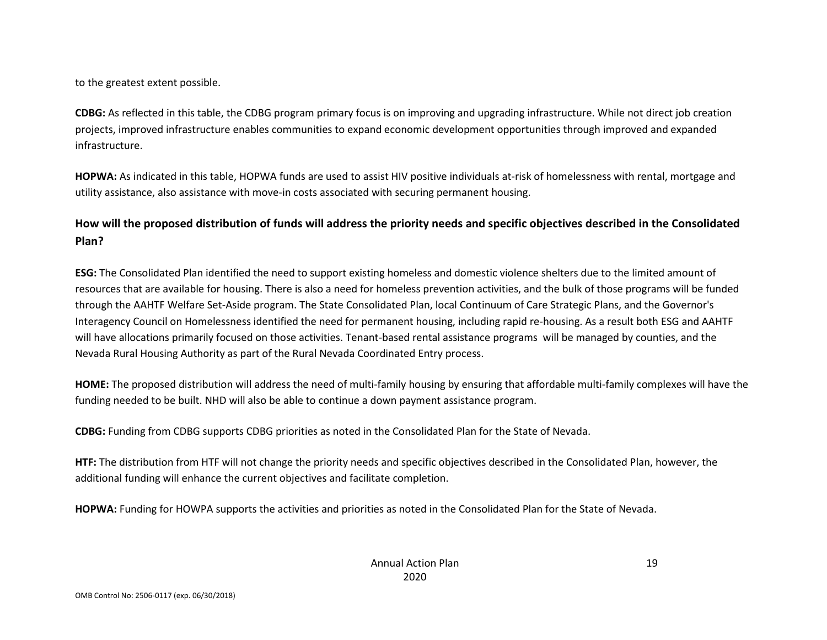to the greatest extent possible.

**CDBG:** As reflected in this table, the CDBG program primary focus is on improving and upgrading infrastructure. While not direct job creation projects, improved infrastructure enables communities to expand economic development opportunities through improved and expanded infrastructure.

**HOPWA:** As indicated in this table, HOPWA funds are used to assist HIV positive individuals at-risk of homelessness with rental, mortgage and utility assistance, also assistance with move-in costs associated with securing permanent housing.

### **How will the proposed distribution of funds will address the priority needs and specific objectives described in the Consolidated Plan?**

**ESG:** The Consolidated Plan identified the need to support existing homeless and domestic violence shelters due to the limited amount of resources that are available for housing. There is also a need for homeless prevention activities, and the bulk of those programs will be funded through the AAHTF Welfare Set-Aside program. The State Consolidated Plan, local Continuum of Care Strategic Plans, and the Governor's Interagency Council on Homelessness identified the need for permanent housing, including rapid re-housing. As a result both ESG and AAHTF will have allocations primarily focused on those activities. Tenant-based rental assistance programs will be managed by counties, and the Nevada Rural Housing Authority as part of the Rural Nevada Coordinated Entry process.

**HOME:** The proposed distribution will address the need of multi-family housing by ensuring that affordable multi-family complexes will have the funding needed to be built. NHD will also be able to continue a down payment assistance program.

**CDBG:** Funding from CDBG supports CDBG priorities as noted in the Consolidated Plan for the State of Nevada.

**HTF:** The distribution from HTF will not change the priority needs and specific objectives described in the Consolidated Plan, however, the additional funding will enhance the current objectives and facilitate completion.

**HOPWA:** Funding for HOWPA supports the activities and priorities as noted in the Consolidated Plan for the State of Nevada.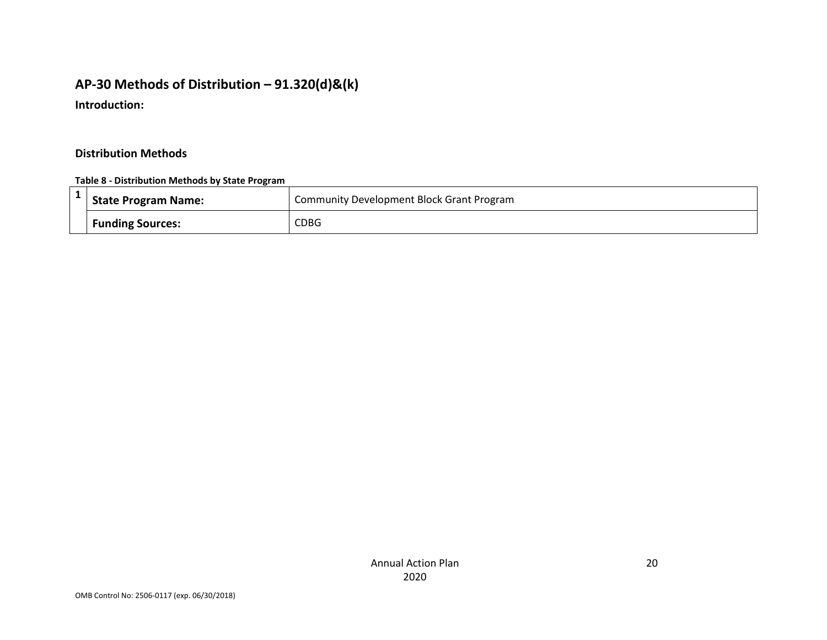# **AP-30 Methods of Distribution – 91.320(d)&(k)**

**Introduction:** 

### **Distribution Methods**

#### **Table 8 - Distribution Methods by State Program**

| <b>State Program Name:</b> | Community Development Block Grant Program |
|----------------------------|-------------------------------------------|
| <b>Funding Sources:</b>    | CDBG                                      |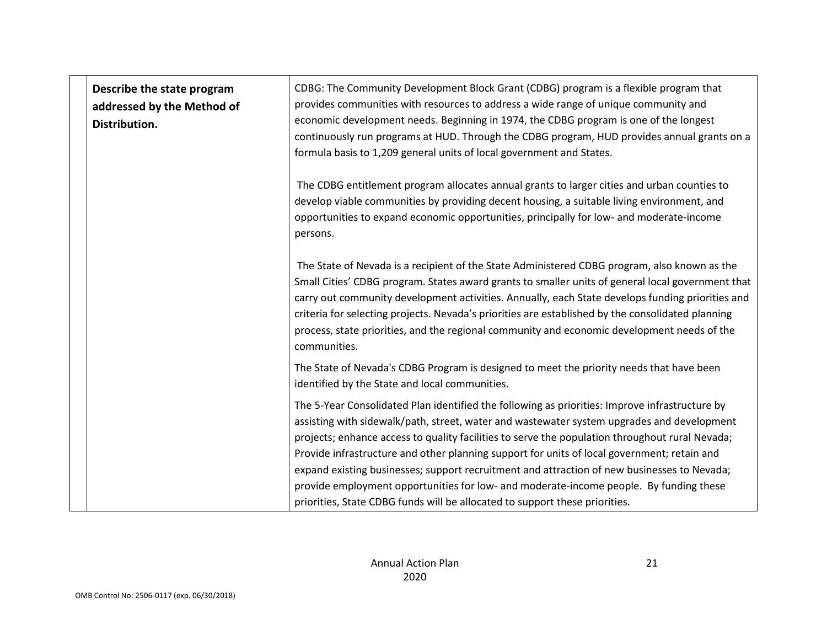| Describe the state program<br>addressed by the Method of<br>Distribution. | CDBG: The Community Development Block Grant (CDBG) program is a flexible program that<br>provides communities with resources to address a wide range of unique community and<br>economic development needs. Beginning in 1974, the CDBG program is one of the longest<br>continuously run programs at HUD. Through the CDBG program, HUD provides annual grants on a<br>formula basis to 1,209 general units of local government and States.                                                                                                                                                                                                                           |
|---------------------------------------------------------------------------|------------------------------------------------------------------------------------------------------------------------------------------------------------------------------------------------------------------------------------------------------------------------------------------------------------------------------------------------------------------------------------------------------------------------------------------------------------------------------------------------------------------------------------------------------------------------------------------------------------------------------------------------------------------------|
|                                                                           | The CDBG entitlement program allocates annual grants to larger cities and urban counties to<br>develop viable communities by providing decent housing, a suitable living environment, and<br>opportunities to expand economic opportunities, principally for low- and moderate-income<br>persons.                                                                                                                                                                                                                                                                                                                                                                      |
|                                                                           | The State of Nevada is a recipient of the State Administered CDBG program, also known as the<br>Small Cities' CDBG program. States award grants to smaller units of general local government that<br>carry out community development activities. Annually, each State develops funding priorities and<br>criteria for selecting projects. Nevada's priorities are established by the consolidated planning<br>process, state priorities, and the regional community and economic development needs of the<br>communities.                                                                                                                                              |
|                                                                           | The State of Nevada's CDBG Program is designed to meet the priority needs that have been<br>identified by the State and local communities.                                                                                                                                                                                                                                                                                                                                                                                                                                                                                                                             |
|                                                                           | The 5-Year Consolidated Plan identified the following as priorities: Improve infrastructure by<br>assisting with sidewalk/path, street, water and wastewater system upgrades and development<br>projects; enhance access to quality facilities to serve the population throughout rural Nevada;<br>Provide infrastructure and other planning support for units of local government; retain and<br>expand existing businesses; support recruitment and attraction of new businesses to Nevada;<br>provide employment opportunities for low- and moderate-income people. By funding these<br>priorities, State CDBG funds will be allocated to support these priorities. |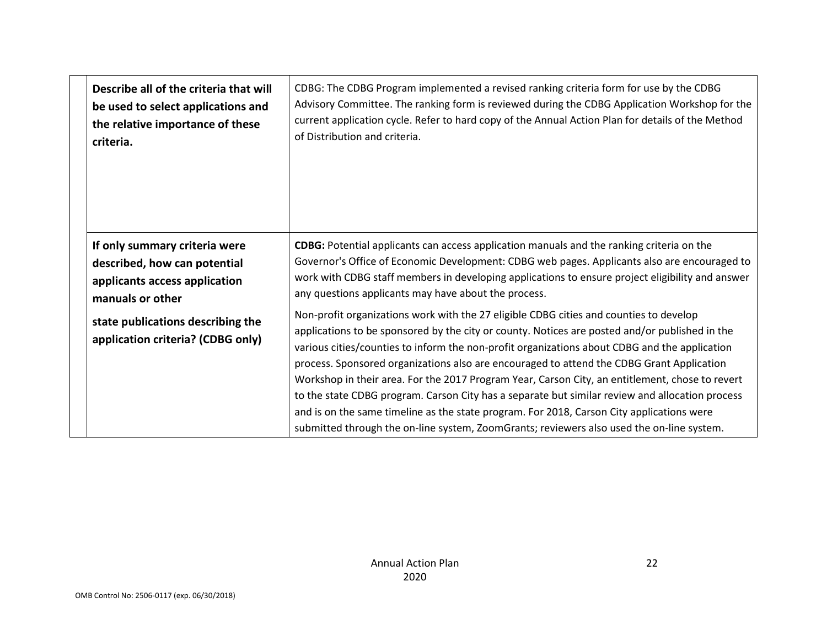| Describe all of the criteria that will<br>be used to select applications and<br>the relative importance of these<br>criteria. | CDBG: The CDBG Program implemented a revised ranking criteria form for use by the CDBG<br>Advisory Committee. The ranking form is reviewed during the CDBG Application Workshop for the<br>current application cycle. Refer to hard copy of the Annual Action Plan for details of the Method<br>of Distribution and criteria. |
|-------------------------------------------------------------------------------------------------------------------------------|-------------------------------------------------------------------------------------------------------------------------------------------------------------------------------------------------------------------------------------------------------------------------------------------------------------------------------|
| If only summary criteria were                                                                                                 | CDBG: Potential applicants can access application manuals and the ranking criteria on the                                                                                                                                                                                                                                     |
| described, how can potential<br>applicants access application                                                                 | Governor's Office of Economic Development: CDBG web pages. Applicants also are encouraged to<br>work with CDBG staff members in developing applications to ensure project eligibility and answer                                                                                                                              |
| manuals or other                                                                                                              | any questions applicants may have about the process.                                                                                                                                                                                                                                                                          |
| state publications describing the                                                                                             | Non-profit organizations work with the 27 eligible CDBG cities and counties to develop                                                                                                                                                                                                                                        |
| application criteria? (CDBG only)                                                                                             | applications to be sponsored by the city or county. Notices are posted and/or published in the                                                                                                                                                                                                                                |
|                                                                                                                               | various cities/counties to inform the non-profit organizations about CDBG and the application                                                                                                                                                                                                                                 |
|                                                                                                                               | process. Sponsored organizations also are encouraged to attend the CDBG Grant Application<br>Workshop in their area. For the 2017 Program Year, Carson City, an entitlement, chose to revert                                                                                                                                  |
|                                                                                                                               | to the state CDBG program. Carson City has a separate but similar review and allocation process                                                                                                                                                                                                                               |
|                                                                                                                               | and is on the same timeline as the state program. For 2018, Carson City applications were                                                                                                                                                                                                                                     |
|                                                                                                                               | submitted through the on-line system, ZoomGrants; reviewers also used the on-line system.                                                                                                                                                                                                                                     |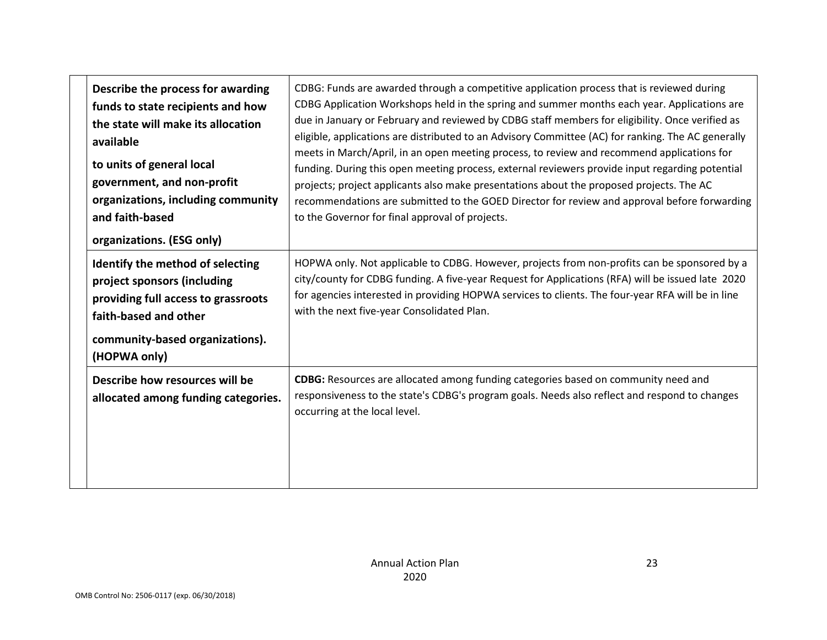| Describe the process for awarding<br>funds to state recipients and how<br>the state will make its allocation<br>available<br>to units of general local<br>government, and non-profit<br>organizations, including community<br>and faith-based<br>organizations. (ESG only) | CDBG: Funds are awarded through a competitive application process that is reviewed during<br>CDBG Application Workshops held in the spring and summer months each year. Applications are<br>due in January or February and reviewed by CDBG staff members for eligibility. Once verified as<br>eligible, applications are distributed to an Advisory Committee (AC) for ranking. The AC generally<br>meets in March/April, in an open meeting process, to review and recommend applications for<br>funding. During this open meeting process, external reviewers provide input regarding potential<br>projects; project applicants also make presentations about the proposed projects. The AC<br>recommendations are submitted to the GOED Director for review and approval before forwarding<br>to the Governor for final approval of projects. |
|----------------------------------------------------------------------------------------------------------------------------------------------------------------------------------------------------------------------------------------------------------------------------|---------------------------------------------------------------------------------------------------------------------------------------------------------------------------------------------------------------------------------------------------------------------------------------------------------------------------------------------------------------------------------------------------------------------------------------------------------------------------------------------------------------------------------------------------------------------------------------------------------------------------------------------------------------------------------------------------------------------------------------------------------------------------------------------------------------------------------------------------|
| Identify the method of selecting<br>project sponsors (including<br>providing full access to grassroots<br>faith-based and other<br>community-based organizations).<br>(HOPWA only)                                                                                         | HOPWA only. Not applicable to CDBG. However, projects from non-profits can be sponsored by a<br>city/county for CDBG funding. A five-year Request for Applications (RFA) will be issued late 2020<br>for agencies interested in providing HOPWA services to clients. The four-year RFA will be in line<br>with the next five-year Consolidated Plan.                                                                                                                                                                                                                                                                                                                                                                                                                                                                                              |
| Describe how resources will be<br>allocated among funding categories.                                                                                                                                                                                                      | CDBG: Resources are allocated among funding categories based on community need and<br>responsiveness to the state's CDBG's program goals. Needs also reflect and respond to changes<br>occurring at the local level.                                                                                                                                                                                                                                                                                                                                                                                                                                                                                                                                                                                                                              |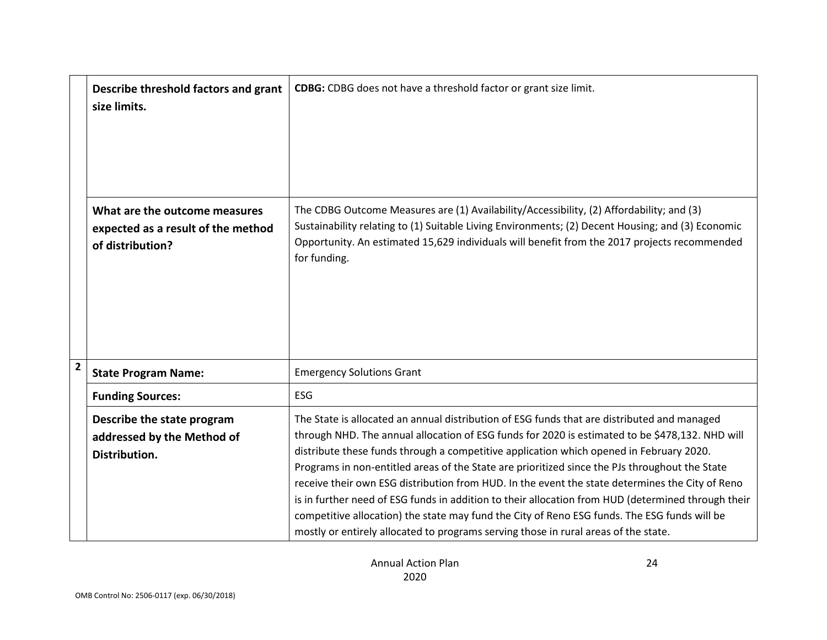|                | Describe threshold factors and grant<br>size limits.                                    | <b>CDBG:</b> CDBG does not have a threshold factor or grant size limit.                                                                                                                                                                                                                                                                                                                                                                                                                                                                                                                                                                                                                                                                                                                     |
|----------------|-----------------------------------------------------------------------------------------|---------------------------------------------------------------------------------------------------------------------------------------------------------------------------------------------------------------------------------------------------------------------------------------------------------------------------------------------------------------------------------------------------------------------------------------------------------------------------------------------------------------------------------------------------------------------------------------------------------------------------------------------------------------------------------------------------------------------------------------------------------------------------------------------|
|                | What are the outcome measures<br>expected as a result of the method<br>of distribution? | The CDBG Outcome Measures are (1) Availability/Accessibility, (2) Affordability; and (3)<br>Sustainability relating to (1) Suitable Living Environments; (2) Decent Housing; and (3) Economic<br>Opportunity. An estimated 15,629 individuals will benefit from the 2017 projects recommended<br>for funding.                                                                                                                                                                                                                                                                                                                                                                                                                                                                               |
| $\overline{2}$ | <b>State Program Name:</b>                                                              | <b>Emergency Solutions Grant</b>                                                                                                                                                                                                                                                                                                                                                                                                                                                                                                                                                                                                                                                                                                                                                            |
|                | <b>Funding Sources:</b>                                                                 | <b>ESG</b>                                                                                                                                                                                                                                                                                                                                                                                                                                                                                                                                                                                                                                                                                                                                                                                  |
|                | Describe the state program<br>addressed by the Method of<br>Distribution.               | The State is allocated an annual distribution of ESG funds that are distributed and managed<br>through NHD. The annual allocation of ESG funds for 2020 is estimated to be \$478,132. NHD will<br>distribute these funds through a competitive application which opened in February 2020.<br>Programs in non-entitled areas of the State are prioritized since the PJs throughout the State<br>receive their own ESG distribution from HUD. In the event the state determines the City of Reno<br>is in further need of ESG funds in addition to their allocation from HUD (determined through their<br>competitive allocation) the state may fund the City of Reno ESG funds. The ESG funds will be<br>mostly or entirely allocated to programs serving those in rural areas of the state. |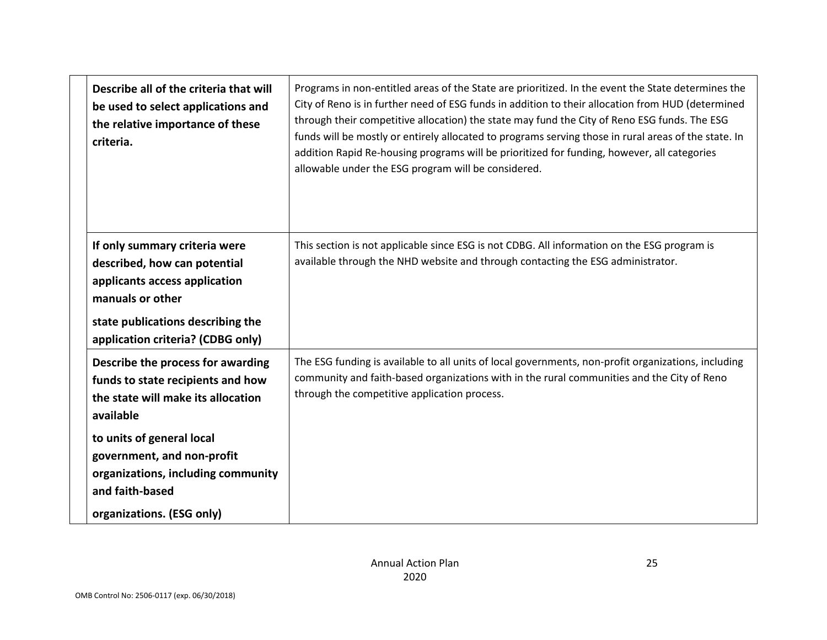| Describe all of the criteria that will<br>be used to select applications and<br>the relative importance of these<br>criteria.                           | Programs in non-entitled areas of the State are prioritized. In the event the State determines the<br>City of Reno is in further need of ESG funds in addition to their allocation from HUD (determined<br>through their competitive allocation) the state may fund the City of Reno ESG funds. The ESG<br>funds will be mostly or entirely allocated to programs serving those in rural areas of the state. In<br>addition Rapid Re-housing programs will be prioritized for funding, however, all categories<br>allowable under the ESG program will be considered. |
|---------------------------------------------------------------------------------------------------------------------------------------------------------|-----------------------------------------------------------------------------------------------------------------------------------------------------------------------------------------------------------------------------------------------------------------------------------------------------------------------------------------------------------------------------------------------------------------------------------------------------------------------------------------------------------------------------------------------------------------------|
| If only summary criteria were<br>described, how can potential<br>applicants access application<br>manuals or other<br>state publications describing the | This section is not applicable since ESG is not CDBG. All information on the ESG program is<br>available through the NHD website and through contacting the ESG administrator.                                                                                                                                                                                                                                                                                                                                                                                        |
| application criteria? (CDBG only)                                                                                                                       |                                                                                                                                                                                                                                                                                                                                                                                                                                                                                                                                                                       |
| Describe the process for awarding<br>funds to state recipients and how<br>the state will make its allocation<br>available                               | The ESG funding is available to all units of local governments, non-profit organizations, including<br>community and faith-based organizations with in the rural communities and the City of Reno<br>through the competitive application process.                                                                                                                                                                                                                                                                                                                     |
| to units of general local                                                                                                                               |                                                                                                                                                                                                                                                                                                                                                                                                                                                                                                                                                                       |
| government, and non-profit                                                                                                                              |                                                                                                                                                                                                                                                                                                                                                                                                                                                                                                                                                                       |
| organizations, including community<br>and faith-based                                                                                                   |                                                                                                                                                                                                                                                                                                                                                                                                                                                                                                                                                                       |
| organizations. (ESG only)                                                                                                                               |                                                                                                                                                                                                                                                                                                                                                                                                                                                                                                                                                                       |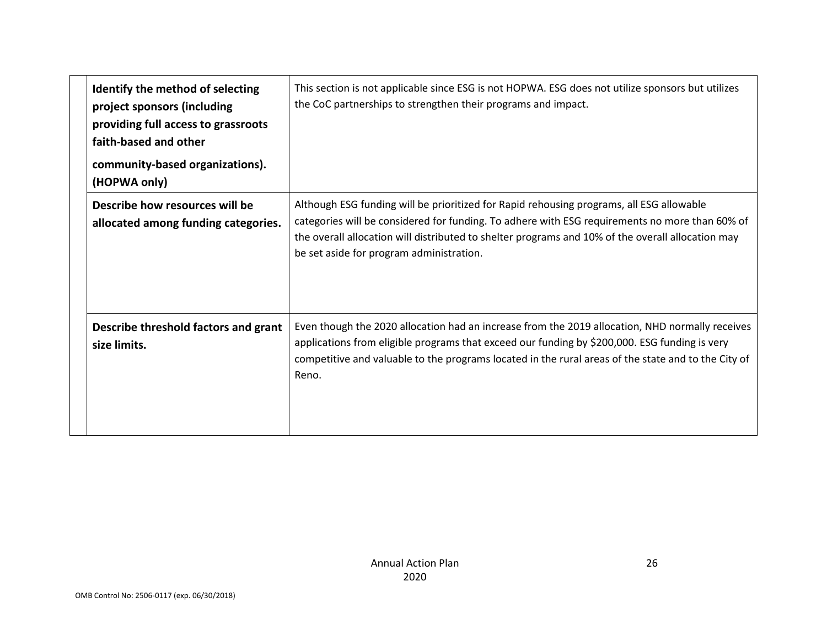| Identify the method of selecting<br>project sponsors (including<br>providing full access to grassroots<br>faith-based and other<br>community-based organizations).<br>(HOPWA only) | This section is not applicable since ESG is not HOPWA. ESG does not utilize sponsors but utilizes<br>the CoC partnerships to strengthen their programs and impact.                                                                                                                                                                          |
|------------------------------------------------------------------------------------------------------------------------------------------------------------------------------------|---------------------------------------------------------------------------------------------------------------------------------------------------------------------------------------------------------------------------------------------------------------------------------------------------------------------------------------------|
| Describe how resources will be<br>allocated among funding categories.                                                                                                              | Although ESG funding will be prioritized for Rapid rehousing programs, all ESG allowable<br>categories will be considered for funding. To adhere with ESG requirements no more than 60% of<br>the overall allocation will distributed to shelter programs and 10% of the overall allocation may<br>be set aside for program administration. |
| Describe threshold factors and grant<br>size limits.                                                                                                                               | Even though the 2020 allocation had an increase from the 2019 allocation, NHD normally receives<br>applications from eligible programs that exceed our funding by \$200,000. ESG funding is very<br>competitive and valuable to the programs located in the rural areas of the state and to the City of<br>Reno.                            |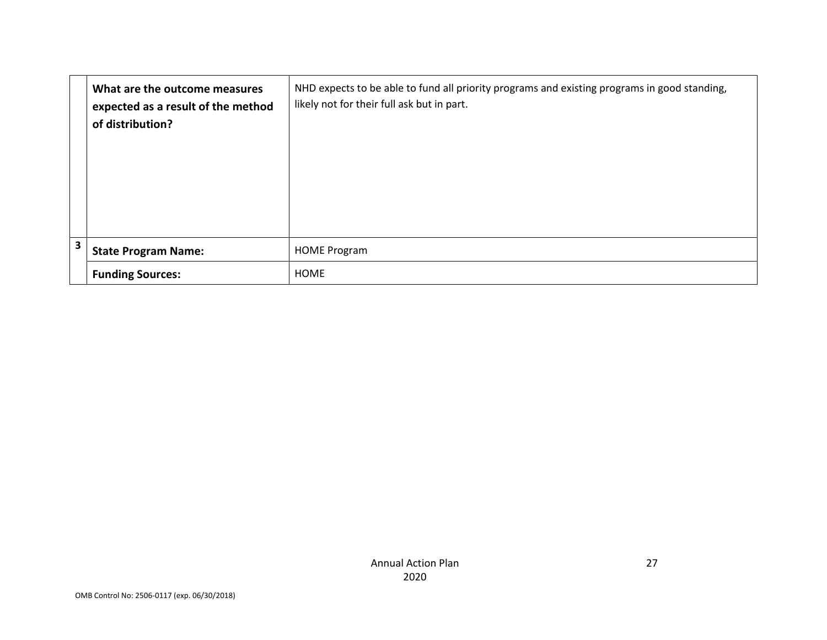|   | What are the outcome measures<br>expected as a result of the method<br>of distribution? | NHD expects to be able to fund all priority programs and existing programs in good standing,<br>likely not for their full ask but in part. |
|---|-----------------------------------------------------------------------------------------|--------------------------------------------------------------------------------------------------------------------------------------------|
| 3 | <b>State Program Name:</b>                                                              | <b>HOME Program</b>                                                                                                                        |
|   | <b>Funding Sources:</b>                                                                 | <b>HOME</b>                                                                                                                                |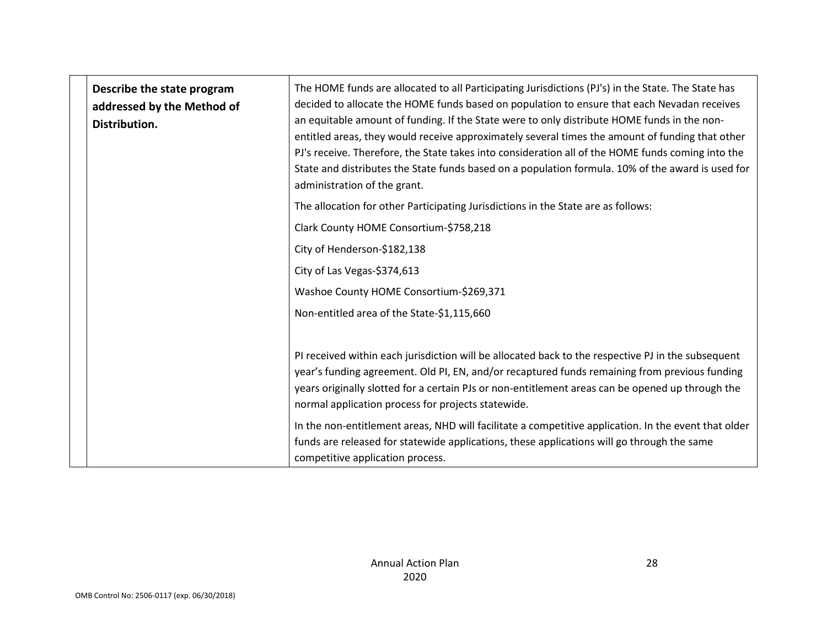| Describe the state program                  | The HOME funds are allocated to all Participating Jurisdictions (PJ's) in the State. The State has<br>decided to allocate the HOME funds based on population to ensure that each Nevadan receives                                                                                                                                                                                                                                        |
|---------------------------------------------|------------------------------------------------------------------------------------------------------------------------------------------------------------------------------------------------------------------------------------------------------------------------------------------------------------------------------------------------------------------------------------------------------------------------------------------|
| addressed by the Method of<br>Distribution. | an equitable amount of funding. If the State were to only distribute HOME funds in the non-<br>entitled areas, they would receive approximately several times the amount of funding that other<br>PJ's receive. Therefore, the State takes into consideration all of the HOME funds coming into the<br>State and distributes the State funds based on a population formula. 10% of the award is used for<br>administration of the grant. |
|                                             | The allocation for other Participating Jurisdictions in the State are as follows:                                                                                                                                                                                                                                                                                                                                                        |
|                                             | Clark County HOME Consortium-\$758,218                                                                                                                                                                                                                                                                                                                                                                                                   |
|                                             | City of Henderson-\$182,138                                                                                                                                                                                                                                                                                                                                                                                                              |
|                                             | City of Las Vegas-\$374,613                                                                                                                                                                                                                                                                                                                                                                                                              |
|                                             | Washoe County HOME Consortium-\$269,371                                                                                                                                                                                                                                                                                                                                                                                                  |
|                                             | Non-entitled area of the State-\$1,115,660                                                                                                                                                                                                                                                                                                                                                                                               |
|                                             |                                                                                                                                                                                                                                                                                                                                                                                                                                          |
|                                             | PI received within each jurisdiction will be allocated back to the respective PJ in the subsequent<br>year's funding agreement. Old PI, EN, and/or recaptured funds remaining from previous funding<br>years originally slotted for a certain PJs or non-entitlement areas can be opened up through the<br>normal application process for projects statewide.                                                                            |
|                                             | In the non-entitlement areas, NHD will facilitate a competitive application. In the event that older<br>funds are released for statewide applications, these applications will go through the same<br>competitive application process.                                                                                                                                                                                                   |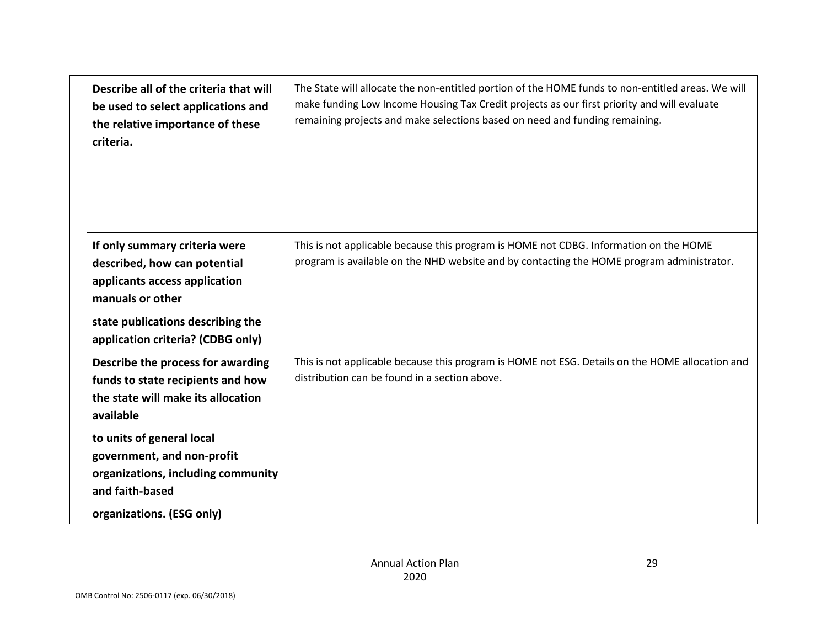| Describe all of the criteria that will<br>be used to select applications and<br>the relative importance of these<br>criteria. | The State will allocate the non-entitled portion of the HOME funds to non-entitled areas. We will<br>make funding Low Income Housing Tax Credit projects as our first priority and will evaluate<br>remaining projects and make selections based on need and funding remaining. |
|-------------------------------------------------------------------------------------------------------------------------------|---------------------------------------------------------------------------------------------------------------------------------------------------------------------------------------------------------------------------------------------------------------------------------|
| If only summary criteria were<br>described, how can potential<br>applicants access application<br>manuals or other            | This is not applicable because this program is HOME not CDBG. Information on the HOME<br>program is available on the NHD website and by contacting the HOME program administrator.                                                                                              |
| state publications describing the<br>application criteria? (CDBG only)                                                        |                                                                                                                                                                                                                                                                                 |
| Describe the process for awarding<br>funds to state recipients and how<br>the state will make its allocation<br>available     | This is not applicable because this program is HOME not ESG. Details on the HOME allocation and<br>distribution can be found in a section above.                                                                                                                                |
| to units of general local                                                                                                     |                                                                                                                                                                                                                                                                                 |
| government, and non-profit<br>organizations, including community<br>and faith-based                                           |                                                                                                                                                                                                                                                                                 |
| organizations. (ESG only)                                                                                                     |                                                                                                                                                                                                                                                                                 |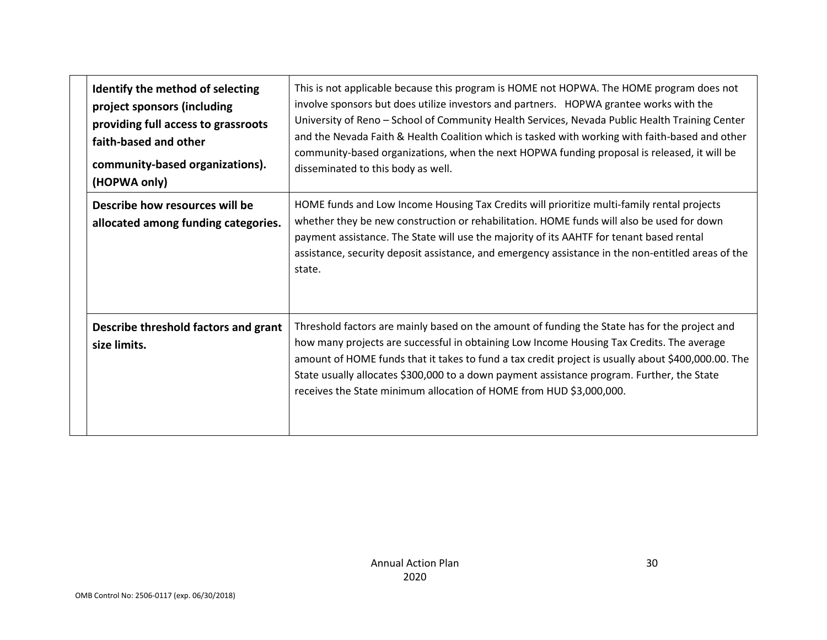| Identify the method of selecting<br>project sponsors (including<br>providing full access to grassroots<br>faith-based and other<br>community-based organizations).<br>(HOPWA only) | This is not applicable because this program is HOME not HOPWA. The HOME program does not<br>involve sponsors but does utilize investors and partners. HOPWA grantee works with the<br>University of Reno - School of Community Health Services, Nevada Public Health Training Center<br>and the Nevada Faith & Health Coalition which is tasked with working with faith-based and other<br>community-based organizations, when the next HOPWA funding proposal is released, it will be<br>disseminated to this body as well. |
|------------------------------------------------------------------------------------------------------------------------------------------------------------------------------------|------------------------------------------------------------------------------------------------------------------------------------------------------------------------------------------------------------------------------------------------------------------------------------------------------------------------------------------------------------------------------------------------------------------------------------------------------------------------------------------------------------------------------|
| Describe how resources will be<br>allocated among funding categories.                                                                                                              | HOME funds and Low Income Housing Tax Credits will prioritize multi-family rental projects<br>whether they be new construction or rehabilitation. HOME funds will also be used for down<br>payment assistance. The State will use the majority of its AAHTF for tenant based rental<br>assistance, security deposit assistance, and emergency assistance in the non-entitled areas of the<br>state.                                                                                                                          |
| Describe threshold factors and grant<br>size limits.                                                                                                                               | Threshold factors are mainly based on the amount of funding the State has for the project and<br>how many projects are successful in obtaining Low Income Housing Tax Credits. The average<br>amount of HOME funds that it takes to fund a tax credit project is usually about \$400,000.00. The<br>State usually allocates \$300,000 to a down payment assistance program. Further, the State<br>receives the State minimum allocation of HOME from HUD \$3,000,000.                                                        |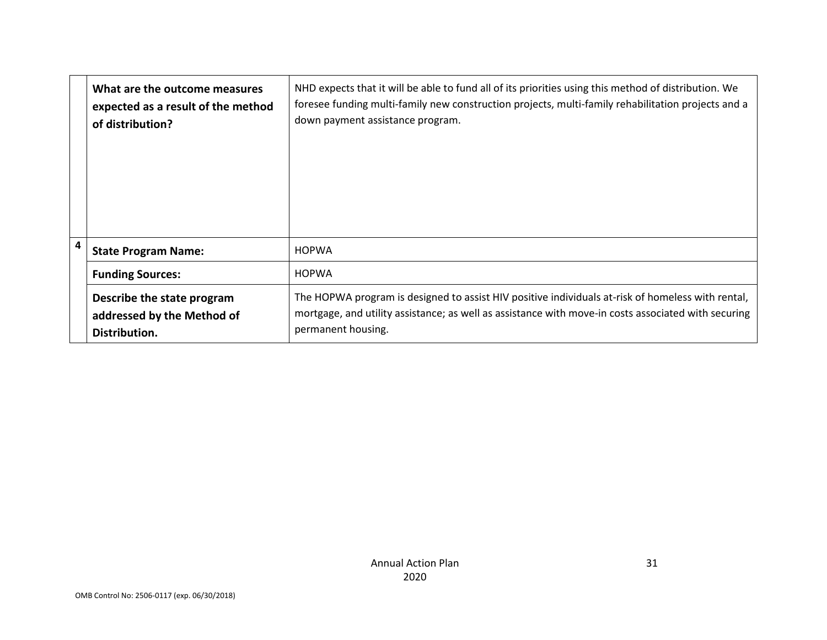|                         | What are the outcome measures<br>expected as a result of the method<br>of distribution? | NHD expects that it will be able to fund all of its priorities using this method of distribution. We<br>foresee funding multi-family new construction projects, multi-family rehabilitation projects and a<br>down payment assistance program. |
|-------------------------|-----------------------------------------------------------------------------------------|------------------------------------------------------------------------------------------------------------------------------------------------------------------------------------------------------------------------------------------------|
| $\overline{\mathbf{4}}$ | <b>State Program Name:</b>                                                              | <b>HOPWA</b>                                                                                                                                                                                                                                   |
|                         | <b>Funding Sources:</b>                                                                 | <b>HOPWA</b>                                                                                                                                                                                                                                   |
|                         | Describe the state program<br>addressed by the Method of<br>Distribution.               | The HOPWA program is designed to assist HIV positive individuals at-risk of homeless with rental,<br>mortgage, and utility assistance; as well as assistance with move-in costs associated with securing<br>permanent housing.                 |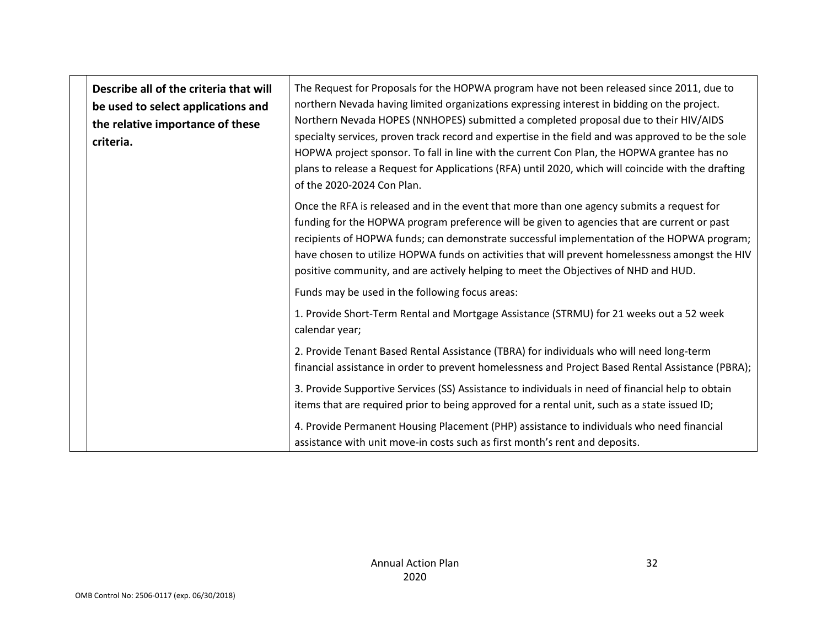| Describe all of the criteria that will<br>be used to select applications and<br>the relative importance of these<br>criteria. | The Request for Proposals for the HOPWA program have not been released since 2011, due to<br>northern Nevada having limited organizations expressing interest in bidding on the project.<br>Northern Nevada HOPES (NNHOPES) submitted a completed proposal due to their HIV/AIDS<br>specialty services, proven track record and expertise in the field and was approved to be the sole<br>HOPWA project sponsor. To fall in line with the current Con Plan, the HOPWA grantee has no<br>plans to release a Request for Applications (RFA) until 2020, which will coincide with the drafting<br>of the 2020-2024 Con Plan. |
|-------------------------------------------------------------------------------------------------------------------------------|---------------------------------------------------------------------------------------------------------------------------------------------------------------------------------------------------------------------------------------------------------------------------------------------------------------------------------------------------------------------------------------------------------------------------------------------------------------------------------------------------------------------------------------------------------------------------------------------------------------------------|
|                                                                                                                               | Once the RFA is released and in the event that more than one agency submits a request for<br>funding for the HOPWA program preference will be given to agencies that are current or past<br>recipients of HOPWA funds; can demonstrate successful implementation of the HOPWA program;<br>have chosen to utilize HOPWA funds on activities that will prevent homelessness amongst the HIV<br>positive community, and are actively helping to meet the Objectives of NHD and HUD.                                                                                                                                          |
|                                                                                                                               | Funds may be used in the following focus areas:                                                                                                                                                                                                                                                                                                                                                                                                                                                                                                                                                                           |
|                                                                                                                               | 1. Provide Short-Term Rental and Mortgage Assistance (STRMU) for 21 weeks out a 52 week<br>calendar year;                                                                                                                                                                                                                                                                                                                                                                                                                                                                                                                 |
|                                                                                                                               | 2. Provide Tenant Based Rental Assistance (TBRA) for individuals who will need long-term<br>financial assistance in order to prevent homelessness and Project Based Rental Assistance (PBRA);                                                                                                                                                                                                                                                                                                                                                                                                                             |
|                                                                                                                               | 3. Provide Supportive Services (SS) Assistance to individuals in need of financial help to obtain<br>items that are required prior to being approved for a rental unit, such as a state issued ID;                                                                                                                                                                                                                                                                                                                                                                                                                        |
|                                                                                                                               | 4. Provide Permanent Housing Placement (PHP) assistance to individuals who need financial<br>assistance with unit move-in costs such as first month's rent and deposits.                                                                                                                                                                                                                                                                                                                                                                                                                                                  |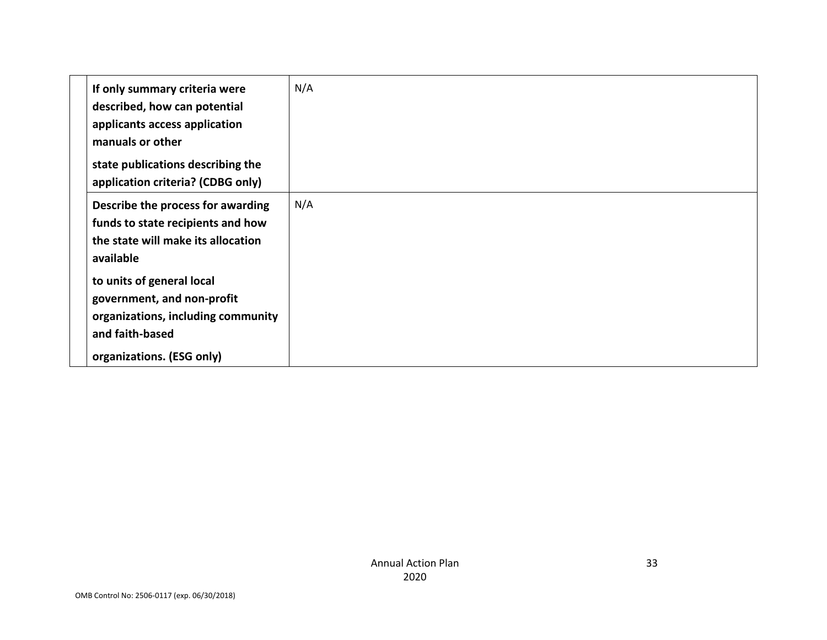| If only summary criteria were<br>described, how can potential<br>applicants access application<br>manuals or other<br>state publications describing the<br>application criteria? (CDBG only) | N/A |
|----------------------------------------------------------------------------------------------------------------------------------------------------------------------------------------------|-----|
| Describe the process for awarding<br>funds to state recipients and how<br>the state will make its allocation<br>available                                                                    | N/A |
| to units of general local<br>government, and non-profit<br>organizations, including community<br>and faith-based<br>organizations. (ESG only)                                                |     |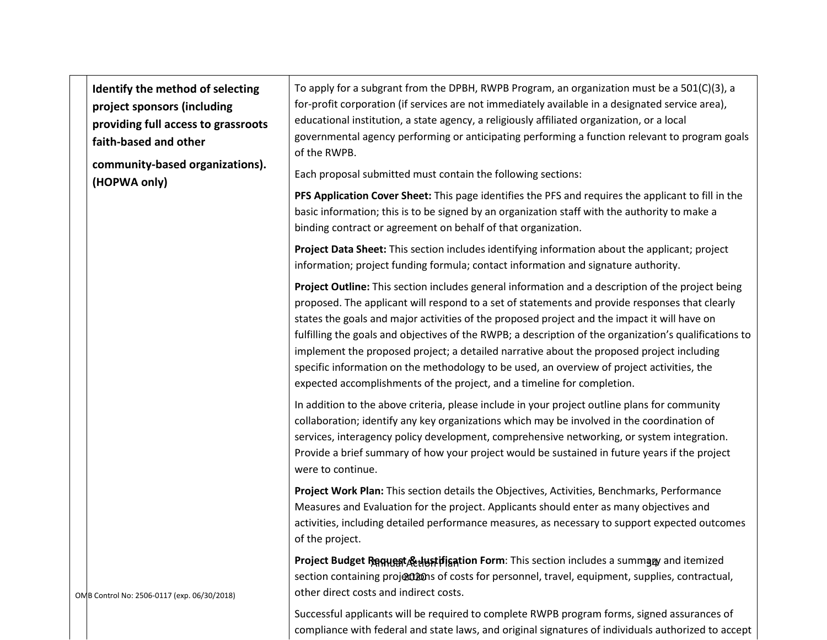| Identify the method of selecting<br>project sponsors (including<br>providing full access to grassroots<br>faith-based and other<br>community-based organizations). | To apply for a subgrant from the DPBH, RWPB Program, an organization must be a 501(C)(3), a<br>for-profit corporation (if services are not immediately available in a designated service area),<br>educational institution, a state agency, a religiously affiliated organization, or a local<br>governmental agency performing or anticipating performing a function relevant to program goals<br>of the RWPB.                                                                                                                                                                                                                                                                     |
|--------------------------------------------------------------------------------------------------------------------------------------------------------------------|-------------------------------------------------------------------------------------------------------------------------------------------------------------------------------------------------------------------------------------------------------------------------------------------------------------------------------------------------------------------------------------------------------------------------------------------------------------------------------------------------------------------------------------------------------------------------------------------------------------------------------------------------------------------------------------|
| (HOPWA only)                                                                                                                                                       | Each proposal submitted must contain the following sections:                                                                                                                                                                                                                                                                                                                                                                                                                                                                                                                                                                                                                        |
|                                                                                                                                                                    | PFS Application Cover Sheet: This page identifies the PFS and requires the applicant to fill in the<br>basic information; this is to be signed by an organization staff with the authority to make a<br>binding contract or agreement on behalf of that organization.                                                                                                                                                                                                                                                                                                                                                                                                               |
|                                                                                                                                                                    | Project Data Sheet: This section includes identifying information about the applicant; project<br>information; project funding formula; contact information and signature authority.                                                                                                                                                                                                                                                                                                                                                                                                                                                                                                |
|                                                                                                                                                                    | Project Outline: This section includes general information and a description of the project being<br>proposed. The applicant will respond to a set of statements and provide responses that clearly<br>states the goals and major activities of the proposed project and the impact it will have on<br>fulfilling the goals and objectives of the RWPB; a description of the organization's qualifications to<br>implement the proposed project; a detailed narrative about the proposed project including<br>specific information on the methodology to be used, an overview of project activities, the<br>expected accomplishments of the project, and a timeline for completion. |
|                                                                                                                                                                    | In addition to the above criteria, please include in your project outline plans for community<br>collaboration; identify any key organizations which may be involved in the coordination of<br>services, interagency policy development, comprehensive networking, or system integration.<br>Provide a brief summary of how your project would be sustained in future years if the project<br>were to continue.                                                                                                                                                                                                                                                                     |
|                                                                                                                                                                    | Project Work Plan: This section details the Objectives, Activities, Benchmarks, Performance<br>Measures and Evaluation for the project. Applicants should enter as many objectives and<br>activities, including detailed performance measures, as necessary to support expected outcomes<br>of the project.                                                                                                                                                                                                                                                                                                                                                                         |
| OMB Control No: 2506-0117 (exp. 06/30/2018)                                                                                                                        | Project Budget Request & Hustifigation Form: This section includes a summary and itemized<br>section containing projections of costs for personnel, travel, equipment, supplies, contractual,<br>other direct costs and indirect costs.                                                                                                                                                                                                                                                                                                                                                                                                                                             |

Successful applicants will be required to complete RWPB program forms, signed assurances of compliance with federal and state laws, and original signatures of individuals authorized to accept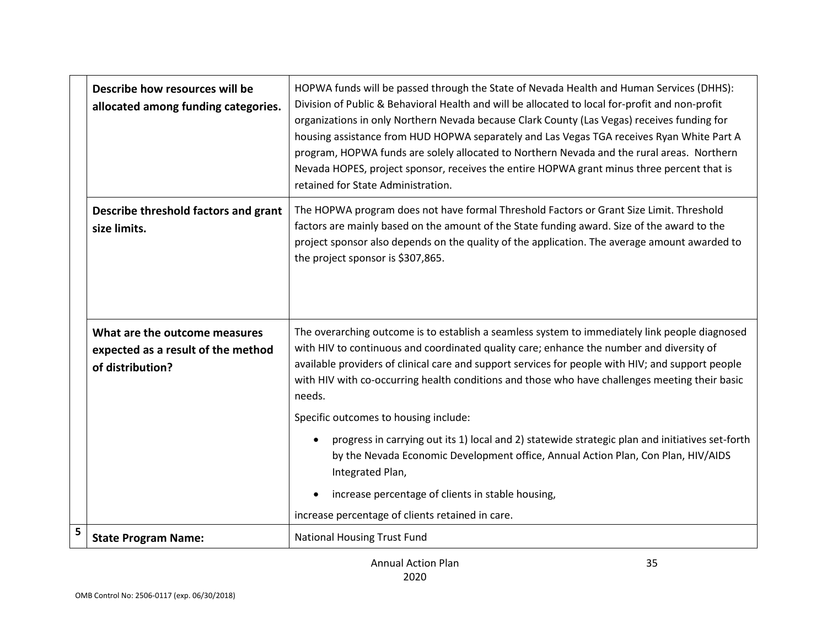|   | Describe how resources will be<br>allocated among funding categories.                   | HOPWA funds will be passed through the State of Nevada Health and Human Services (DHHS):<br>Division of Public & Behavioral Health and will be allocated to local for-profit and non-profit<br>organizations in only Northern Nevada because Clark County (Las Vegas) receives funding for<br>housing assistance from HUD HOPWA separately and Las Vegas TGA receives Ryan White Part A<br>program, HOPWA funds are solely allocated to Northern Nevada and the rural areas. Northern<br>Nevada HOPES, project sponsor, receives the entire HOPWA grant minus three percent that is<br>retained for State Administration. |
|---|-----------------------------------------------------------------------------------------|---------------------------------------------------------------------------------------------------------------------------------------------------------------------------------------------------------------------------------------------------------------------------------------------------------------------------------------------------------------------------------------------------------------------------------------------------------------------------------------------------------------------------------------------------------------------------------------------------------------------------|
|   | Describe threshold factors and grant<br>size limits.                                    | The HOPWA program does not have formal Threshold Factors or Grant Size Limit. Threshold<br>factors are mainly based on the amount of the State funding award. Size of the award to the<br>project sponsor also depends on the quality of the application. The average amount awarded to<br>the project sponsor is \$307,865.                                                                                                                                                                                                                                                                                              |
|   | What are the outcome measures<br>expected as a result of the method<br>of distribution? | The overarching outcome is to establish a seamless system to immediately link people diagnosed<br>with HIV to continuous and coordinated quality care; enhance the number and diversity of<br>available providers of clinical care and support services for people with HIV; and support people<br>with HIV with co-occurring health conditions and those who have challenges meeting their basic<br>needs.<br>Specific outcomes to housing include:                                                                                                                                                                      |
|   |                                                                                         | progress in carrying out its 1) local and 2) statewide strategic plan and initiatives set-forth<br>$\bullet$<br>by the Nevada Economic Development office, Annual Action Plan, Con Plan, HIV/AIDS<br>Integrated Plan,<br>increase percentage of clients in stable housing,<br>$\bullet$<br>increase percentage of clients retained in care.                                                                                                                                                                                                                                                                               |
| 5 | <b>State Program Name:</b>                                                              | <b>National Housing Trust Fund</b>                                                                                                                                                                                                                                                                                                                                                                                                                                                                                                                                                                                        |

35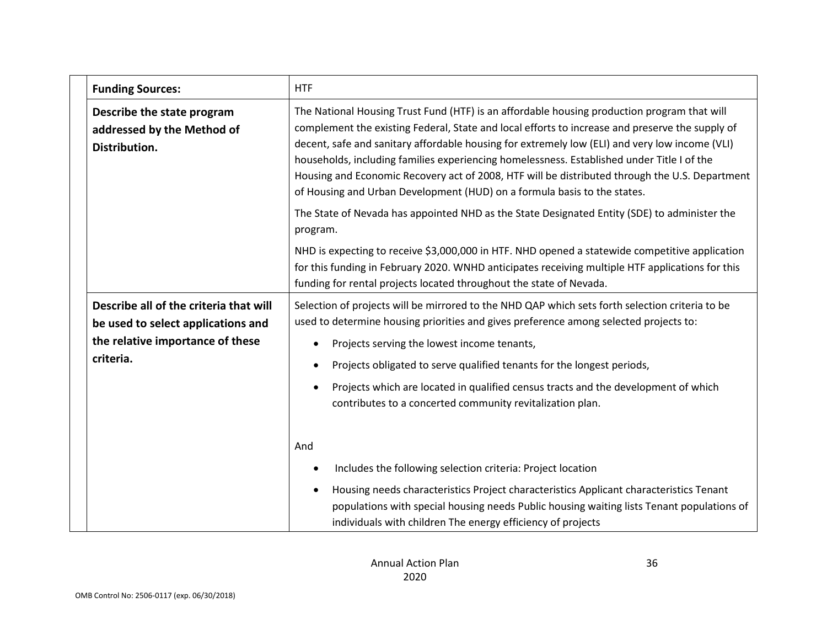| <b>Funding Sources:</b>                                                      | <b>HTF</b>                                                                                                                                                                                                                                                                                                                                                                                                                                                                                                                                                                   |
|------------------------------------------------------------------------------|------------------------------------------------------------------------------------------------------------------------------------------------------------------------------------------------------------------------------------------------------------------------------------------------------------------------------------------------------------------------------------------------------------------------------------------------------------------------------------------------------------------------------------------------------------------------------|
| Describe the state program<br>addressed by the Method of<br>Distribution.    | The National Housing Trust Fund (HTF) is an affordable housing production program that will<br>complement the existing Federal, State and local efforts to increase and preserve the supply of<br>decent, safe and sanitary affordable housing for extremely low (ELI) and very low income (VLI)<br>households, including families experiencing homelessness. Established under Title I of the<br>Housing and Economic Recovery act of 2008, HTF will be distributed through the U.S. Department<br>of Housing and Urban Development (HUD) on a formula basis to the states. |
|                                                                              | The State of Nevada has appointed NHD as the State Designated Entity (SDE) to administer the<br>program.                                                                                                                                                                                                                                                                                                                                                                                                                                                                     |
|                                                                              | NHD is expecting to receive \$3,000,000 in HTF. NHD opened a statewide competitive application<br>for this funding in February 2020. WNHD anticipates receiving multiple HTF applications for this<br>funding for rental projects located throughout the state of Nevada.                                                                                                                                                                                                                                                                                                    |
| Describe all of the criteria that will<br>be used to select applications and | Selection of projects will be mirrored to the NHD QAP which sets forth selection criteria to be<br>used to determine housing priorities and gives preference among selected projects to:                                                                                                                                                                                                                                                                                                                                                                                     |
| the relative importance of these<br>criteria.                                | Projects serving the lowest income tenants,<br>Projects obligated to serve qualified tenants for the longest periods,                                                                                                                                                                                                                                                                                                                                                                                                                                                        |
|                                                                              | Projects which are located in qualified census tracts and the development of which<br>contributes to a concerted community revitalization plan.                                                                                                                                                                                                                                                                                                                                                                                                                              |
|                                                                              | And                                                                                                                                                                                                                                                                                                                                                                                                                                                                                                                                                                          |
|                                                                              | Includes the following selection criteria: Project location                                                                                                                                                                                                                                                                                                                                                                                                                                                                                                                  |
|                                                                              | Housing needs characteristics Project characteristics Applicant characteristics Tenant<br>populations with special housing needs Public housing waiting lists Tenant populations of<br>individuals with children The energy efficiency of projects                                                                                                                                                                                                                                                                                                                           |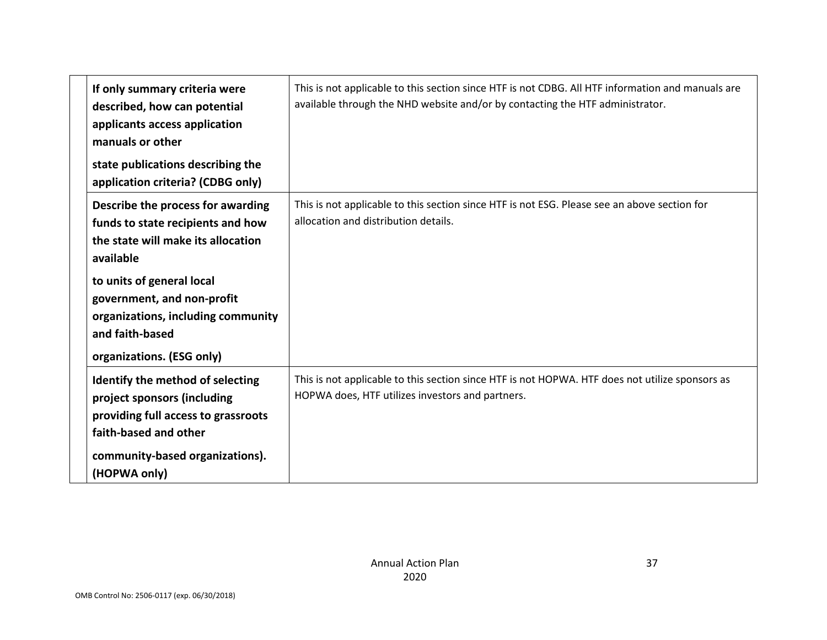| If only summary criteria were<br>described, how can potential<br>applicants access application<br>manuals or other<br>state publications describing the                            | This is not applicable to this section since HTF is not CDBG. All HTF information and manuals are<br>available through the NHD website and/or by contacting the HTF administrator. |
|------------------------------------------------------------------------------------------------------------------------------------------------------------------------------------|------------------------------------------------------------------------------------------------------------------------------------------------------------------------------------|
| application criteria? (CDBG only)                                                                                                                                                  |                                                                                                                                                                                    |
| Describe the process for awarding<br>funds to state recipients and how<br>the state will make its allocation<br>available                                                          | This is not applicable to this section since HTF is not ESG. Please see an above section for<br>allocation and distribution details.                                               |
| to units of general local<br>government, and non-profit<br>organizations, including community<br>and faith-based<br>organizations. (ESG only)                                      |                                                                                                                                                                                    |
| Identify the method of selecting<br>project sponsors (including<br>providing full access to grassroots<br>faith-based and other<br>community-based organizations).<br>(HOPWA only) | This is not applicable to this section since HTF is not HOPWA. HTF does not utilize sponsors as<br>HOPWA does, HTF utilizes investors and partners.                                |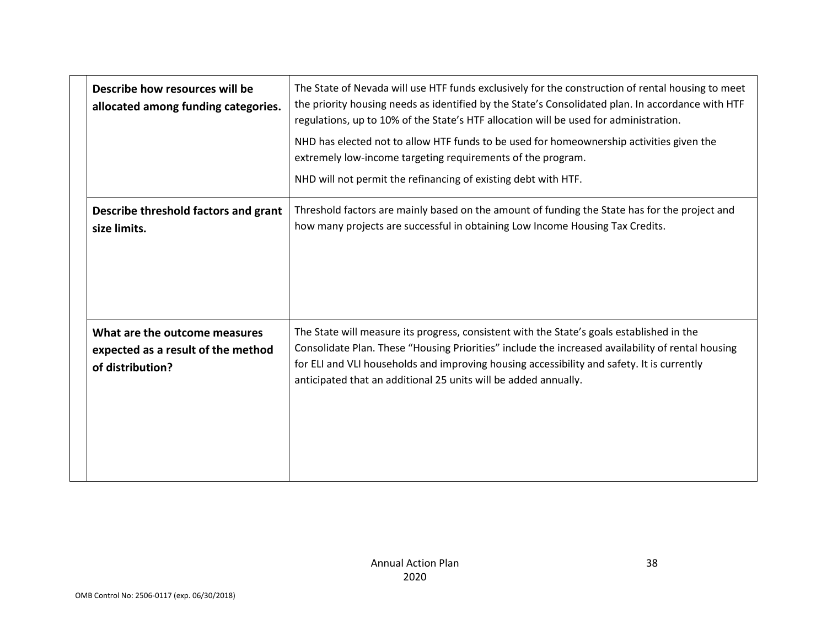| Describe how resources will be<br>allocated among funding categories.                   | The State of Nevada will use HTF funds exclusively for the construction of rental housing to meet<br>the priority housing needs as identified by the State's Consolidated plan. In accordance with HTF<br>regulations, up to 10% of the State's HTF allocation will be used for administration.<br>NHD has elected not to allow HTF funds to be used for homeownership activities given the<br>extremely low-income targeting requirements of the program.<br>NHD will not permit the refinancing of existing debt with HTF. |
|-----------------------------------------------------------------------------------------|------------------------------------------------------------------------------------------------------------------------------------------------------------------------------------------------------------------------------------------------------------------------------------------------------------------------------------------------------------------------------------------------------------------------------------------------------------------------------------------------------------------------------|
| Describe threshold factors and grant<br>size limits.                                    | Threshold factors are mainly based on the amount of funding the State has for the project and<br>how many projects are successful in obtaining Low Income Housing Tax Credits.                                                                                                                                                                                                                                                                                                                                               |
| What are the outcome measures<br>expected as a result of the method<br>of distribution? | The State will measure its progress, consistent with the State's goals established in the<br>Consolidate Plan. These "Housing Priorities" include the increased availability of rental housing<br>for ELI and VLI households and improving housing accessibility and safety. It is currently<br>anticipated that an additional 25 units will be added annually.                                                                                                                                                              |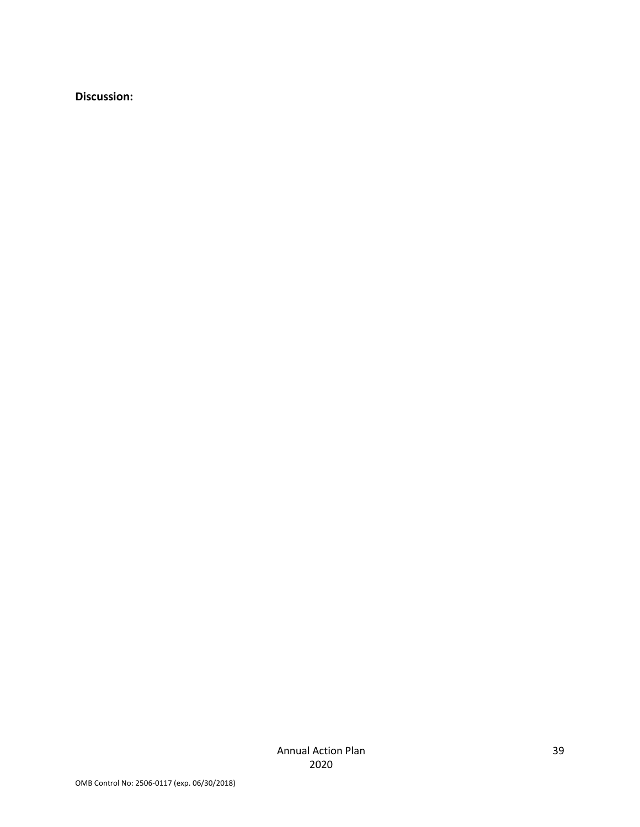**Discussion:**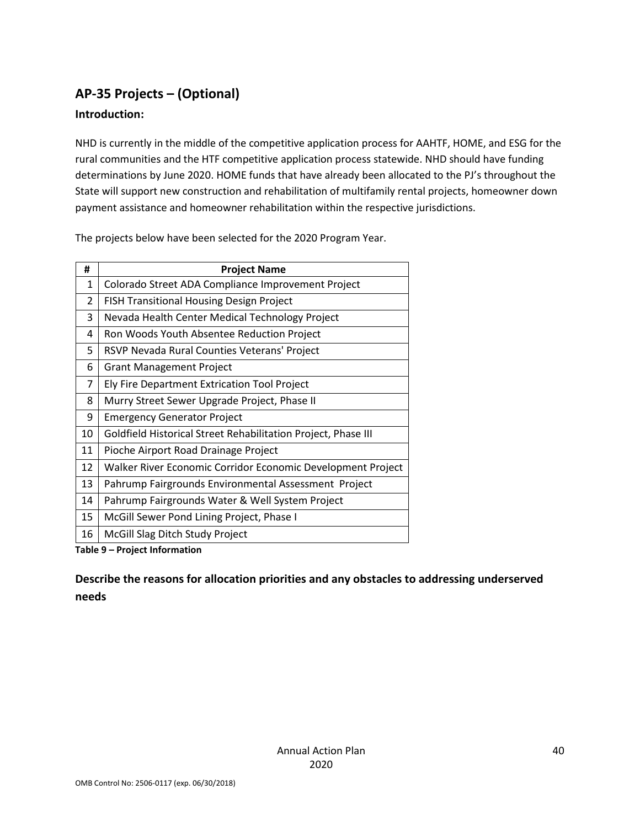# **AP-35 Projects – (Optional)**

### **Introduction:**

NHD is currently in the middle of the competitive application process for AAHTF, HOME, and ESG for the rural communities and the HTF competitive application process statewide. NHD should have funding determinations by June 2020. HOME funds that have already been allocated to the PJ's throughout the State will support new construction and rehabilitation of multifamily rental projects, homeowner down payment assistance and homeowner rehabilitation within the respective jurisdictions.

|  |  | The projects below have been selected for the 2020 Program Year. |  |  |
|--|--|------------------------------------------------------------------|--|--|
|  |  |                                                                  |  |  |
|  |  |                                                                  |  |  |

| #              | <b>Project Name</b>                                           |
|----------------|---------------------------------------------------------------|
| $\mathbf{1}$   | Colorado Street ADA Compliance Improvement Project            |
| $\overline{2}$ | <b>FISH Transitional Housing Design Project</b>               |
| 3              | Nevada Health Center Medical Technology Project               |
| 4              | Ron Woods Youth Absentee Reduction Project                    |
| 5.             | RSVP Nevada Rural Counties Veterans' Project                  |
| 6              | <b>Grant Management Project</b>                               |
| 7              | Ely Fire Department Extrication Tool Project                  |
| 8              | Murry Street Sewer Upgrade Project, Phase II                  |
| 9              | <b>Emergency Generator Project</b>                            |
| 10             | Goldfield Historical Street Rehabilitation Project, Phase III |
| 11             | Pioche Airport Road Drainage Project                          |
| 12             | Walker River Economic Corridor Economic Development Project   |
| 13             | Pahrump Fairgrounds Environmental Assessment Project          |
| 14             | Pahrump Fairgrounds Water & Well System Project               |
| 15             | McGill Sewer Pond Lining Project, Phase I                     |
| 16             | McGill Slag Ditch Study Project                               |

**Table 9 – Project Information**

### **Describe the reasons for allocation priorities and any obstacles to addressing underserved needs**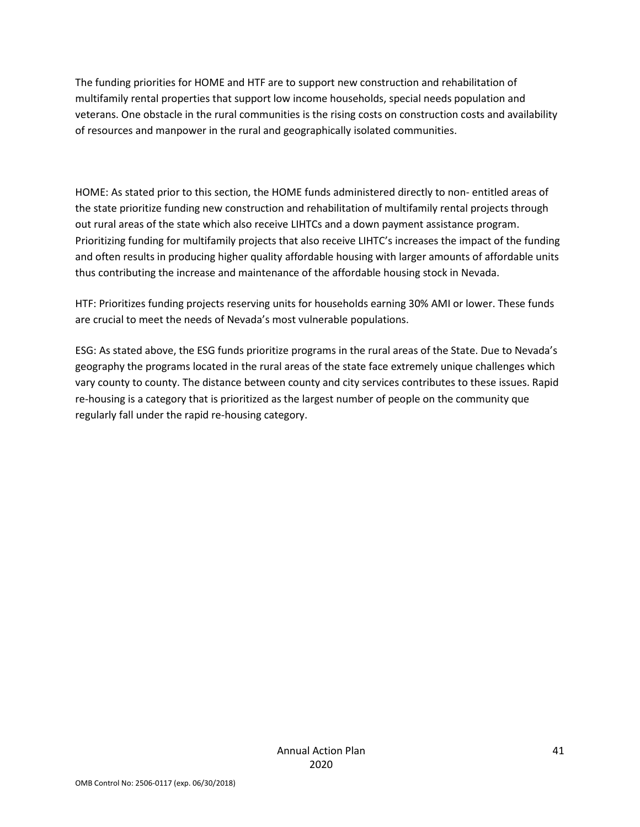The funding priorities for HOME and HTF are to support new construction and rehabilitation of multifamily rental properties that support low income households, special needs population and veterans. One obstacle in the rural communities is the rising costs on construction costs and availability of resources and manpower in the rural and geographically isolated communities.

HOME: As stated prior to this section, the HOME funds administered directly to non- entitled areas of the state prioritize funding new construction and rehabilitation of multifamily rental projects through out rural areas of the state which also receive LIHTCs and a down payment assistance program. Prioritizing funding for multifamily projects that also receive LIHTC's increases the impact of the funding and often results in producing higher quality affordable housing with larger amounts of affordable units thus contributing the increase and maintenance of the affordable housing stock in Nevada.

HTF: Prioritizes funding projects reserving units for households earning 30% AMI or lower. These funds are crucial to meet the needs of Nevada's most vulnerable populations.

ESG: As stated above, the ESG funds prioritize programs in the rural areas of the State. Due to Nevada's geography the programs located in the rural areas of the state face extremely unique challenges which vary county to county. The distance between county and city services contributes to these issues. Rapid re-housing is a category that is prioritized as the largest number of people on the community que regularly fall under the rapid re-housing category.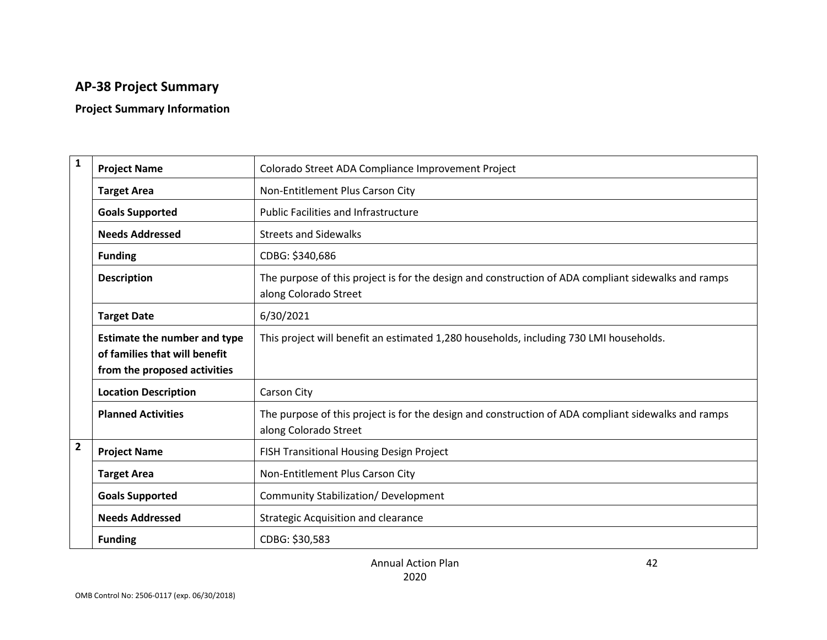# **AP-38 Project Summary**

### **Project Summary Information**

| 1              | <b>Project Name</b>                                                                                  | Colorado Street ADA Compliance Improvement Project                                                                           |
|----------------|------------------------------------------------------------------------------------------------------|------------------------------------------------------------------------------------------------------------------------------|
|                | <b>Target Area</b>                                                                                   | Non-Entitlement Plus Carson City                                                                                             |
|                | <b>Goals Supported</b>                                                                               | <b>Public Facilities and Infrastructure</b>                                                                                  |
|                | <b>Needs Addressed</b>                                                                               | <b>Streets and Sidewalks</b>                                                                                                 |
|                | <b>Funding</b>                                                                                       | CDBG: \$340,686                                                                                                              |
|                | <b>Description</b>                                                                                   | The purpose of this project is for the design and construction of ADA compliant sidewalks and ramps<br>along Colorado Street |
|                | <b>Target Date</b>                                                                                   | 6/30/2021                                                                                                                    |
|                | <b>Estimate the number and type</b><br>of families that will benefit<br>from the proposed activities | This project will benefit an estimated 1,280 households, including 730 LMI households.                                       |
|                | <b>Location Description</b>                                                                          | Carson City                                                                                                                  |
|                | <b>Planned Activities</b>                                                                            | The purpose of this project is for the design and construction of ADA compliant sidewalks and ramps<br>along Colorado Street |
| $\overline{2}$ | <b>Project Name</b>                                                                                  | FISH Transitional Housing Design Project                                                                                     |
|                | <b>Target Area</b>                                                                                   | Non-Entitlement Plus Carson City                                                                                             |
|                | <b>Goals Supported</b>                                                                               | Community Stabilization/ Development                                                                                         |
|                | <b>Needs Addressed</b>                                                                               | <b>Strategic Acquisition and clearance</b>                                                                                   |
|                | <b>Funding</b>                                                                                       | CDBG: \$30,583                                                                                                               |

42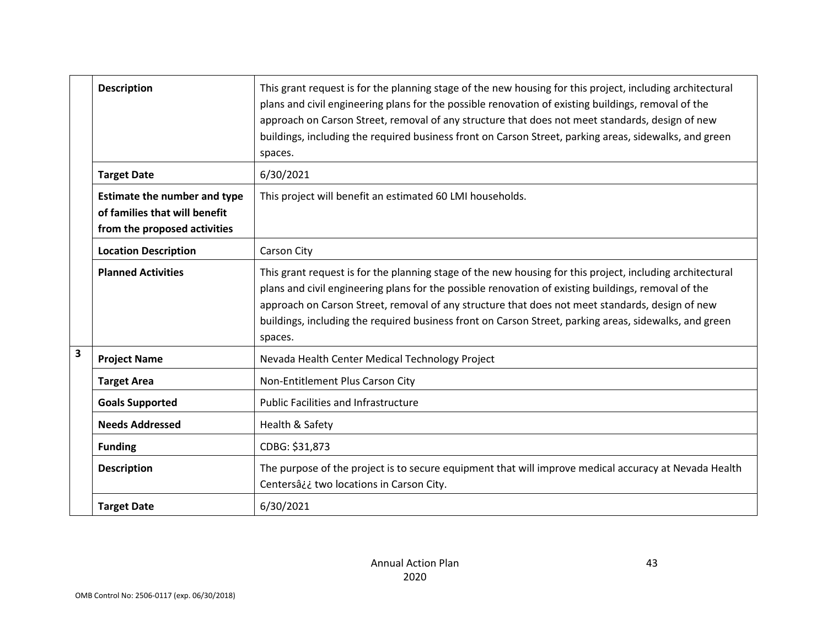|                         | <b>Description</b>                                                                                   | This grant request is for the planning stage of the new housing for this project, including architectural<br>plans and civil engineering plans for the possible renovation of existing buildings, removal of the<br>approach on Carson Street, removal of any structure that does not meet standards, design of new<br>buildings, including the required business front on Carson Street, parking areas, sidewalks, and green<br>spaces. |
|-------------------------|------------------------------------------------------------------------------------------------------|------------------------------------------------------------------------------------------------------------------------------------------------------------------------------------------------------------------------------------------------------------------------------------------------------------------------------------------------------------------------------------------------------------------------------------------|
|                         | <b>Target Date</b>                                                                                   | 6/30/2021                                                                                                                                                                                                                                                                                                                                                                                                                                |
|                         | <b>Estimate the number and type</b><br>of families that will benefit<br>from the proposed activities | This project will benefit an estimated 60 LMI households.                                                                                                                                                                                                                                                                                                                                                                                |
|                         | <b>Location Description</b>                                                                          | Carson City                                                                                                                                                                                                                                                                                                                                                                                                                              |
|                         | <b>Planned Activities</b>                                                                            | This grant request is for the planning stage of the new housing for this project, including architectural<br>plans and civil engineering plans for the possible renovation of existing buildings, removal of the<br>approach on Carson Street, removal of any structure that does not meet standards, design of new<br>buildings, including the required business front on Carson Street, parking areas, sidewalks, and green<br>spaces. |
| $\overline{\mathbf{3}}$ | <b>Project Name</b>                                                                                  | Nevada Health Center Medical Technology Project                                                                                                                                                                                                                                                                                                                                                                                          |
|                         | <b>Target Area</b>                                                                                   | Non-Entitlement Plus Carson City                                                                                                                                                                                                                                                                                                                                                                                                         |
|                         | <b>Goals Supported</b>                                                                               | <b>Public Facilities and Infrastructure</b>                                                                                                                                                                                                                                                                                                                                                                                              |
|                         | <b>Needs Addressed</b>                                                                               | Health & Safety                                                                                                                                                                                                                                                                                                                                                                                                                          |
|                         | <b>Funding</b>                                                                                       | CDBG: \$31,873                                                                                                                                                                                                                                                                                                                                                                                                                           |
|                         | <b>Description</b>                                                                                   | The purpose of the project is to secure equipment that will improve medical accuracy at Nevada Health<br>Centersâ¿¿ two locations in Carson City.                                                                                                                                                                                                                                                                                        |
|                         | <b>Target Date</b>                                                                                   | 6/30/2021                                                                                                                                                                                                                                                                                                                                                                                                                                |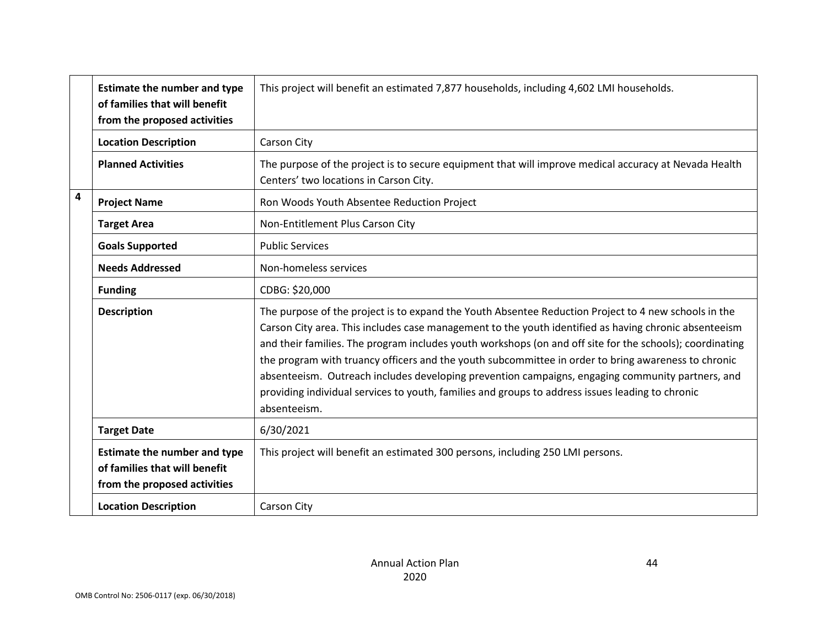|                         | <b>Estimate the number and type</b><br>of families that will benefit<br>from the proposed activities | This project will benefit an estimated 7,877 households, including 4,602 LMI households.                                                                                                                                                                                                                                                                                                                                                                                                                                                                                                                                                                 |
|-------------------------|------------------------------------------------------------------------------------------------------|----------------------------------------------------------------------------------------------------------------------------------------------------------------------------------------------------------------------------------------------------------------------------------------------------------------------------------------------------------------------------------------------------------------------------------------------------------------------------------------------------------------------------------------------------------------------------------------------------------------------------------------------------------|
|                         | <b>Location Description</b>                                                                          | Carson City                                                                                                                                                                                                                                                                                                                                                                                                                                                                                                                                                                                                                                              |
|                         | <b>Planned Activities</b>                                                                            | The purpose of the project is to secure equipment that will improve medical accuracy at Nevada Health<br>Centers' two locations in Carson City.                                                                                                                                                                                                                                                                                                                                                                                                                                                                                                          |
| $\overline{\mathbf{4}}$ | <b>Project Name</b>                                                                                  | Ron Woods Youth Absentee Reduction Project                                                                                                                                                                                                                                                                                                                                                                                                                                                                                                                                                                                                               |
|                         | <b>Target Area</b>                                                                                   | Non-Entitlement Plus Carson City                                                                                                                                                                                                                                                                                                                                                                                                                                                                                                                                                                                                                         |
|                         | <b>Goals Supported</b>                                                                               | <b>Public Services</b>                                                                                                                                                                                                                                                                                                                                                                                                                                                                                                                                                                                                                                   |
|                         | <b>Needs Addressed</b>                                                                               | Non-homeless services                                                                                                                                                                                                                                                                                                                                                                                                                                                                                                                                                                                                                                    |
|                         | <b>Funding</b>                                                                                       | CDBG: \$20,000                                                                                                                                                                                                                                                                                                                                                                                                                                                                                                                                                                                                                                           |
|                         | <b>Description</b>                                                                                   | The purpose of the project is to expand the Youth Absentee Reduction Project to 4 new schools in the<br>Carson City area. This includes case management to the youth identified as having chronic absenteeism<br>and their families. The program includes youth workshops (on and off site for the schools); coordinating<br>the program with truancy officers and the youth subcommittee in order to bring awareness to chronic<br>absenteeism. Outreach includes developing prevention campaigns, engaging community partners, and<br>providing individual services to youth, families and groups to address issues leading to chronic<br>absenteeism. |
|                         | <b>Target Date</b>                                                                                   | 6/30/2021                                                                                                                                                                                                                                                                                                                                                                                                                                                                                                                                                                                                                                                |
|                         | <b>Estimate the number and type</b><br>of families that will benefit<br>from the proposed activities | This project will benefit an estimated 300 persons, including 250 LMI persons.                                                                                                                                                                                                                                                                                                                                                                                                                                                                                                                                                                           |
|                         | <b>Location Description</b>                                                                          | Carson City                                                                                                                                                                                                                                                                                                                                                                                                                                                                                                                                                                                                                                              |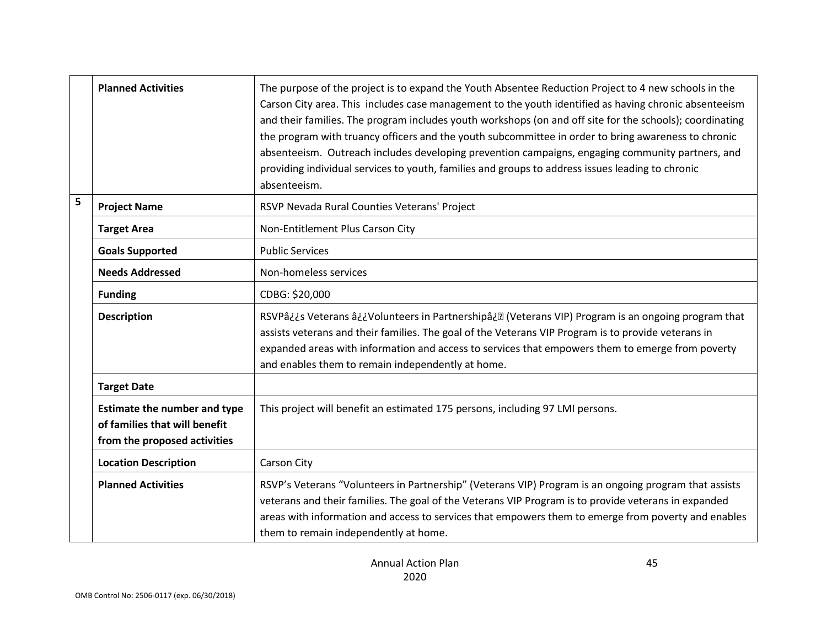|   | <b>Planned Activities</b>                                                                            | The purpose of the project is to expand the Youth Absentee Reduction Project to 4 new schools in the<br>Carson City area. This includes case management to the youth identified as having chronic absenteeism<br>and their families. The program includes youth workshops (on and off site for the schools); coordinating<br>the program with truancy officers and the youth subcommittee in order to bring awareness to chronic<br>absenteeism. Outreach includes developing prevention campaigns, engaging community partners, and<br>providing individual services to youth, families and groups to address issues leading to chronic<br>absenteeism. |
|---|------------------------------------------------------------------------------------------------------|----------------------------------------------------------------------------------------------------------------------------------------------------------------------------------------------------------------------------------------------------------------------------------------------------------------------------------------------------------------------------------------------------------------------------------------------------------------------------------------------------------------------------------------------------------------------------------------------------------------------------------------------------------|
| 5 | <b>Project Name</b>                                                                                  | RSVP Nevada Rural Counties Veterans' Project                                                                                                                                                                                                                                                                                                                                                                                                                                                                                                                                                                                                             |
|   | <b>Target Area</b>                                                                                   | Non-Entitlement Plus Carson City                                                                                                                                                                                                                                                                                                                                                                                                                                                                                                                                                                                                                         |
|   | <b>Goals Supported</b>                                                                               | <b>Public Services</b>                                                                                                                                                                                                                                                                                                                                                                                                                                                                                                                                                                                                                                   |
|   | <b>Needs Addressed</b>                                                                               | Non-homeless services                                                                                                                                                                                                                                                                                                                                                                                                                                                                                                                                                                                                                                    |
|   | <b>Funding</b>                                                                                       | CDBG: \$20,000                                                                                                                                                                                                                                                                                                                                                                                                                                                                                                                                                                                                                                           |
|   | <b>Description</b>                                                                                   | RSVP⿿s Veterans ⿿Volunteers in Partnership⿤ (Veterans VIP) Program is an ongoing program that<br>assists veterans and their families. The goal of the Veterans VIP Program is to provide veterans in<br>expanded areas with information and access to services that empowers them to emerge from poverty<br>and enables them to remain independently at home.                                                                                                                                                                                                                                                                                            |
|   | <b>Target Date</b>                                                                                   |                                                                                                                                                                                                                                                                                                                                                                                                                                                                                                                                                                                                                                                          |
|   | <b>Estimate the number and type</b><br>of families that will benefit<br>from the proposed activities | This project will benefit an estimated 175 persons, including 97 LMI persons.                                                                                                                                                                                                                                                                                                                                                                                                                                                                                                                                                                            |
|   | <b>Location Description</b>                                                                          | <b>Carson City</b>                                                                                                                                                                                                                                                                                                                                                                                                                                                                                                                                                                                                                                       |
|   | <b>Planned Activities</b>                                                                            | RSVP's Veterans "Volunteers in Partnership" (Veterans VIP) Program is an ongoing program that assists<br>veterans and their families. The goal of the Veterans VIP Program is to provide veterans in expanded<br>areas with information and access to services that empowers them to emerge from poverty and enables<br>them to remain independently at home.                                                                                                                                                                                                                                                                                            |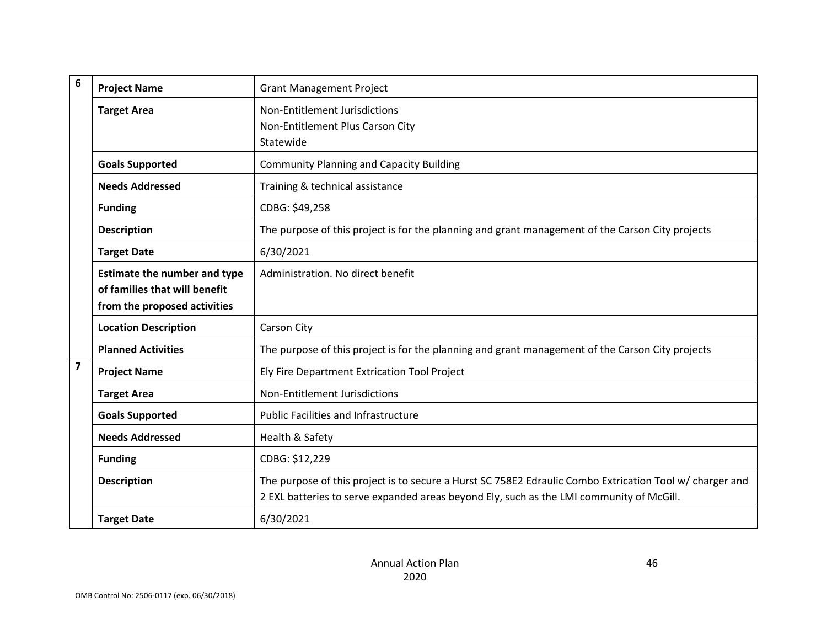| $6\phantom{1}6$         | <b>Project Name</b>                                                                                  | <b>Grant Management Project</b>                                                                                                                                                                      |  |  |  |
|-------------------------|------------------------------------------------------------------------------------------------------|------------------------------------------------------------------------------------------------------------------------------------------------------------------------------------------------------|--|--|--|
|                         | <b>Target Area</b>                                                                                   | Non-Entitlement Jurisdictions<br>Non-Entitlement Plus Carson City<br>Statewide                                                                                                                       |  |  |  |
|                         | <b>Goals Supported</b>                                                                               | <b>Community Planning and Capacity Building</b>                                                                                                                                                      |  |  |  |
|                         | <b>Needs Addressed</b>                                                                               | Training & technical assistance                                                                                                                                                                      |  |  |  |
|                         | <b>Funding</b>                                                                                       | CDBG: \$49,258                                                                                                                                                                                       |  |  |  |
|                         | <b>Description</b>                                                                                   | The purpose of this project is for the planning and grant management of the Carson City projects                                                                                                     |  |  |  |
|                         | <b>Target Date</b>                                                                                   | 6/30/2021                                                                                                                                                                                            |  |  |  |
|                         | <b>Estimate the number and type</b><br>of families that will benefit<br>from the proposed activities | Administration. No direct benefit                                                                                                                                                                    |  |  |  |
|                         | <b>Location Description</b>                                                                          | <b>Carson City</b>                                                                                                                                                                                   |  |  |  |
|                         | <b>Planned Activities</b>                                                                            | The purpose of this project is for the planning and grant management of the Carson City projects                                                                                                     |  |  |  |
| $\overline{\mathbf{z}}$ | <b>Project Name</b>                                                                                  | Ely Fire Department Extrication Tool Project                                                                                                                                                         |  |  |  |
|                         | <b>Target Area</b>                                                                                   | Non-Entitlement Jurisdictions                                                                                                                                                                        |  |  |  |
|                         | <b>Goals Supported</b>                                                                               | <b>Public Facilities and Infrastructure</b>                                                                                                                                                          |  |  |  |
|                         | <b>Needs Addressed</b>                                                                               | Health & Safety                                                                                                                                                                                      |  |  |  |
|                         | <b>Funding</b>                                                                                       | CDBG: \$12,229                                                                                                                                                                                       |  |  |  |
|                         | <b>Description</b>                                                                                   | The purpose of this project is to secure a Hurst SC 758E2 Edraulic Combo Extrication Tool w/ charger and<br>2 EXL batteries to serve expanded areas beyond Ely, such as the LMI community of McGill. |  |  |  |
|                         | <b>Target Date</b>                                                                                   | 6/30/2021                                                                                                                                                                                            |  |  |  |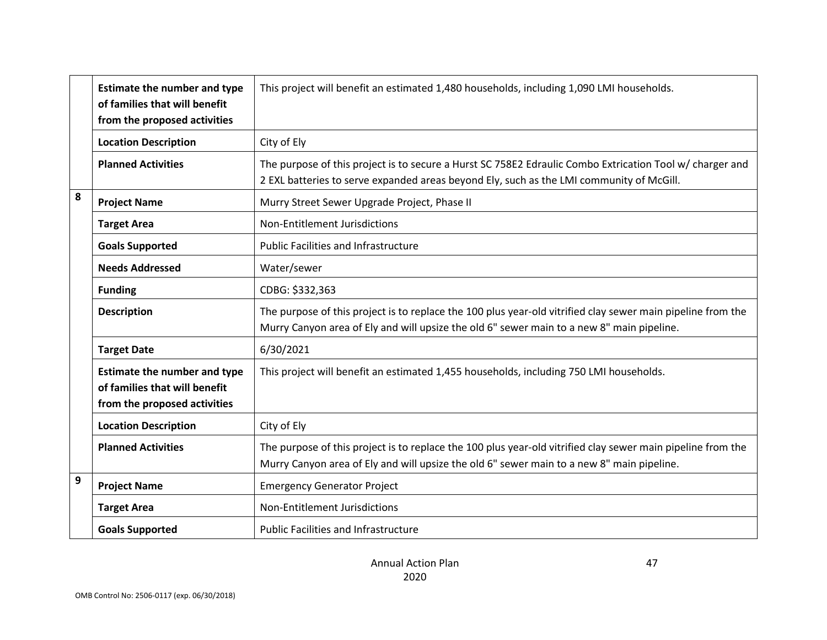|                | <b>Estimate the number and type</b><br>of families that will benefit<br>from the proposed activities | This project will benefit an estimated 1,480 households, including 1,090 LMI households.                                                                                                                 |
|----------------|------------------------------------------------------------------------------------------------------|----------------------------------------------------------------------------------------------------------------------------------------------------------------------------------------------------------|
|                | <b>Location Description</b>                                                                          | City of Ely                                                                                                                                                                                              |
|                | <b>Planned Activities</b>                                                                            | The purpose of this project is to secure a Hurst SC 758E2 Edraulic Combo Extrication Tool w/ charger and<br>2 EXL batteries to serve expanded areas beyond Ely, such as the LMI community of McGill.     |
| 8              | <b>Project Name</b>                                                                                  | Murry Street Sewer Upgrade Project, Phase II                                                                                                                                                             |
|                | <b>Target Area</b>                                                                                   | Non-Entitlement Jurisdictions                                                                                                                                                                            |
|                | <b>Goals Supported</b>                                                                               | <b>Public Facilities and Infrastructure</b>                                                                                                                                                              |
|                | <b>Needs Addressed</b>                                                                               | Water/sewer                                                                                                                                                                                              |
|                | <b>Funding</b>                                                                                       | CDBG: \$332,363                                                                                                                                                                                          |
|                | <b>Description</b>                                                                                   | The purpose of this project is to replace the 100 plus year-old vitrified clay sewer main pipeline from the<br>Murry Canyon area of Ely and will upsize the old 6" sewer main to a new 8" main pipeline. |
|                | <b>Target Date</b>                                                                                   | 6/30/2021                                                                                                                                                                                                |
|                | <b>Estimate the number and type</b><br>of families that will benefit<br>from the proposed activities | This project will benefit an estimated 1,455 households, including 750 LMI households.                                                                                                                   |
|                | <b>Location Description</b>                                                                          | City of Ely                                                                                                                                                                                              |
|                | <b>Planned Activities</b>                                                                            | The purpose of this project is to replace the 100 plus year-old vitrified clay sewer main pipeline from the<br>Murry Canyon area of Ely and will upsize the old 6" sewer main to a new 8" main pipeline. |
| $\overline{9}$ | <b>Project Name</b>                                                                                  | <b>Emergency Generator Project</b>                                                                                                                                                                       |
|                | <b>Target Area</b>                                                                                   | Non-Entitlement Jurisdictions                                                                                                                                                                            |
|                | <b>Goals Supported</b>                                                                               | <b>Public Facilities and Infrastructure</b>                                                                                                                                                              |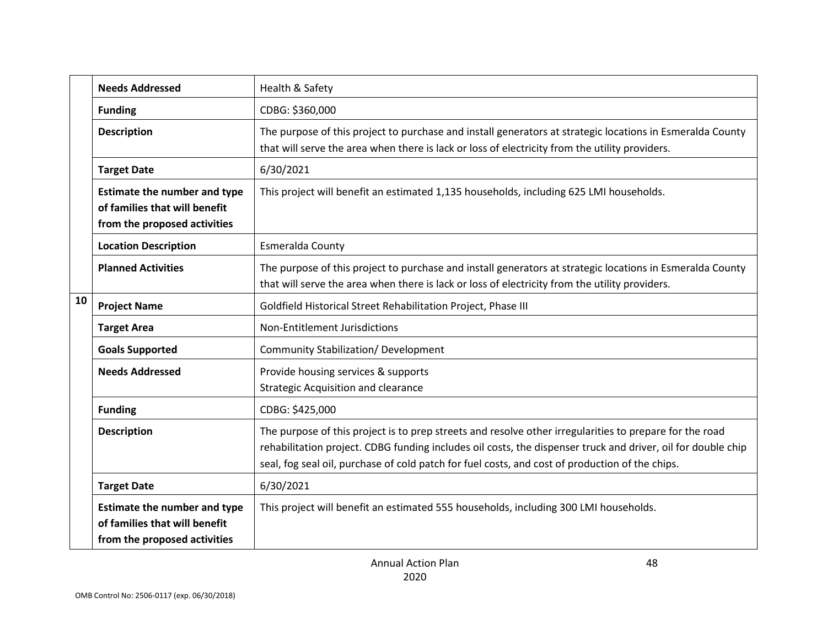|    | <b>Needs Addressed</b>                                                                               | Health & Safety                                                                                                                                                                                                                                                                                                            |  |  |  |
|----|------------------------------------------------------------------------------------------------------|----------------------------------------------------------------------------------------------------------------------------------------------------------------------------------------------------------------------------------------------------------------------------------------------------------------------------|--|--|--|
|    | <b>Funding</b>                                                                                       | CDBG: \$360,000                                                                                                                                                                                                                                                                                                            |  |  |  |
|    | <b>Description</b>                                                                                   | The purpose of this project to purchase and install generators at strategic locations in Esmeralda County<br>that will serve the area when there is lack or loss of electricity from the utility providers.                                                                                                                |  |  |  |
|    | <b>Target Date</b>                                                                                   | 6/30/2021                                                                                                                                                                                                                                                                                                                  |  |  |  |
|    | <b>Estimate the number and type</b><br>of families that will benefit<br>from the proposed activities | This project will benefit an estimated 1,135 households, including 625 LMI households.                                                                                                                                                                                                                                     |  |  |  |
|    | <b>Location Description</b>                                                                          | Esmeralda County                                                                                                                                                                                                                                                                                                           |  |  |  |
|    | <b>Planned Activities</b>                                                                            | The purpose of this project to purchase and install generators at strategic locations in Esmeralda County<br>that will serve the area when there is lack or loss of electricity from the utility providers.                                                                                                                |  |  |  |
| 10 | <b>Project Name</b>                                                                                  | Goldfield Historical Street Rehabilitation Project, Phase III                                                                                                                                                                                                                                                              |  |  |  |
|    | <b>Target Area</b>                                                                                   | Non-Entitlement Jurisdictions                                                                                                                                                                                                                                                                                              |  |  |  |
|    | <b>Goals Supported</b>                                                                               | Community Stabilization/ Development                                                                                                                                                                                                                                                                                       |  |  |  |
|    | <b>Needs Addressed</b>                                                                               | Provide housing services & supports<br><b>Strategic Acquisition and clearance</b>                                                                                                                                                                                                                                          |  |  |  |
|    | <b>Funding</b>                                                                                       | CDBG: \$425,000                                                                                                                                                                                                                                                                                                            |  |  |  |
|    | <b>Description</b>                                                                                   | The purpose of this project is to prep streets and resolve other irregularities to prepare for the road<br>rehabilitation project. CDBG funding includes oil costs, the dispenser truck and driver, oil for double chip<br>seal, fog seal oil, purchase of cold patch for fuel costs, and cost of production of the chips. |  |  |  |
|    | <b>Target Date</b>                                                                                   | 6/30/2021                                                                                                                                                                                                                                                                                                                  |  |  |  |
|    | <b>Estimate the number and type</b><br>of families that will benefit<br>from the proposed activities | This project will benefit an estimated 555 households, including 300 LMI households.                                                                                                                                                                                                                                       |  |  |  |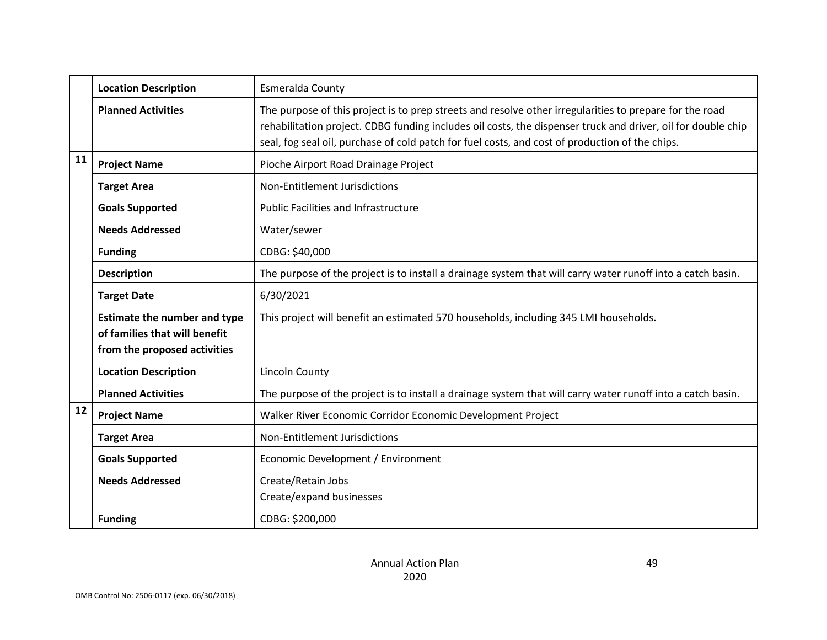|    | <b>Location Description</b>                                                                          | Esmeralda County                                                                                                                                                                                                                                                                                                           |
|----|------------------------------------------------------------------------------------------------------|----------------------------------------------------------------------------------------------------------------------------------------------------------------------------------------------------------------------------------------------------------------------------------------------------------------------------|
|    | <b>Planned Activities</b>                                                                            | The purpose of this project is to prep streets and resolve other irregularities to prepare for the road<br>rehabilitation project. CDBG funding includes oil costs, the dispenser truck and driver, oil for double chip<br>seal, fog seal oil, purchase of cold patch for fuel costs, and cost of production of the chips. |
| 11 | <b>Project Name</b>                                                                                  | Pioche Airport Road Drainage Project                                                                                                                                                                                                                                                                                       |
|    | <b>Target Area</b>                                                                                   | Non-Entitlement Jurisdictions                                                                                                                                                                                                                                                                                              |
|    | <b>Goals Supported</b>                                                                               | <b>Public Facilities and Infrastructure</b>                                                                                                                                                                                                                                                                                |
|    | <b>Needs Addressed</b>                                                                               | Water/sewer                                                                                                                                                                                                                                                                                                                |
|    | <b>Funding</b>                                                                                       | CDBG: \$40,000                                                                                                                                                                                                                                                                                                             |
|    | <b>Description</b>                                                                                   | The purpose of the project is to install a drainage system that will carry water runoff into a catch basin.                                                                                                                                                                                                                |
|    | <b>Target Date</b>                                                                                   | 6/30/2021                                                                                                                                                                                                                                                                                                                  |
|    | <b>Estimate the number and type</b><br>of families that will benefit<br>from the proposed activities | This project will benefit an estimated 570 households, including 345 LMI households.                                                                                                                                                                                                                                       |
|    | <b>Location Description</b>                                                                          | <b>Lincoln County</b>                                                                                                                                                                                                                                                                                                      |
|    | <b>Planned Activities</b>                                                                            | The purpose of the project is to install a drainage system that will carry water runoff into a catch basin.                                                                                                                                                                                                                |
| 12 | <b>Project Name</b>                                                                                  | Walker River Economic Corridor Economic Development Project                                                                                                                                                                                                                                                                |
|    | <b>Target Area</b>                                                                                   | Non-Entitlement Jurisdictions                                                                                                                                                                                                                                                                                              |
|    | <b>Goals Supported</b>                                                                               | Economic Development / Environment                                                                                                                                                                                                                                                                                         |
|    | <b>Needs Addressed</b>                                                                               | Create/Retain Jobs<br>Create/expand businesses                                                                                                                                                                                                                                                                             |
|    | <b>Funding</b>                                                                                       | CDBG: \$200,000                                                                                                                                                                                                                                                                                                            |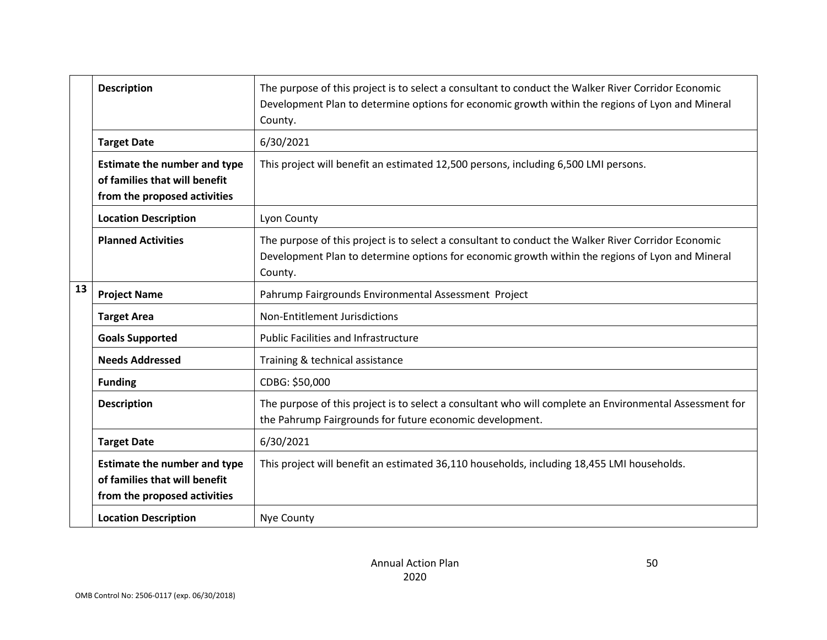|    | <b>Description</b>                                                                                   | The purpose of this project is to select a consultant to conduct the Walker River Corridor Economic<br>Development Plan to determine options for economic growth within the regions of Lyon and Mineral<br>County. |
|----|------------------------------------------------------------------------------------------------------|--------------------------------------------------------------------------------------------------------------------------------------------------------------------------------------------------------------------|
|    | <b>Target Date</b>                                                                                   | 6/30/2021                                                                                                                                                                                                          |
|    | <b>Estimate the number and type</b><br>of families that will benefit<br>from the proposed activities | This project will benefit an estimated 12,500 persons, including 6,500 LMI persons.                                                                                                                                |
|    | <b>Location Description</b>                                                                          | Lyon County                                                                                                                                                                                                        |
|    | <b>Planned Activities</b>                                                                            | The purpose of this project is to select a consultant to conduct the Walker River Corridor Economic<br>Development Plan to determine options for economic growth within the regions of Lyon and Mineral<br>County. |
| 13 | <b>Project Name</b>                                                                                  | Pahrump Fairgrounds Environmental Assessment Project                                                                                                                                                               |
|    | <b>Target Area</b>                                                                                   | Non-Entitlement Jurisdictions                                                                                                                                                                                      |
|    | <b>Goals Supported</b>                                                                               | <b>Public Facilities and Infrastructure</b>                                                                                                                                                                        |
|    | <b>Needs Addressed</b>                                                                               | Training & technical assistance                                                                                                                                                                                    |
|    | <b>Funding</b>                                                                                       | CDBG: \$50,000                                                                                                                                                                                                     |
|    | <b>Description</b>                                                                                   | The purpose of this project is to select a consultant who will complete an Environmental Assessment for<br>the Pahrump Fairgrounds for future economic development.                                                |
|    | <b>Target Date</b>                                                                                   | 6/30/2021                                                                                                                                                                                                          |
|    | <b>Estimate the number and type</b><br>of families that will benefit<br>from the proposed activities | This project will benefit an estimated 36,110 households, including 18,455 LMI households.                                                                                                                         |
|    | <b>Location Description</b>                                                                          | Nye County                                                                                                                                                                                                         |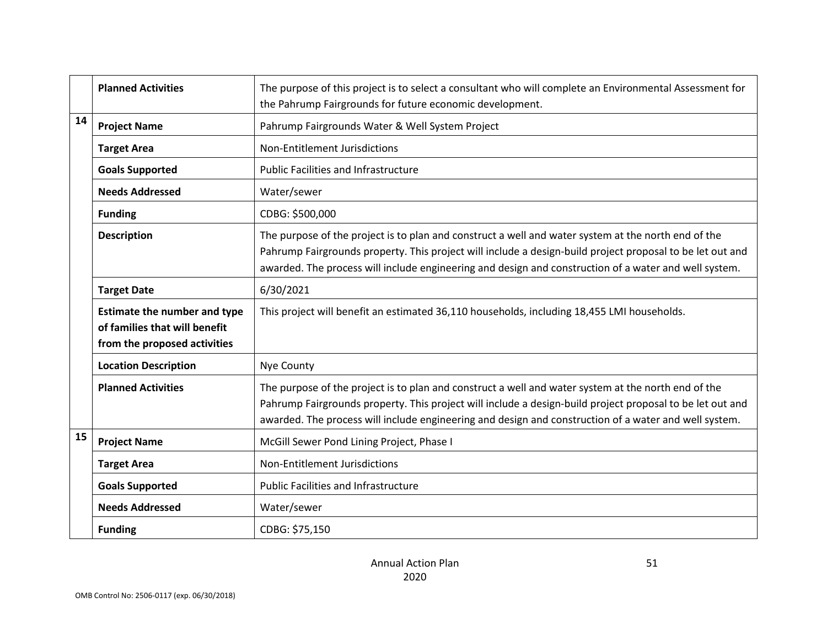|                                   | <b>Planned Activities</b>                                                                            | The purpose of this project is to select a consultant who will complete an Environmental Assessment for<br>the Pahrump Fairgrounds for future economic development.                                                                                                                                                       |
|-----------------------------------|------------------------------------------------------------------------------------------------------|---------------------------------------------------------------------------------------------------------------------------------------------------------------------------------------------------------------------------------------------------------------------------------------------------------------------------|
| 14                                | <b>Project Name</b>                                                                                  | Pahrump Fairgrounds Water & Well System Project                                                                                                                                                                                                                                                                           |
|                                   | <b>Target Area</b>                                                                                   | Non-Entitlement Jurisdictions                                                                                                                                                                                                                                                                                             |
|                                   | <b>Goals Supported</b>                                                                               | <b>Public Facilities and Infrastructure</b>                                                                                                                                                                                                                                                                               |
|                                   | <b>Needs Addressed</b>                                                                               | Water/sewer                                                                                                                                                                                                                                                                                                               |
| CDBG: \$500,000<br><b>Funding</b> |                                                                                                      |                                                                                                                                                                                                                                                                                                                           |
|                                   | <b>Description</b>                                                                                   | The purpose of the project is to plan and construct a well and water system at the north end of the<br>Pahrump Fairgrounds property. This project will include a design-build project proposal to be let out and<br>awarded. The process will include engineering and design and construction of a water and well system. |
|                                   | <b>Target Date</b>                                                                                   | 6/30/2021                                                                                                                                                                                                                                                                                                                 |
|                                   | <b>Estimate the number and type</b><br>of families that will benefit<br>from the proposed activities | This project will benefit an estimated 36,110 households, including 18,455 LMI households.                                                                                                                                                                                                                                |
|                                   | <b>Location Description</b>                                                                          | Nye County                                                                                                                                                                                                                                                                                                                |
|                                   | <b>Planned Activities</b>                                                                            | The purpose of the project is to plan and construct a well and water system at the north end of the<br>Pahrump Fairgrounds property. This project will include a design-build project proposal to be let out and<br>awarded. The process will include engineering and design and construction of a water and well system. |
| 15                                | <b>Project Name</b>                                                                                  | McGill Sewer Pond Lining Project, Phase I                                                                                                                                                                                                                                                                                 |
|                                   | <b>Target Area</b>                                                                                   | Non-Entitlement Jurisdictions                                                                                                                                                                                                                                                                                             |
|                                   | <b>Goals Supported</b>                                                                               | <b>Public Facilities and Infrastructure</b>                                                                                                                                                                                                                                                                               |
|                                   | <b>Needs Addressed</b>                                                                               | Water/sewer                                                                                                                                                                                                                                                                                                               |
|                                   | <b>Funding</b>                                                                                       | CDBG: \$75,150                                                                                                                                                                                                                                                                                                            |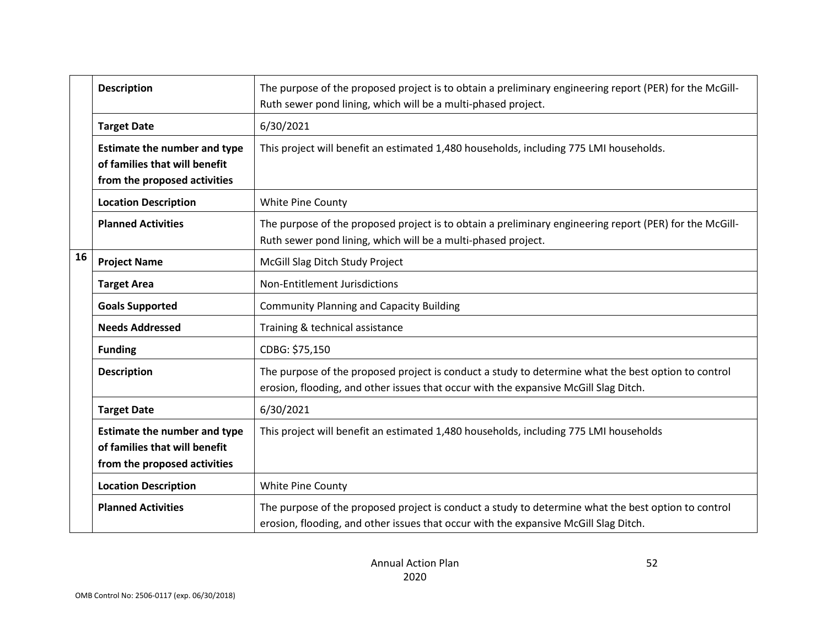|    | <b>Description</b>                                                                                   | The purpose of the proposed project is to obtain a preliminary engineering report (PER) for the McGill-<br>Ruth sewer pond lining, which will be a multi-phased project.                    |
|----|------------------------------------------------------------------------------------------------------|---------------------------------------------------------------------------------------------------------------------------------------------------------------------------------------------|
|    | <b>Target Date</b>                                                                                   | 6/30/2021                                                                                                                                                                                   |
|    | <b>Estimate the number and type</b><br>of families that will benefit<br>from the proposed activities | This project will benefit an estimated 1,480 households, including 775 LMI households.                                                                                                      |
|    | <b>Location Description</b>                                                                          | White Pine County                                                                                                                                                                           |
|    | <b>Planned Activities</b>                                                                            | The purpose of the proposed project is to obtain a preliminary engineering report (PER) for the McGill-<br>Ruth sewer pond lining, which will be a multi-phased project.                    |
| 16 | <b>Project Name</b>                                                                                  | McGill Slag Ditch Study Project                                                                                                                                                             |
|    | <b>Target Area</b>                                                                                   | Non-Entitlement Jurisdictions                                                                                                                                                               |
|    | <b>Goals Supported</b>                                                                               | <b>Community Planning and Capacity Building</b>                                                                                                                                             |
|    | <b>Needs Addressed</b>                                                                               | Training & technical assistance                                                                                                                                                             |
|    | <b>Funding</b>                                                                                       | CDBG: \$75,150                                                                                                                                                                              |
|    | <b>Description</b>                                                                                   | The purpose of the proposed project is conduct a study to determine what the best option to control<br>erosion, flooding, and other issues that occur with the expansive McGill Slag Ditch. |
|    | <b>Target Date</b>                                                                                   | 6/30/2021                                                                                                                                                                                   |
|    | <b>Estimate the number and type</b><br>of families that will benefit<br>from the proposed activities | This project will benefit an estimated 1,480 households, including 775 LMI households                                                                                                       |
|    | <b>Location Description</b>                                                                          | White Pine County                                                                                                                                                                           |
|    | <b>Planned Activities</b>                                                                            | The purpose of the proposed project is conduct a study to determine what the best option to control<br>erosion, flooding, and other issues that occur with the expansive McGill Slag Ditch. |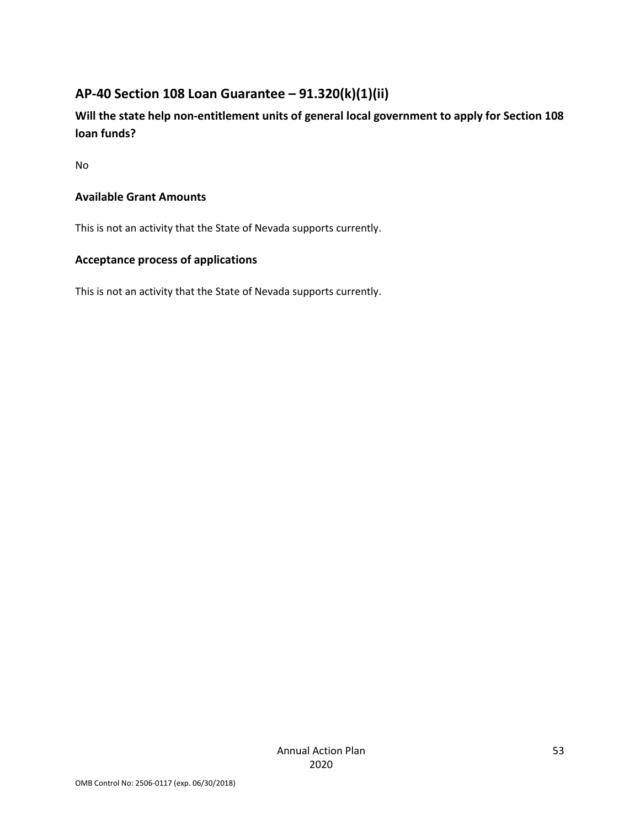# **AP-40 Section 108 Loan Guarantee – 91.320(k)(1)(ii)**

**Will the state help non-entitlement units of general local government to apply for Section 108 loan funds?**

No

### **Available Grant Amounts**

This is not an activity that the State of Nevada supports currently.

### **Acceptance process of applications**

This is not an activity that the State of Nevada supports currently.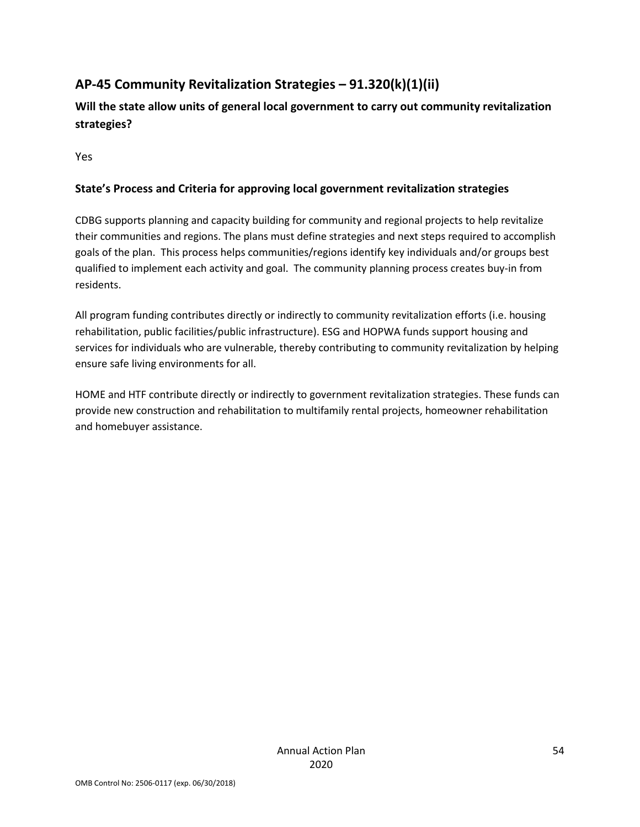# **AP-45 Community Revitalization Strategies – 91.320(k)(1)(ii)**

**Will the state allow units of general local government to carry out community revitalization strategies?**

Yes

### **State's Process and Criteria for approving local government revitalization strategies**

CDBG supports planning and capacity building for community and regional projects to help revitalize their communities and regions. The plans must define strategies and next steps required to accomplish goals of the plan. This process helps communities/regions identify key individuals and/or groups best qualified to implement each activity and goal. The community planning process creates buy-in from residents.

All program funding contributes directly or indirectly to community revitalization efforts (i.e. housing rehabilitation, public facilities/public infrastructure). ESG and HOPWA funds support housing and services for individuals who are vulnerable, thereby contributing to community revitalization by helping ensure safe living environments for all.

HOME and HTF contribute directly or indirectly to government revitalization strategies. These funds can provide new construction and rehabilitation to multifamily rental projects, homeowner rehabilitation and homebuyer assistance.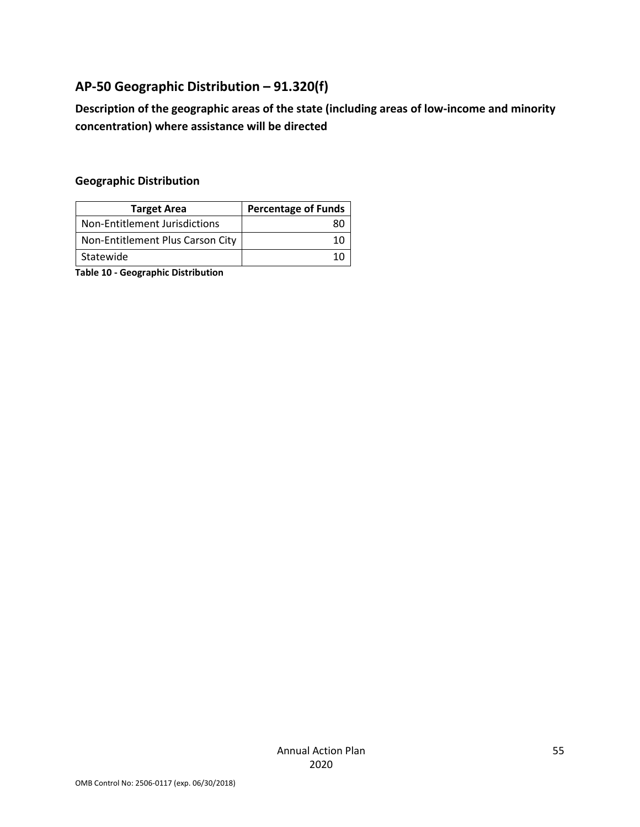# **AP-50 Geographic Distribution – 91.320(f)**

**Description of the geographic areas of the state (including areas of low-income and minority concentration) where assistance will be directed** 

### **Geographic Distribution**

| <b>Target Area</b>               | <b>Percentage of Funds</b> |
|----------------------------------|----------------------------|
| Non-Entitlement Jurisdictions    |                            |
| Non-Entitlement Plus Carson City |                            |
| Statewide                        |                            |

**Table 10 - Geographic Distribution**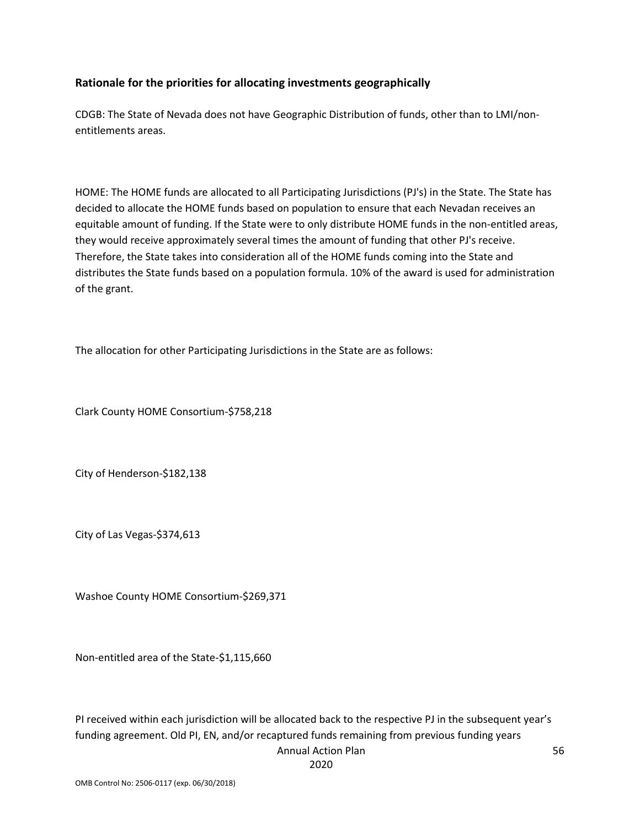### **Rationale for the priorities for allocating investments geographically**

CDGB: The State of Nevada does not have Geographic Distribution of funds, other than to LMI/nonentitlements areas.

HOME: The HOME funds are allocated to all Participating Jurisdictions (PJ's) in the State. The State has decided to allocate the HOME funds based on population to ensure that each Nevadan receives an equitable amount of funding. If the State were to only distribute HOME funds in the non-entitled areas, they would receive approximately several times the amount of funding that other PJ's receive. Therefore, the State takes into consideration all of the HOME funds coming into the State and distributes the State funds based on a population formula. 10% of the award is used for administration of the grant.

The allocation for other Participating Jurisdictions in the State are as follows:

Clark County HOME Consortium-\$758,218

City of Henderson-\$182,138

City of Las Vegas-\$374,613

Washoe County HOME Consortium-\$269,371

Non-entitled area of the State-\$1,115,660

Annual Action Plan PI received within each jurisdiction will be allocated back to the respective PJ in the subsequent year's funding agreement. Old PI, EN, and/or recaptured funds remaining from previous funding years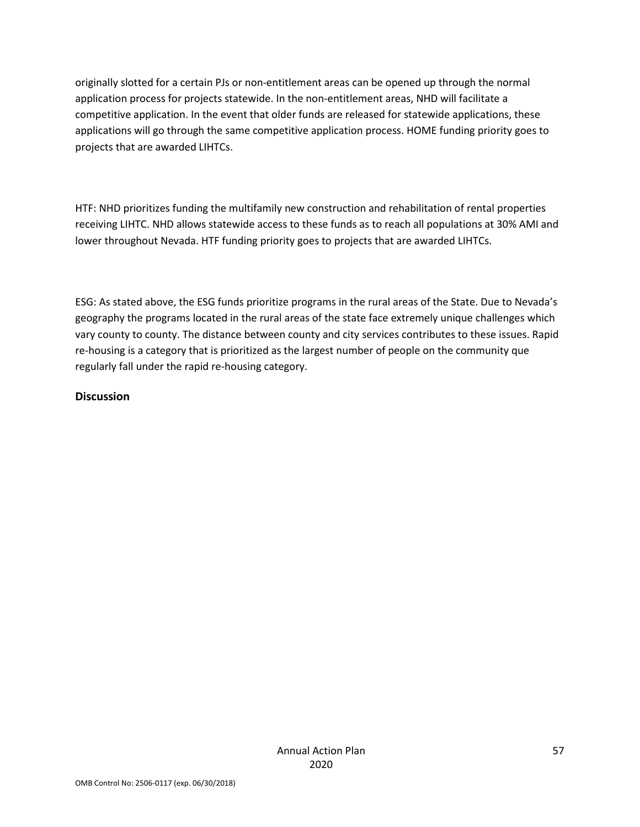originally slotted for a certain PJs or non-entitlement areas can be opened up through the normal application process for projects statewide. In the non-entitlement areas, NHD will facilitate a competitive application. In the event that older funds are released for statewide applications, these applications will go through the same competitive application process. HOME funding priority goes to projects that are awarded LIHTCs.

HTF: NHD prioritizes funding the multifamily new construction and rehabilitation of rental properties receiving LIHTC. NHD allows statewide access to these funds as to reach all populations at 30% AMI and lower throughout Nevada. HTF funding priority goes to projects that are awarded LIHTCs.

ESG: As stated above, the ESG funds prioritize programs in the rural areas of the State. Due to Nevada's geography the programs located in the rural areas of the state face extremely unique challenges which vary county to county. The distance between county and city services contributes to these issues. Rapid re-housing is a category that is prioritized as the largest number of people on the community que regularly fall under the rapid re-housing category.

### **Discussion**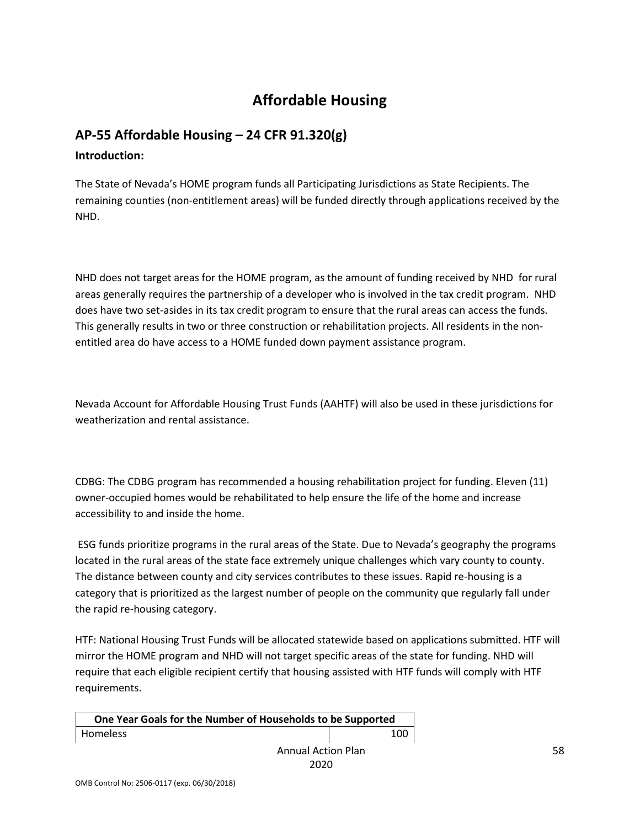# **Affordable Housing**

## **AP-55 Affordable Housing – 24 CFR 91.320(g)**

### **Introduction:**

The State of Nevada's HOME program funds all Participating Jurisdictions as State Recipients. The remaining counties (non-entitlement areas) will be funded directly through applications received by the NHD.

NHD does not target areas for the HOME program, as the amount of funding received by NHD for rural areas generally requires the partnership of a developer who is involved in the tax credit program. NHD does have two set-asides in its tax credit program to ensure that the rural areas can access the funds. This generally results in two or three construction or rehabilitation projects. All residents in the nonentitled area do have access to a HOME funded down payment assistance program.

Nevada Account for Affordable Housing Trust Funds (AAHTF) will also be used in these jurisdictions for weatherization and rental assistance.

CDBG: The CDBG program has recommended a housing rehabilitation project for funding. Eleven (11) owner-occupied homes would be rehabilitated to help ensure the life of the home and increase accessibility to and inside the home.

ESG funds prioritize programs in the rural areas of the State. Due to Nevada's geography the programs located in the rural areas of the state face extremely unique challenges which vary county to county. The distance between county and city services contributes to these issues. Rapid re-housing is a category that is prioritized as the largest number of people on the community que regularly fall under the rapid re-housing category.

HTF: National Housing Trust Funds will be allocated statewide based on applications submitted. HTF will mirror the HOME program and NHD will not target specific areas of the state for funding. NHD will require that each eligible recipient certify that housing assisted with HTF funds will comply with HTF requirements.

|          | One Year Goals for the Number of Households to be Supported |
|----------|-------------------------------------------------------------|
| Homeless | 100                                                         |
|          | <b>Annual Action Plan</b>                                   |
|          |                                                             |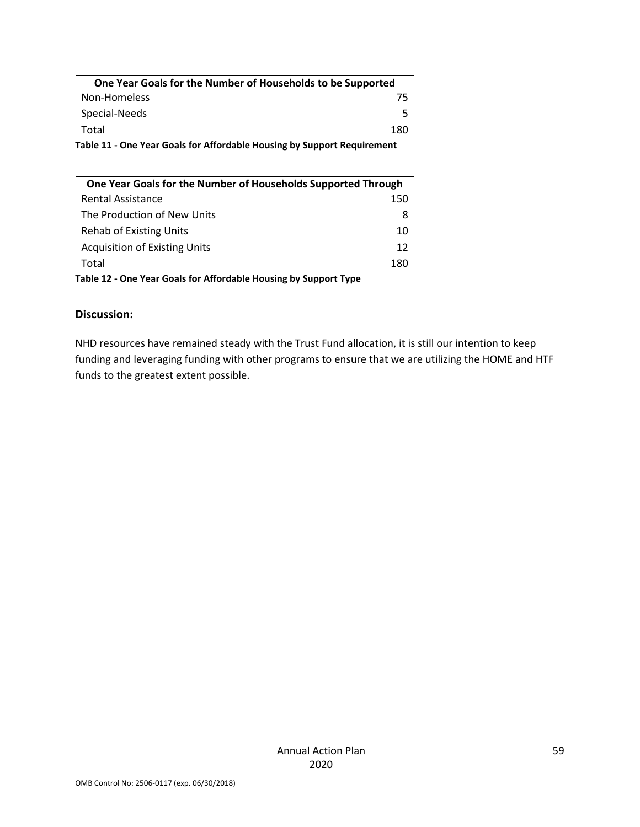| One Year Goals for the Number of Households to be Supported |     |
|-------------------------------------------------------------|-----|
| Non-Homeless                                                |     |
| Special-Needs                                               |     |
| Total                                                       | 180 |
|                                                             |     |

**Table 11 - One Year Goals for Affordable Housing by Support Requirement**

| One Year Goals for the Number of Households Supported Through |     |
|---------------------------------------------------------------|-----|
| <b>Rental Assistance</b>                                      | 150 |
| The Production of New Units                                   |     |
| <b>Rehab of Existing Units</b>                                | 10  |
| <b>Acquisition of Existing Units</b>                          | 12  |
| Total                                                         | 180 |

**Table 12 - One Year Goals for Affordable Housing by Support Type**

### **Discussion:**

NHD resources have remained steady with the Trust Fund allocation, it is still our intention to keep funding and leveraging funding with other programs to ensure that we are utilizing the HOME and HTF funds to the greatest extent possible.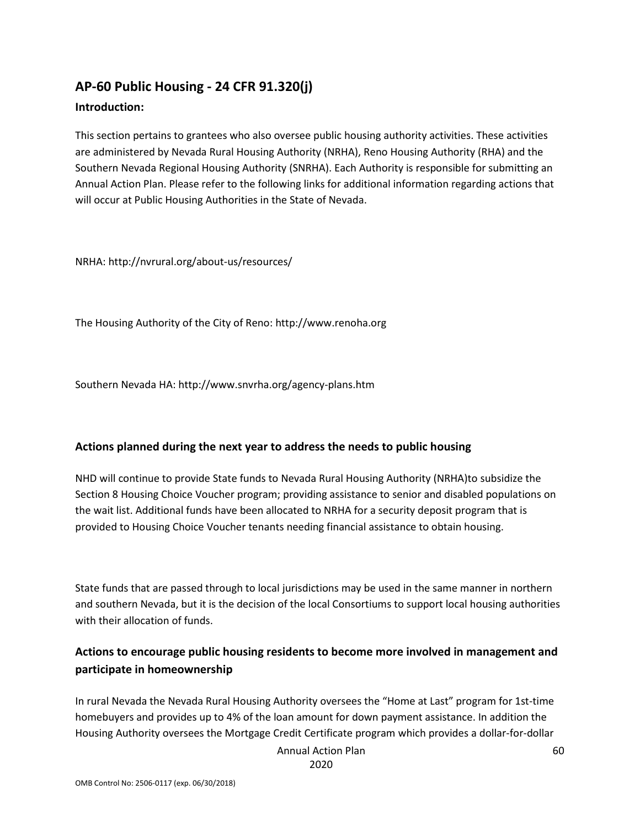# **AP-60 Public Housing - 24 CFR 91.320(j)**

### **Introduction:**

This section pertains to grantees who also oversee public housing authority activities. These activities are administered by Nevada Rural Housing Authority (NRHA), Reno Housing Authority (RHA) and the Southern Nevada Regional Housing Authority (SNRHA). Each Authority is responsible for submitting an Annual Action Plan. Please refer to the following links for additional information regarding actions that will occur at Public Housing Authorities in the State of Nevada.

NRHA: http://nvrural.org/about-us/resources/

The Housing Authority of the City of Reno: http://www.renoha.org

Southern Nevada HA: http://www.snvrha.org/agency-plans.htm

### **Actions planned during the next year to address the needs to public housing**

NHD will continue to provide State funds to Nevada Rural Housing Authority (NRHA)to subsidize the Section 8 Housing Choice Voucher program; providing assistance to senior and disabled populations on the wait list. Additional funds have been allocated to NRHA for a security deposit program that is provided to Housing Choice Voucher tenants needing financial assistance to obtain housing.

State funds that are passed through to local jurisdictions may be used in the same manner in northern and southern Nevada, but it is the decision of the local Consortiums to support local housing authorities with their allocation of funds.

### **Actions to encourage public housing residents to become more involved in management and participate in homeownership**

In rural Nevada the Nevada Rural Housing Authority oversees the "Home at Last" program for 1st-time homebuyers and provides up to 4% of the loan amount for down payment assistance. In addition the Housing Authority oversees the Mortgage Credit Certificate program which provides a dollar-for-dollar

Annual Action Plan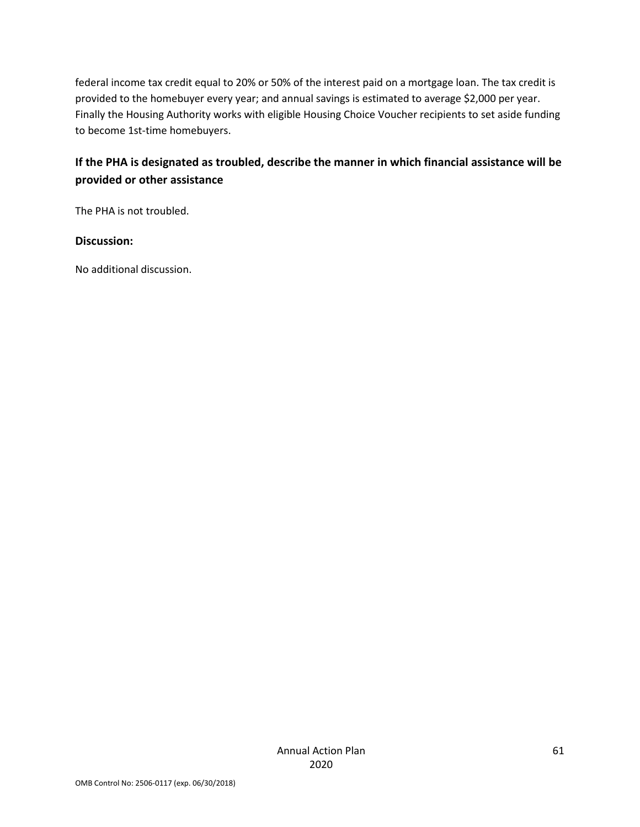federal income tax credit equal to 20% or 50% of the interest paid on a mortgage loan. The tax credit is provided to the homebuyer every year; and annual savings is estimated to average \$2,000 per year. Finally the Housing Authority works with eligible Housing Choice Voucher recipients to set aside funding to become 1st-time homebuyers.

## **If the PHA is designated as troubled, describe the manner in which financial assistance will be provided or other assistance**

The PHA is not troubled.

### **Discussion:**

No additional discussion.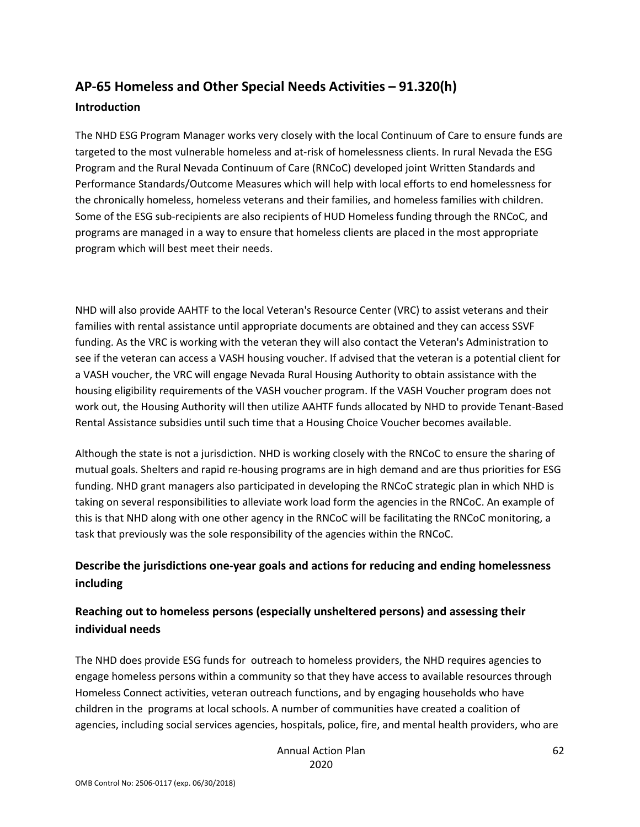# **AP-65 Homeless and Other Special Needs Activities – 91.320(h) Introduction**

The NHD ESG Program Manager works very closely with the local Continuum of Care to ensure funds are targeted to the most vulnerable homeless and at-risk of homelessness clients. In rural Nevada the ESG Program and the Rural Nevada Continuum of Care (RNCoC) developed joint Written Standards and Performance Standards/Outcome Measures which will help with local efforts to end homelessness for the chronically homeless, homeless veterans and their families, and homeless families with children. Some of the ESG sub-recipients are also recipients of HUD Homeless funding through the RNCoC, and programs are managed in a way to ensure that homeless clients are placed in the most appropriate program which will best meet their needs.

NHD will also provide AAHTF to the local Veteran's Resource Center (VRC) to assist veterans and their families with rental assistance until appropriate documents are obtained and they can access SSVF funding. As the VRC is working with the veteran they will also contact the Veteran's Administration to see if the veteran can access a VASH housing voucher. If advised that the veteran is a potential client for a VASH voucher, the VRC will engage Nevada Rural Housing Authority to obtain assistance with the housing eligibility requirements of the VASH voucher program. If the VASH Voucher program does not work out, the Housing Authority will then utilize AAHTF funds allocated by NHD to provide Tenant-Based Rental Assistance subsidies until such time that a Housing Choice Voucher becomes available.

Although the state is not a jurisdiction. NHD is working closely with the RNCoC to ensure the sharing of mutual goals. Shelters and rapid re-housing programs are in high demand and are thus priorities for ESG funding. NHD grant managers also participated in developing the RNCoC strategic plan in which NHD is taking on several responsibilities to alleviate work load form the agencies in the RNCoC. An example of this is that NHD along with one other agency in the RNCoC will be facilitating the RNCoC monitoring, a task that previously was the sole responsibility of the agencies within the RNCoC.

### **Describe the jurisdictions one-year goals and actions for reducing and ending homelessness including**

### **Reaching out to homeless persons (especially unsheltered persons) and assessing their individual needs**

The NHD does provide ESG funds for outreach to homeless providers, the NHD requires agencies to engage homeless persons within a community so that they have access to available resources through Homeless Connect activities, veteran outreach functions, and by engaging households who have children in the programs at local schools. A number of communities have created a coalition of agencies, including social services agencies, hospitals, police, fire, and mental health providers, who are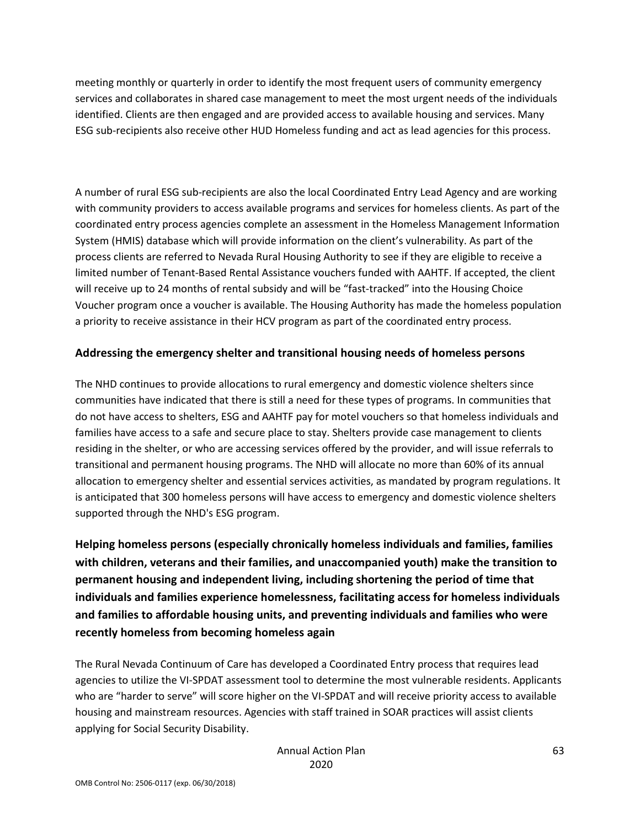meeting monthly or quarterly in order to identify the most frequent users of community emergency services and collaborates in shared case management to meet the most urgent needs of the individuals identified. Clients are then engaged and are provided access to available housing and services. Many ESG sub-recipients also receive other HUD Homeless funding and act as lead agencies for this process.

A number of rural ESG sub-recipients are also the local Coordinated Entry Lead Agency and are working with community providers to access available programs and services for homeless clients. As part of the coordinated entry process agencies complete an assessment in the Homeless Management Information System (HMIS) database which will provide information on the client's vulnerability. As part of the process clients are referred to Nevada Rural Housing Authority to see if they are eligible to receive a limited number of Tenant-Based Rental Assistance vouchers funded with AAHTF. If accepted, the client will receive up to 24 months of rental subsidy and will be "fast-tracked" into the Housing Choice Voucher program once a voucher is available. The Housing Authority has made the homeless population a priority to receive assistance in their HCV program as part of the coordinated entry process.

### **Addressing the emergency shelter and transitional housing needs of homeless persons**

The NHD continues to provide allocations to rural emergency and domestic violence shelters since communities have indicated that there is still a need for these types of programs. In communities that do not have access to shelters, ESG and AAHTF pay for motel vouchers so that homeless individuals and families have access to a safe and secure place to stay. Shelters provide case management to clients residing in the shelter, or who are accessing services offered by the provider, and will issue referrals to transitional and permanent housing programs. The NHD will allocate no more than 60% of its annual allocation to emergency shelter and essential services activities, as mandated by program regulations. It is anticipated that 300 homeless persons will have access to emergency and domestic violence shelters supported through the NHD's ESG program.

**Helping homeless persons (especially chronically homeless individuals and families, families with children, veterans and their families, and unaccompanied youth) make the transition to permanent housing and independent living, including shortening the period of time that individuals and families experience homelessness, facilitating access for homeless individuals and families to affordable housing units, and preventing individuals and families who were recently homeless from becoming homeless again**

The Rural Nevada Continuum of Care has developed a Coordinated Entry process that requires lead agencies to utilize the VI-SPDAT assessment tool to determine the most vulnerable residents. Applicants who are "harder to serve" will score higher on the VI-SPDAT and will receive priority access to available housing and mainstream resources. Agencies with staff trained in SOAR practices will assist clients applying for Social Security Disability.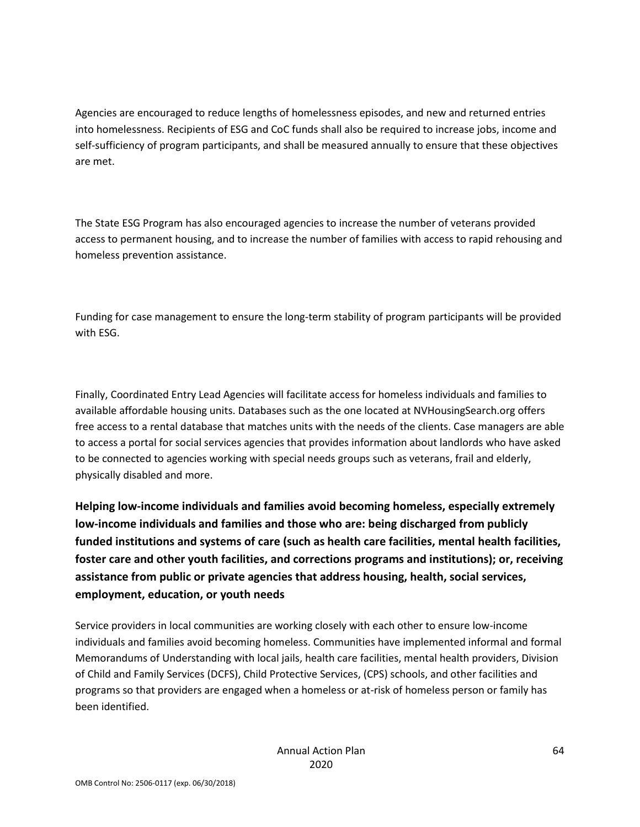Agencies are encouraged to reduce lengths of homelessness episodes, and new and returned entries into homelessness. Recipients of ESG and CoC funds shall also be required to increase jobs, income and self-sufficiency of program participants, and shall be measured annually to ensure that these objectives are met.

The State ESG Program has also encouraged agencies to increase the number of veterans provided access to permanent housing, and to increase the number of families with access to rapid rehousing and homeless prevention assistance.

Funding for case management to ensure the long-term stability of program participants will be provided with ESG.

Finally, Coordinated Entry Lead Agencies will facilitate access for homeless individuals and families to available affordable housing units. Databases such as the one located at NVHousingSearch.org offers free access to a rental database that matches units with the needs of the clients. Case managers are able to access a portal for social services agencies that provides information about landlords who have asked to be connected to agencies working with special needs groups such as veterans, frail and elderly, physically disabled and more.

**Helping low-income individuals and families avoid becoming homeless, especially extremely low-income individuals and families and those who are: being discharged from publicly funded institutions and systems of care (such as health care facilities, mental health facilities, foster care and other youth facilities, and corrections programs and institutions); or, receiving assistance from public or private agencies that address housing, health, social services, employment, education, or youth needs**

Service providers in local communities are working closely with each other to ensure low-income individuals and families avoid becoming homeless. Communities have implemented informal and formal Memorandums of Understanding with local jails, health care facilities, mental health providers, Division of Child and Family Services (DCFS), Child Protective Services, (CPS) schools, and other facilities and programs so that providers are engaged when a homeless or at-risk of homeless person or family has been identified.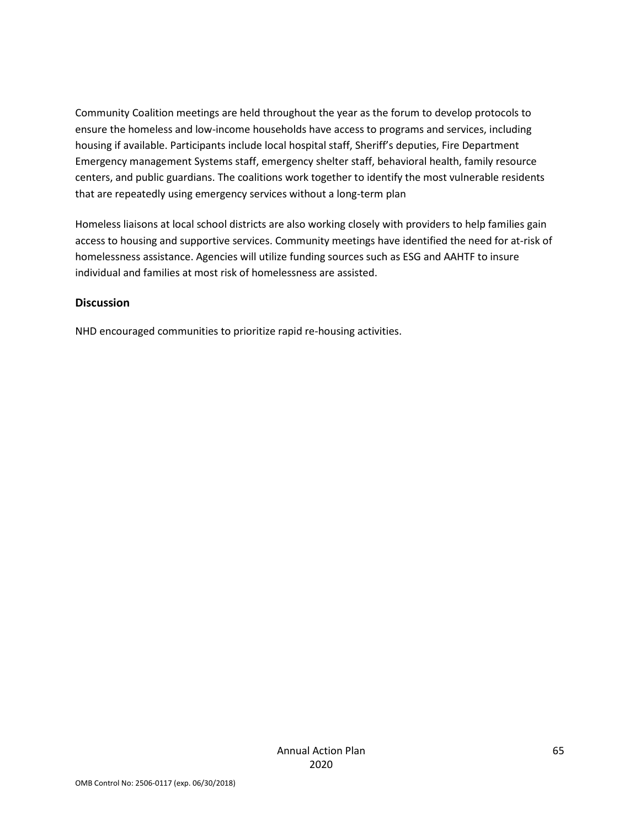Community Coalition meetings are held throughout the year as the forum to develop protocols to ensure the homeless and low-income households have access to programs and services, including housing if available. Participants include local hospital staff, Sheriff's deputies, Fire Department Emergency management Systems staff, emergency shelter staff, behavioral health, family resource centers, and public guardians. The coalitions work together to identify the most vulnerable residents that are repeatedly using emergency services without a long-term plan

Homeless liaisons at local school districts are also working closely with providers to help families gain access to housing and supportive services. Community meetings have identified the need for at-risk of homelessness assistance. Agencies will utilize funding sources such as ESG and AAHTF to insure individual and families at most risk of homelessness are assisted.

### **Discussion**

NHD encouraged communities to prioritize rapid re-housing activities.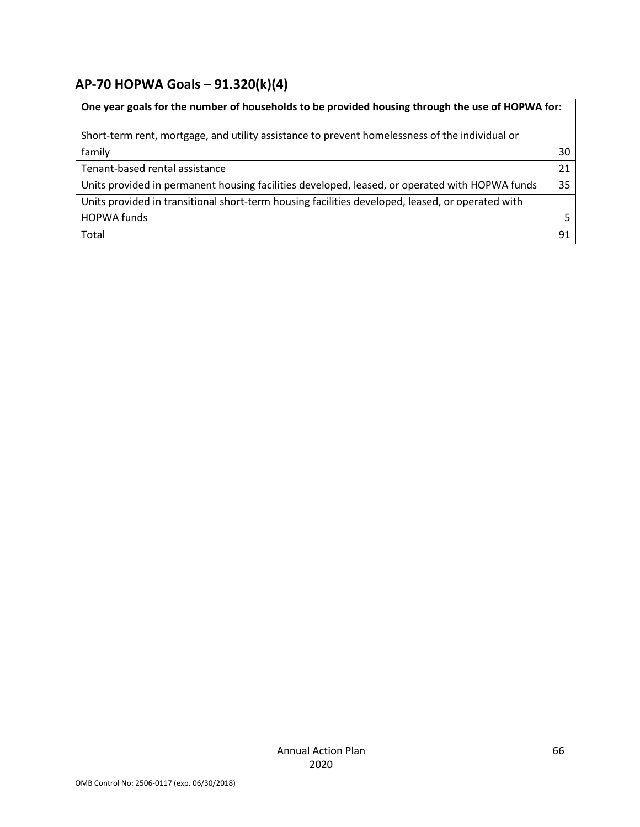# **AP-70 HOPWA Goals – 91.320(k)(4)**

| One year goals for the number of households to be provided housing through the use of HOPWA for: |    |  |
|--------------------------------------------------------------------------------------------------|----|--|
|                                                                                                  |    |  |
| Short-term rent, mortgage, and utility assistance to prevent homelessness of the individual or   |    |  |
| family                                                                                           | 30 |  |
| Tenant-based rental assistance                                                                   | 21 |  |
| Units provided in permanent housing facilities developed, leased, or operated with HOPWA funds   | 35 |  |
| Units provided in transitional short-term housing facilities developed, leased, or operated with |    |  |
| <b>HOPWA funds</b>                                                                               |    |  |
| Total                                                                                            | 91 |  |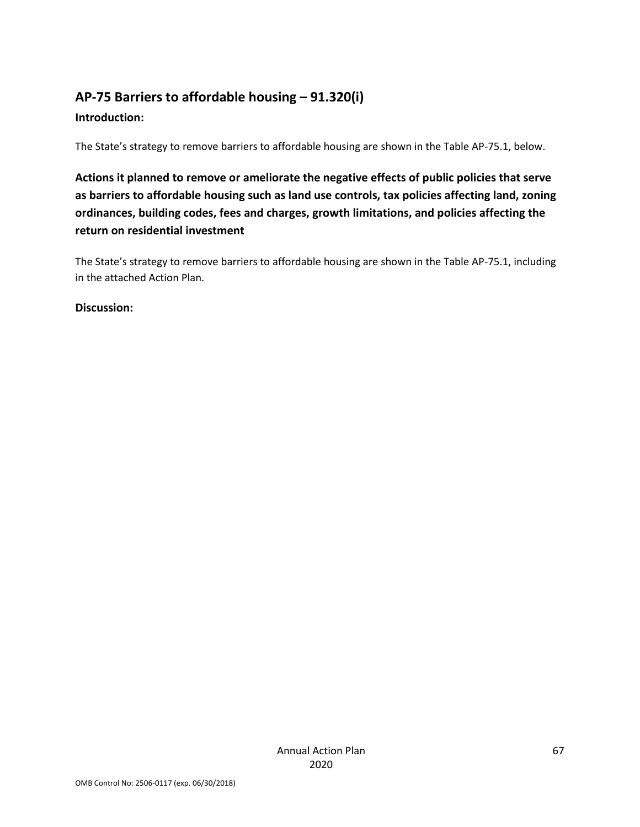# **AP-75 Barriers to affordable housing – 91.320(i) Introduction:**

The State's strategy to remove barriers to affordable housing are shown in the Table AP-75.1, below.

**Actions it planned to remove or ameliorate the negative effects of public policies that serve as barriers to affordable housing such as land use controls, tax policies affecting land, zoning ordinances, building codes, fees and charges, growth limitations, and policies affecting the return on residential investment**

The State's strategy to remove barriers to affordable housing are shown in the Table AP-75.1, including in the attached Action Plan.

### **Discussion:**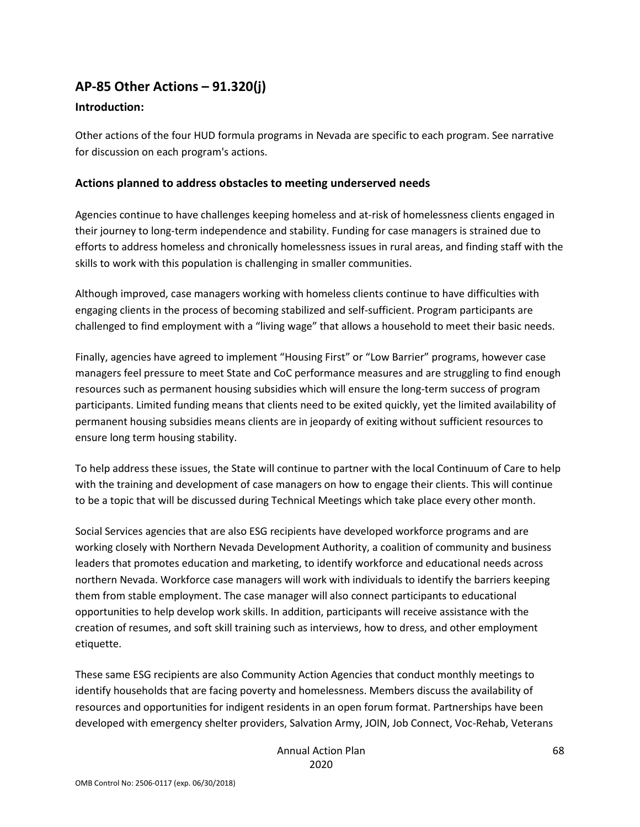## **AP-85 Other Actions – 91.320(j)**

### **Introduction:**

Other actions of the four HUD formula programs in Nevada are specific to each program. See narrative for discussion on each program's actions.

### **Actions planned to address obstacles to meeting underserved needs**

Agencies continue to have challenges keeping homeless and at-risk of homelessness clients engaged in their journey to long-term independence and stability. Funding for case managers is strained due to efforts to address homeless and chronically homelessness issues in rural areas, and finding staff with the skills to work with this population is challenging in smaller communities.

Although improved, case managers working with homeless clients continue to have difficulties with engaging clients in the process of becoming stabilized and self-sufficient. Program participants are challenged to find employment with a "living wage" that allows a household to meet their basic needs.

Finally, agencies have agreed to implement "Housing First" or "Low Barrier" programs, however case managers feel pressure to meet State and CoC performance measures and are struggling to find enough resources such as permanent housing subsidies which will ensure the long-term success of program participants. Limited funding means that clients need to be exited quickly, yet the limited availability of permanent housing subsidies means clients are in jeopardy of exiting without sufficient resources to ensure long term housing stability.

To help address these issues, the State will continue to partner with the local Continuum of Care to help with the training and development of case managers on how to engage their clients. This will continue to be a topic that will be discussed during Technical Meetings which take place every other month.

Social Services agencies that are also ESG recipients have developed workforce programs and are working closely with Northern Nevada Development Authority, a coalition of community and business leaders that promotes education and marketing, to identify workforce and educational needs across northern Nevada. Workforce case managers will work with individuals to identify the barriers keeping them from stable employment. The case manager will also connect participants to educational opportunities to help develop work skills. In addition, participants will receive assistance with the creation of resumes, and soft skill training such as interviews, how to dress, and other employment etiquette.

These same ESG recipients are also Community Action Agencies that conduct monthly meetings to identify households that are facing poverty and homelessness. Members discuss the availability of resources and opportunities for indigent residents in an open forum format. Partnerships have been developed with emergency shelter providers, Salvation Army, JOIN, Job Connect, Voc-Rehab, Veterans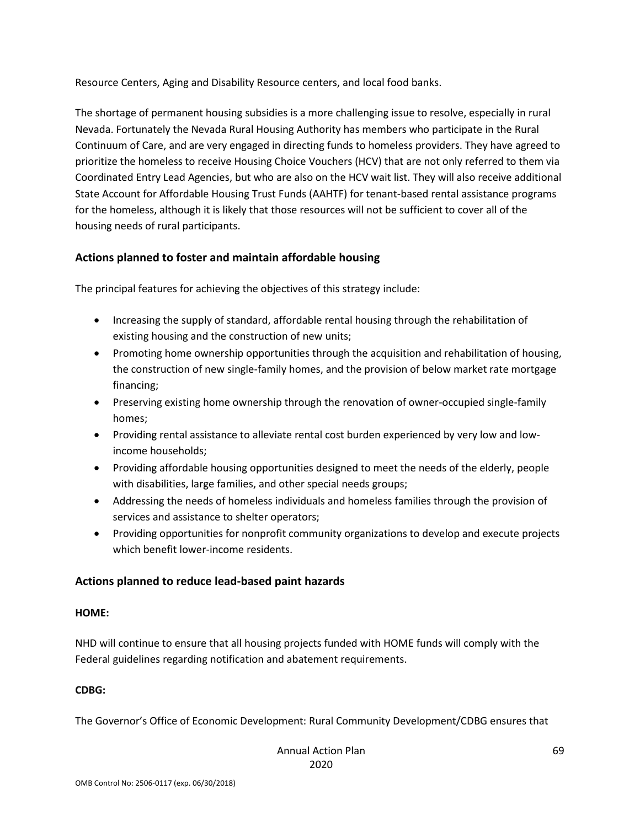Resource Centers, Aging and Disability Resource centers, and local food banks.

The shortage of permanent housing subsidies is a more challenging issue to resolve, especially in rural Nevada. Fortunately the Nevada Rural Housing Authority has members who participate in the Rural Continuum of Care, and are very engaged in directing funds to homeless providers. They have agreed to prioritize the homeless to receive Housing Choice Vouchers (HCV) that are not only referred to them via Coordinated Entry Lead Agencies, but who are also on the HCV wait list. They will also receive additional State Account for Affordable Housing Trust Funds (AAHTF) for tenant-based rental assistance programs for the homeless, although it is likely that those resources will not be sufficient to cover all of the housing needs of rural participants.

### **Actions planned to foster and maintain affordable housing**

The principal features for achieving the objectives of this strategy include:

- Increasing the supply of standard, affordable rental housing through the rehabilitation of existing housing and the construction of new units;
- Promoting home ownership opportunities through the acquisition and rehabilitation of housing, the construction of new single-family homes, and the provision of below market rate mortgage financing;
- Preserving existing home ownership through the renovation of owner-occupied single-family homes;
- Providing rental assistance to alleviate rental cost burden experienced by very low and lowincome households;
- Providing affordable housing opportunities designed to meet the needs of the elderly, people with disabilities, large families, and other special needs groups;
- Addressing the needs of homeless individuals and homeless families through the provision of services and assistance to shelter operators;
- Providing opportunities for nonprofit community organizations to develop and execute projects which benefit lower-income residents.

### **Actions planned to reduce lead-based paint hazards**

#### **HOME:**

NHD will continue to ensure that all housing projects funded with HOME funds will comply with the Federal guidelines regarding notification and abatement requirements.

### **CDBG:**

The Governor's Office of Economic Development: Rural Community Development/CDBG ensures that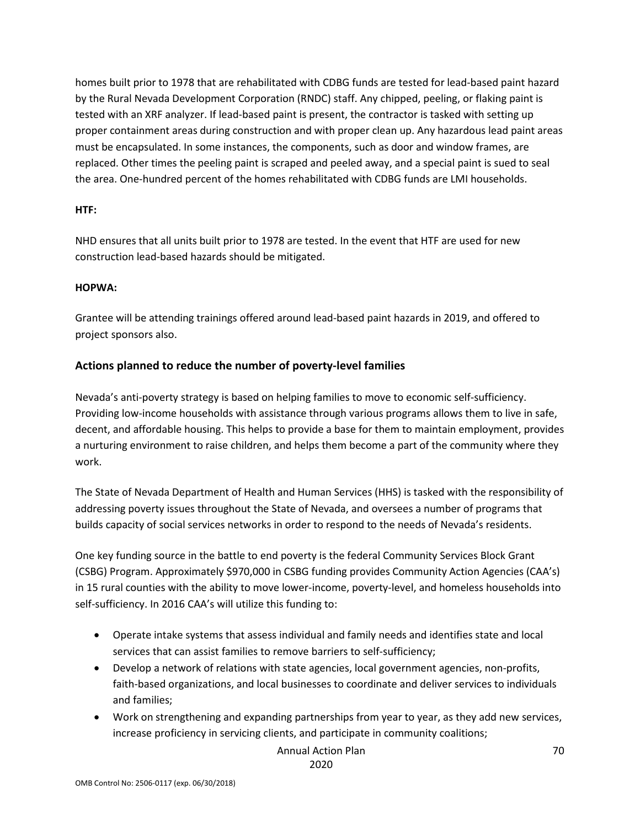homes built prior to 1978 that are rehabilitated with CDBG funds are tested for lead-based paint hazard by the Rural Nevada Development Corporation (RNDC) staff. Any chipped, peeling, or flaking paint is tested with an XRF analyzer. If lead-based paint is present, the contractor is tasked with setting up proper containment areas during construction and with proper clean up. Any hazardous lead paint areas must be encapsulated. In some instances, the components, such as door and window frames, are replaced. Other times the peeling paint is scraped and peeled away, and a special paint is sued to seal the area. One-hundred percent of the homes rehabilitated with CDBG funds are LMI households.

#### **HTF:**

NHD ensures that all units built prior to 1978 are tested. In the event that HTF are used for new construction lead-based hazards should be mitigated.

#### **HOPWA:**

Grantee will be attending trainings offered around lead-based paint hazards in 2019, and offered to project sponsors also.

### **Actions planned to reduce the number of poverty-level families**

Nevada's anti-poverty strategy is based on helping families to move to economic self-sufficiency. Providing low-income households with assistance through various programs allows them to live in safe, decent, and affordable housing. This helps to provide a base for them to maintain employment, provides a nurturing environment to raise children, and helps them become a part of the community where they work.

The State of Nevada Department of Health and Human Services (HHS) is tasked with the responsibility of addressing poverty issues throughout the State of Nevada, and oversees a number of programs that builds capacity of social services networks in order to respond to the needs of Nevada's residents.

One key funding source in the battle to end poverty is the federal Community Services Block Grant (CSBG) Program. Approximately \$970,000 in CSBG funding provides Community Action Agencies (CAA's) in 15 rural counties with the ability to move lower-income, poverty-level, and homeless households into self-sufficiency. In 2016 CAA's will utilize this funding to:

- Operate intake systems that assess individual and family needs and identifies state and local services that can assist families to remove barriers to self-sufficiency;
- Develop a network of relations with state agencies, local government agencies, non-profits, faith-based organizations, and local businesses to coordinate and deliver services to individuals and families;
- Work on strengthening and expanding partnerships from year to year, as they add new services, increase proficiency in servicing clients, and participate in community coalitions;

Annual Action Plan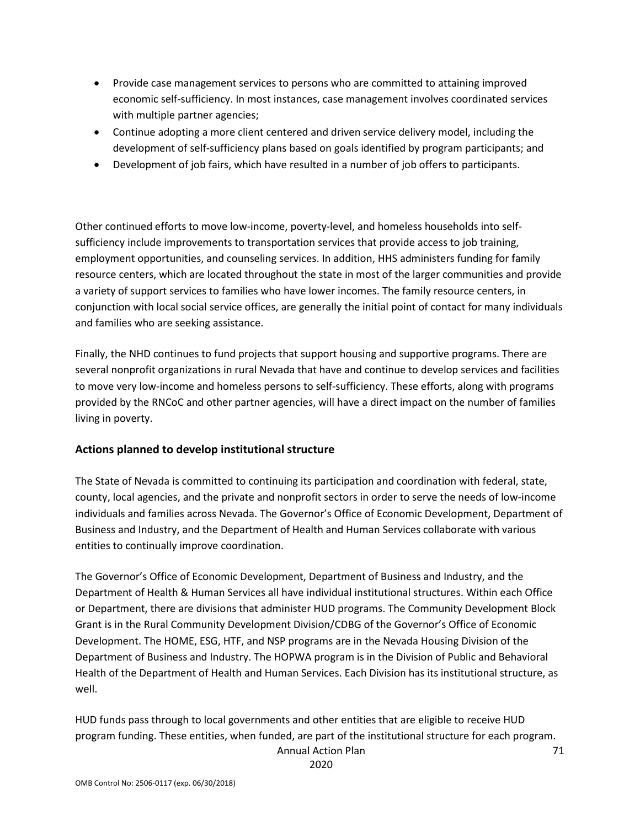- Provide case management services to persons who are committed to attaining improved economic self-sufficiency. In most instances, case management involves coordinated services with multiple partner agencies;
- Continue adopting a more client centered and driven service delivery model, including the development of self-sufficiency plans based on goals identified by program participants; and
- Development of job fairs, which have resulted in a number of job offers to participants.

Other continued efforts to move low-income, poverty-level, and homeless households into selfsufficiency include improvements to transportation services that provide access to job training, employment opportunities, and counseling services. In addition, HHS administers funding for family resource centers, which are located throughout the state in most of the larger communities and provide a variety of support services to families who have lower incomes. The family resource centers, in conjunction with local social service offices, are generally the initial point of contact for many individuals and families who are seeking assistance.

Finally, the NHD continues to fund projects that support housing and supportive programs. There are several nonprofit organizations in rural Nevada that have and continue to develop services and facilities to move very low-income and homeless persons to self-sufficiency. These efforts, along with programs provided by the RNCoC and other partner agencies, will have a direct impact on the number of families living in poverty.

### **Actions planned to develop institutional structure**

The State of Nevada is committed to continuing its participation and coordination with federal, state, county, local agencies, and the private and nonprofit sectors in order to serve the needs of low-income individuals and families across Nevada. The Governor's Office of Economic Development, Department of Business and Industry, and the Department of Health and Human Services collaborate with various entities to continually improve coordination.

The Governor's Office of Economic Development, Department of Business and Industry, and the Department of Health & Human Services all have individual institutional structures. Within each Office or Department, there are divisions that administer HUD programs. The Community Development Block Grant is in the Rural Community Development Division/CDBG of the Governor's Office of Economic Development. The HOME, ESG, HTF, and NSP programs are in the Nevada Housing Division of the Department of Business and Industry. The HOPWA program is in the Division of Public and Behavioral Health of the Department of Health and Human Services. Each Division has its institutional structure, as well.

Annual Action Plan HUD funds pass through to local governments and other entities that are eligible to receive HUD program funding. These entities, when funded, are part of the institutional structure for each program.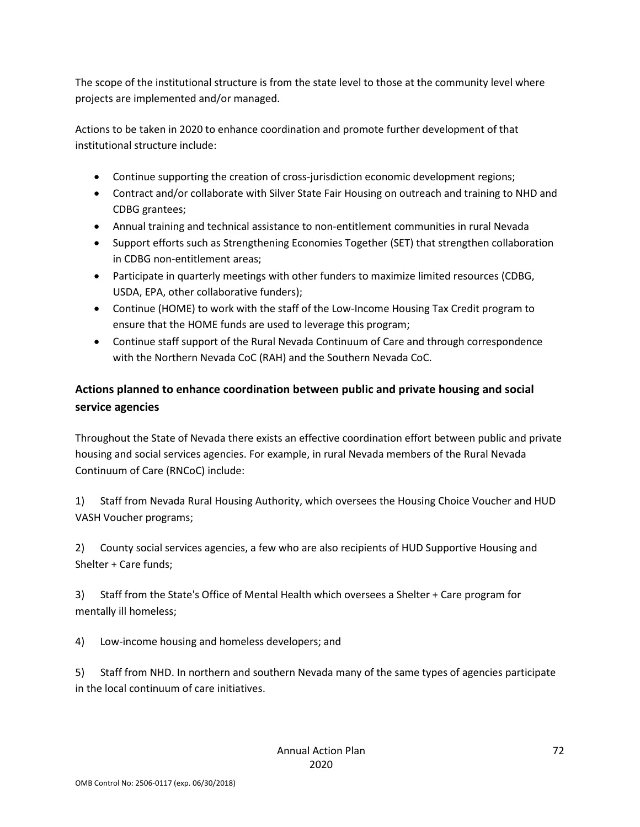The scope of the institutional structure is from the state level to those at the community level where projects are implemented and/or managed.

Actions to be taken in 2020 to enhance coordination and promote further development of that institutional structure include:

- Continue supporting the creation of cross-jurisdiction economic development regions;
- Contract and/or collaborate with Silver State Fair Housing on outreach and training to NHD and CDBG grantees;
- Annual training and technical assistance to non-entitlement communities in rural Nevada
- Support efforts such as Strengthening Economies Together (SET) that strengthen collaboration in CDBG non-entitlement areas;
- Participate in quarterly meetings with other funders to maximize limited resources (CDBG, USDA, EPA, other collaborative funders);
- Continue (HOME) to work with the staff of the Low-Income Housing Tax Credit program to ensure that the HOME funds are used to leverage this program;
- Continue staff support of the Rural Nevada Continuum of Care and through correspondence with the Northern Nevada CoC (RAH) and the Southern Nevada CoC.

## **Actions planned to enhance coordination between public and private housing and social service agencies**

Throughout the State of Nevada there exists an effective coordination effort between public and private housing and social services agencies. For example, in rural Nevada members of the Rural Nevada Continuum of Care (RNCoC) include:

1) Staff from Nevada Rural Housing Authority, which oversees the Housing Choice Voucher and HUD VASH Voucher programs;

2) County social services agencies, a few who are also recipients of HUD Supportive Housing and Shelter + Care funds;

3) Staff from the State's Office of Mental Health which oversees a Shelter + Care program for mentally ill homeless;

4) Low-income housing and homeless developers; and

5) Staff from NHD. In northern and southern Nevada many of the same types of agencies participate in the local continuum of care initiatives.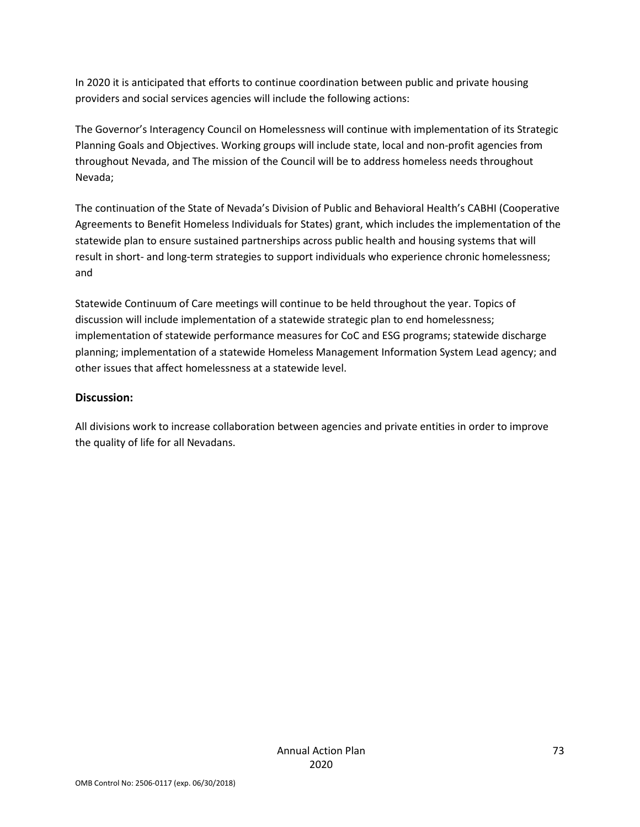In 2020 it is anticipated that efforts to continue coordination between public and private housing providers and social services agencies will include the following actions:

The Governor's Interagency Council on Homelessness will continue with implementation of its Strategic Planning Goals and Objectives. Working groups will include state, local and non-profit agencies from throughout Nevada, and The mission of the Council will be to address homeless needs throughout Nevada;

The continuation of the State of Nevada's Division of Public and Behavioral Health's CABHI (Cooperative Agreements to Benefit Homeless Individuals for States) grant, which includes the implementation of the statewide plan to ensure sustained partnerships across public health and housing systems that will result in short- and long-term strategies to support individuals who experience chronic homelessness; and

Statewide Continuum of Care meetings will continue to be held throughout the year. Topics of discussion will include implementation of a statewide strategic plan to end homelessness; implementation of statewide performance measures for CoC and ESG programs; statewide discharge planning; implementation of a statewide Homeless Management Information System Lead agency; and other issues that affect homelessness at a statewide level.

#### **Discussion:**

All divisions work to increase collaboration between agencies and private entities in order to improve the quality of life for all Nevadans.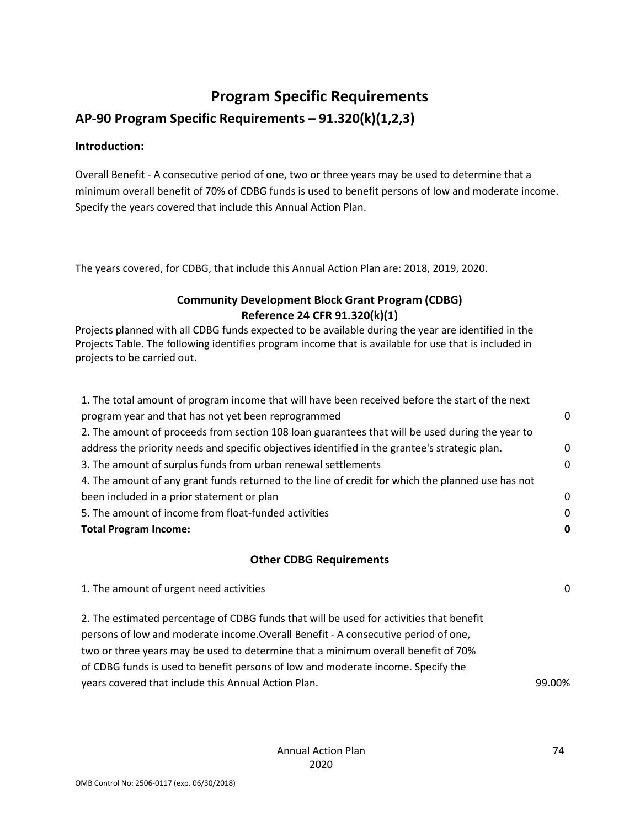# **Program Specific Requirements**

## **AP-90 Program Specific Requirements – 91.320(k)(1,2,3)**

#### **Introduction:**

Overall Benefit - A consecutive period of one, two or three years may be used to determine that a minimum overall benefit of 70% of CDBG funds is used to benefit persons of low and moderate income. Specify the years covered that include this Annual Action Plan.

The years covered, for CDBG, that include this Annual Action Plan are: 2018, 2019, 2020.

### **Community Development Block Grant Program (CDBG) Reference 24 CFR 91.320(k)(1)**

Projects planned with all CDBG funds expected to be available during the year are identified in the Projects Table. The following identifies program income that is available for use that is included in projects to be carried out.

| $\Omega$ |
|----------|
|          |
| $\Omega$ |
| $\Omega$ |
|          |
| $\Omega$ |
| $\Omega$ |
| 0        |
|          |

#### **Other CDBG Requirements**

1. The amount of urgent need activities 0 2. The estimated percentage of CDBG funds that will be used for activities that benefit persons of low and moderate income.Overall Benefit - A consecutive period of one, two or three years may be used to determine that a minimum overall benefit of 70% of CDBG funds is used to benefit persons of low and moderate income. Specify the years covered that include this Annual Action Plan. 99.00%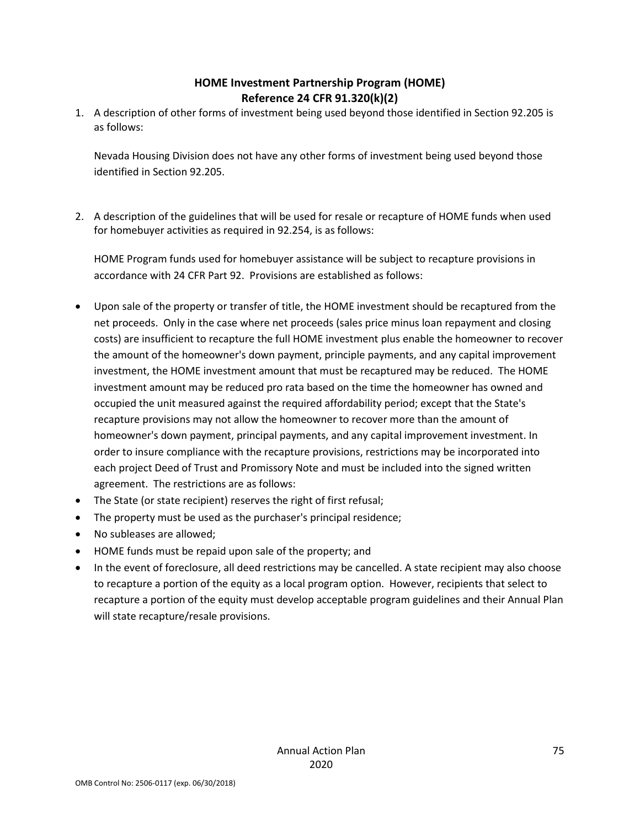### **HOME Investment Partnership Program (HOME) Reference 24 CFR 91.320(k)(2)**

1. A description of other forms of investment being used beyond those identified in Section 92.205 is as follows:

Nevada Housing Division does not have any other forms of investment being used beyond those identified in Section 92.205.

2. A description of the guidelines that will be used for resale or recapture of HOME funds when used for homebuyer activities as required in 92.254, is as follows:

HOME Program funds used for homebuyer assistance will be subject to recapture provisions in accordance with 24 CFR Part 92. Provisions are established as follows:

- Upon sale of the property or transfer of title, the HOME investment should be recaptured from the net proceeds. Only in the case where net proceeds (sales price minus loan repayment and closing costs) are insufficient to recapture the full HOME investment plus enable the homeowner to recover the amount of the homeowner's down payment, principle payments, and any capital improvement investment, the HOME investment amount that must be recaptured may be reduced. The HOME investment amount may be reduced pro rata based on the time the homeowner has owned and occupied the unit measured against the required affordability period; except that the State's recapture provisions may not allow the homeowner to recover more than the amount of homeowner's down payment, principal payments, and any capital improvement investment. In order to insure compliance with the recapture provisions, restrictions may be incorporated into each project Deed of Trust and Promissory Note and must be included into the signed written agreement. The restrictions are as follows:
- The State (or state recipient) reserves the right of first refusal;
- The property must be used as the purchaser's principal residence;
- No subleases are allowed;
- HOME funds must be repaid upon sale of the property; and
- In the event of foreclosure, all deed restrictions may be cancelled. A state recipient may also choose to recapture a portion of the equity as a local program option. However, recipients that select to recapture a portion of the equity must develop acceptable program guidelines and their Annual Plan will state recapture/resale provisions.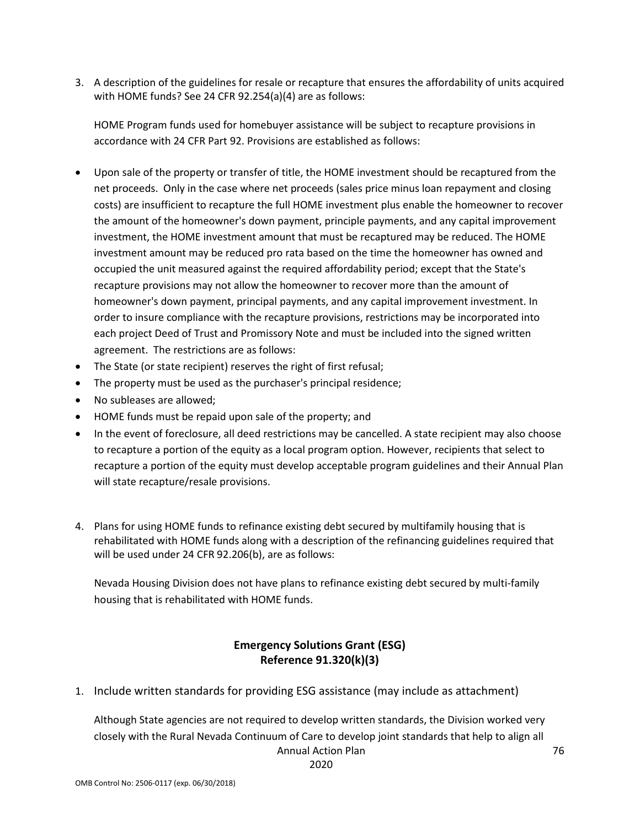3. A description of the guidelines for resale or recapture that ensures the affordability of units acquired with HOME funds? See 24 CFR 92.254(a)(4) are as follows:

HOME Program funds used for homebuyer assistance will be subject to recapture provisions in accordance with 24 CFR Part 92. Provisions are established as follows:

- Upon sale of the property or transfer of title, the HOME investment should be recaptured from the net proceeds. Only in the case where net proceeds (sales price minus loan repayment and closing costs) are insufficient to recapture the full HOME investment plus enable the homeowner to recover the amount of the homeowner's down payment, principle payments, and any capital improvement investment, the HOME investment amount that must be recaptured may be reduced. The HOME investment amount may be reduced pro rata based on the time the homeowner has owned and occupied the unit measured against the required affordability period; except that the State's recapture provisions may not allow the homeowner to recover more than the amount of homeowner's down payment, principal payments, and any capital improvement investment. In order to insure compliance with the recapture provisions, restrictions may be incorporated into each project Deed of Trust and Promissory Note and must be included into the signed written agreement. The restrictions are as follows:
- The State (or state recipient) reserves the right of first refusal;
- The property must be used as the purchaser's principal residence;
- No subleases are allowed;
- HOME funds must be repaid upon sale of the property; and
- In the event of foreclosure, all deed restrictions may be cancelled. A state recipient may also choose to recapture a portion of the equity as a local program option. However, recipients that select to recapture a portion of the equity must develop acceptable program guidelines and their Annual Plan will state recapture/resale provisions.
- 4. Plans for using HOME funds to refinance existing debt secured by multifamily housing that is rehabilitated with HOME funds along with a description of the refinancing guidelines required that will be used under 24 CFR 92.206(b), are as follows:

Nevada Housing Division does not have plans to refinance existing debt secured by multi-family housing that is rehabilitated with HOME funds.

#### **Emergency Solutions Grant (ESG) Reference 91.320(k)(3)**

1. Include written standards for providing ESG assistance (may include as attachment)

Annual Action Plan Although State agencies are not required to develop written standards, the Division worked very closely with the Rural Nevada Continuum of Care to develop joint standards that help to align all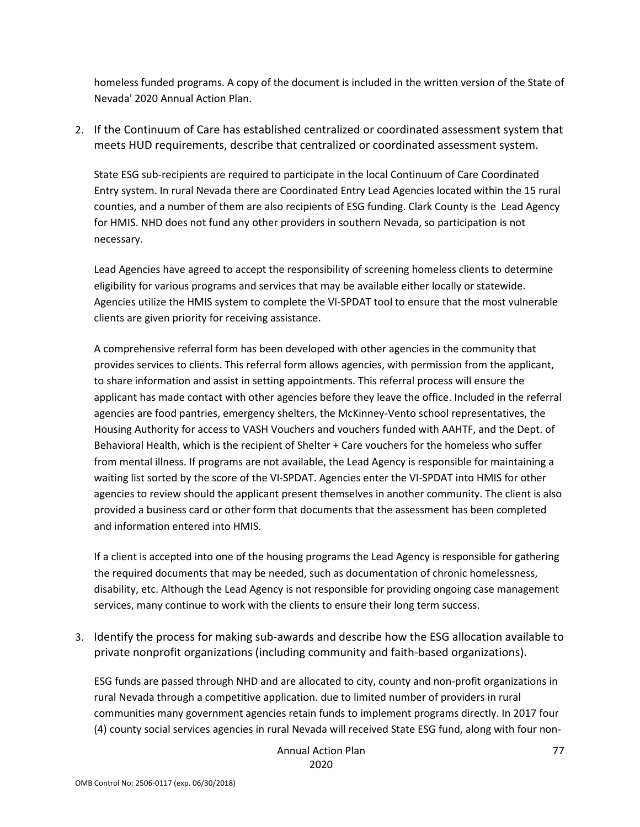homeless funded programs. A copy of the document is included in the written version of the State of Nevada' 2020 Annual Action Plan.

2. If the Continuum of Care has established centralized or coordinated assessment system that meets HUD requirements, describe that centralized or coordinated assessment system.

State ESG sub-recipients are required to participate in the local Continuum of Care Coordinated Entry system. In rural Nevada there are Coordinated Entry Lead Agencies located within the 15 rural counties, and a number of them are also recipients of ESG funding. Clark County is the Lead Agency for HMIS. NHD does not fund any other providers in southern Nevada, so participation is not necessary.

Lead Agencies have agreed to accept the responsibility of screening homeless clients to determine eligibility for various programs and services that may be available either locally or statewide. Agencies utilize the HMIS system to complete the VI-SPDAT tool to ensure that the most vulnerable clients are given priority for receiving assistance.

A comprehensive referral form has been developed with other agencies in the community that provides services to clients. This referral form allows agencies, with permission from the applicant, to share information and assist in setting appointments. This referral process will ensure the applicant has made contact with other agencies before they leave the office. Included in the referral agencies are food pantries, emergency shelters, the McKinney-Vento school representatives, the Housing Authority for access to VASH Vouchers and vouchers funded with AAHTF, and the Dept. of Behavioral Health, which is the recipient of Shelter + Care vouchers for the homeless who suffer from mental illness. If programs are not available, the Lead Agency is responsible for maintaining a waiting list sorted by the score of the VI-SPDAT. Agencies enter the VI-SPDAT into HMIS for other agencies to review should the applicant present themselves in another community. The client is also provided a business card or other form that documents that the assessment has been completed and information entered into HMIS.

If a client is accepted into one of the housing programs the Lead Agency is responsible for gathering the required documents that may be needed, such as documentation of chronic homelessness, disability, etc. Although the Lead Agency is not responsible for providing ongoing case management services, many continue to work with the clients to ensure their long term success.

3. Identify the process for making sub-awards and describe how the ESG allocation available to private nonprofit organizations (including community and faith-based organizations).

ESG funds are passed through NHD and are allocated to city, county and non-profit organizations in rural Nevada through a competitive application. due to limited number of providers in rural communities many government agencies retain funds to implement programs directly. In 2017 four (4) county social services agencies in rural Nevada will received State ESG fund, along with four non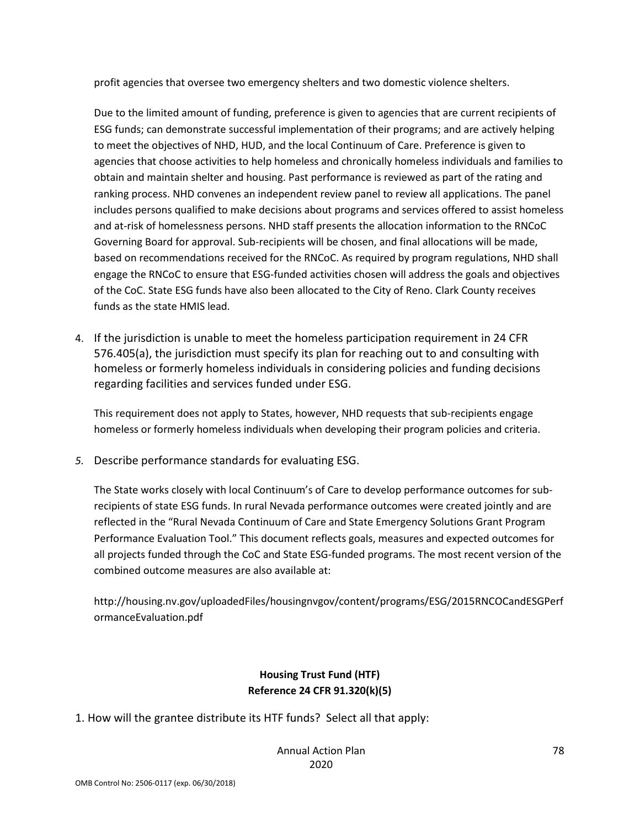profit agencies that oversee two emergency shelters and two domestic violence shelters.

Due to the limited amount of funding, preference is given to agencies that are current recipients of ESG funds; can demonstrate successful implementation of their programs; and are actively helping to meet the objectives of NHD, HUD, and the local Continuum of Care. Preference is given to agencies that choose activities to help homeless and chronically homeless individuals and families to obtain and maintain shelter and housing. Past performance is reviewed as part of the rating and ranking process. NHD convenes an independent review panel to review all applications. The panel includes persons qualified to make decisions about programs and services offered to assist homeless and at-risk of homelessness persons. NHD staff presents the allocation information to the RNCoC Governing Board for approval. Sub-recipients will be chosen, and final allocations will be made, based on recommendations received for the RNCoC. As required by program regulations, NHD shall engage the RNCoC to ensure that ESG-funded activities chosen will address the goals and objectives of the CoC. State ESG funds have also been allocated to the City of Reno. Clark County receives funds as the state HMIS lead.

4. If the jurisdiction is unable to meet the homeless participation requirement in 24 CFR 576.405(a), the jurisdiction must specify its plan for reaching out to and consulting with homeless or formerly homeless individuals in considering policies and funding decisions regarding facilities and services funded under ESG.

This requirement does not apply to States, however, NHD requests that sub-recipients engage homeless or formerly homeless individuals when developing their program policies and criteria.

*5.* Describe performance standards for evaluating ESG.

The State works closely with local Continuum's of Care to develop performance outcomes for subrecipients of state ESG funds. In rural Nevada performance outcomes were created jointly and are reflected in the "Rural Nevada Continuum of Care and State Emergency Solutions Grant Program Performance Evaluation Tool." This document reflects goals, measures and expected outcomes for all projects funded through the CoC and State ESG-funded programs. The most recent version of the combined outcome measures are also available at:

http://housing.nv.gov/uploadedFiles/housingnvgov/content/programs/ESG/2015RNCOCandESGPerf ormanceEvaluation.pdf

### **Housing Trust Fund (HTF) Reference 24 CFR 91.320(k)(5)**

1. How will the grantee distribute its HTF funds? Select all that apply: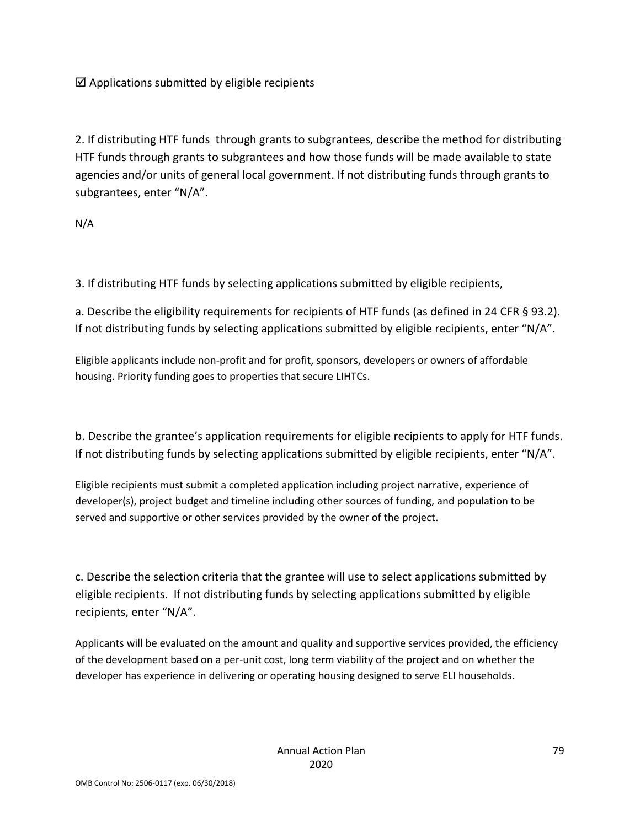### $\boxtimes$  Applications submitted by eligible recipients

2. If distributing HTF funds through grants to subgrantees, describe the method for distributing HTF funds through grants to subgrantees and how those funds will be made available to state agencies and/or units of general local government. If not distributing funds through grants to subgrantees, enter "N/A".

N/A

3. If distributing HTF funds by selecting applications submitted by eligible recipients,

a. Describe the eligibility requirements for recipients of HTF funds (as defined in 24 CFR § 93.2). If not distributing funds by selecting applications submitted by eligible recipients, enter "N/A".

Eligible applicants include non-profit and for profit, sponsors, developers or owners of affordable housing. Priority funding goes to properties that secure LIHTCs.

b. Describe the grantee's application requirements for eligible recipients to apply for HTF funds. If not distributing funds by selecting applications submitted by eligible recipients, enter "N/A".

Eligible recipients must submit a completed application including project narrative, experience of developer(s), project budget and timeline including other sources of funding, and population to be served and supportive or other services provided by the owner of the project.

c. Describe the selection criteria that the grantee will use to select applications submitted by eligible recipients. If not distributing funds by selecting applications submitted by eligible recipients, enter "N/A".

Applicants will be evaluated on the amount and quality and supportive services provided, the efficiency of the development based on a per-unit cost, long term viability of the project and on whether the developer has experience in delivering or operating housing designed to serve ELI households.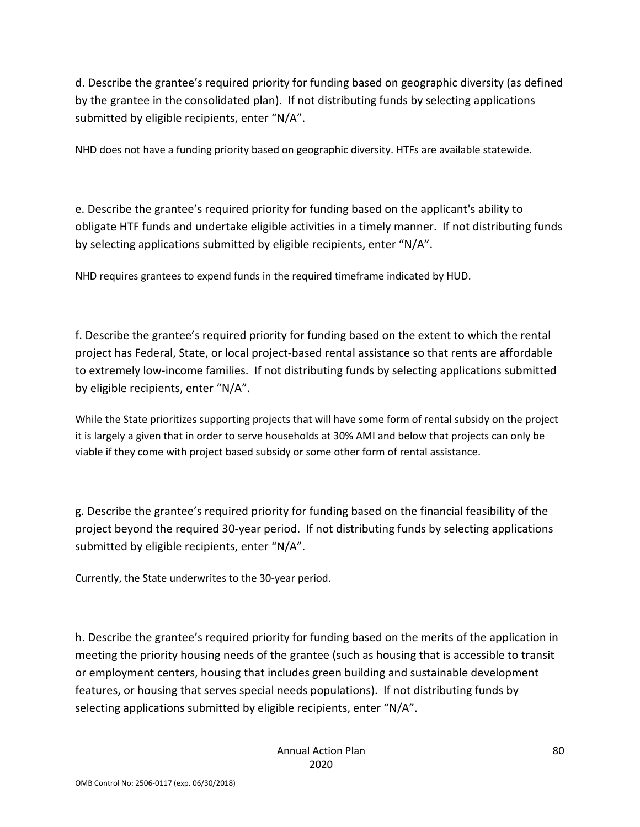d. Describe the grantee's required priority for funding based on geographic diversity (as defined by the grantee in the consolidated plan). If not distributing funds by selecting applications submitted by eligible recipients, enter "N/A".

NHD does not have a funding priority based on geographic diversity. HTFs are available statewide.

e. Describe the grantee's required priority for funding based on the applicant's ability to obligate HTF funds and undertake eligible activities in a timely manner. If not distributing funds by selecting applications submitted by eligible recipients, enter "N/A".

NHD requires grantees to expend funds in the required timeframe indicated by HUD.

f. Describe the grantee's required priority for funding based on the extent to which the rental project has Federal, State, or local project-based rental assistance so that rents are affordable to extremely low-income families. If not distributing funds by selecting applications submitted by eligible recipients, enter "N/A".

While the State prioritizes supporting projects that will have some form of rental subsidy on the project it is largely a given that in order to serve households at 30% AMI and below that projects can only be viable if they come with project based subsidy or some other form of rental assistance.

g. Describe the grantee's required priority for funding based on the financial feasibility of the project beyond the required 30-year period. If not distributing funds by selecting applications submitted by eligible recipients, enter "N/A".

Currently, the State underwrites to the 30-year period.

h. Describe the grantee's required priority for funding based on the merits of the application in meeting the priority housing needs of the grantee (such as housing that is accessible to transit or employment centers, housing that includes green building and sustainable development features, or housing that serves special needs populations). If not distributing funds by selecting applications submitted by eligible recipients, enter "N/A".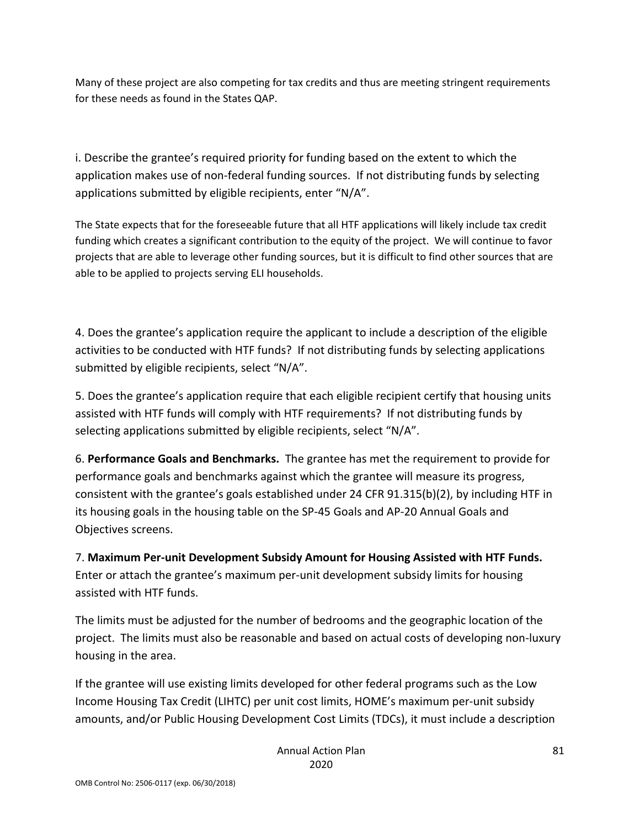Many of these project are also competing for tax credits and thus are meeting stringent requirements for these needs as found in the States QAP.

i. Describe the grantee's required priority for funding based on the extent to which the application makes use of non-federal funding sources. If not distributing funds by selecting applications submitted by eligible recipients, enter "N/A".

The State expects that for the foreseeable future that all HTF applications will likely include tax credit funding which creates a significant contribution to the equity of the project. We will continue to favor projects that are able to leverage other funding sources, but it is difficult to find other sources that are able to be applied to projects serving ELI households.

4. Does the grantee's application require the applicant to include a description of the eligible activities to be conducted with HTF funds? If not distributing funds by selecting applications submitted by eligible recipients, select "N/A".

5. Does the grantee's application require that each eligible recipient certify that housing units assisted with HTF funds will comply with HTF requirements? If not distributing funds by selecting applications submitted by eligible recipients, select "N/A".

6. **Performance Goals and Benchmarks.** The grantee has met the requirement to provide for performance goals and benchmarks against which the grantee will measure its progress, consistent with the grantee's goals established under 24 CFR 91.315(b)(2), by including HTF in its housing goals in the housing table on the SP-45 Goals and AP-20 Annual Goals and Objectives screens.

7. **Maximum Per-unit Development Subsidy Amount for Housing Assisted with HTF Funds.** Enter or attach the grantee's maximum per-unit development subsidy limits for housing assisted with HTF funds.

The limits must be adjusted for the number of bedrooms and the geographic location of the project. The limits must also be reasonable and based on actual costs of developing non-luxury housing in the area.

If the grantee will use existing limits developed for other federal programs such as the Low Income Housing Tax Credit (LIHTC) per unit cost limits, HOME's maximum per-unit subsidy amounts, and/or Public Housing Development Cost Limits (TDCs), it must include a description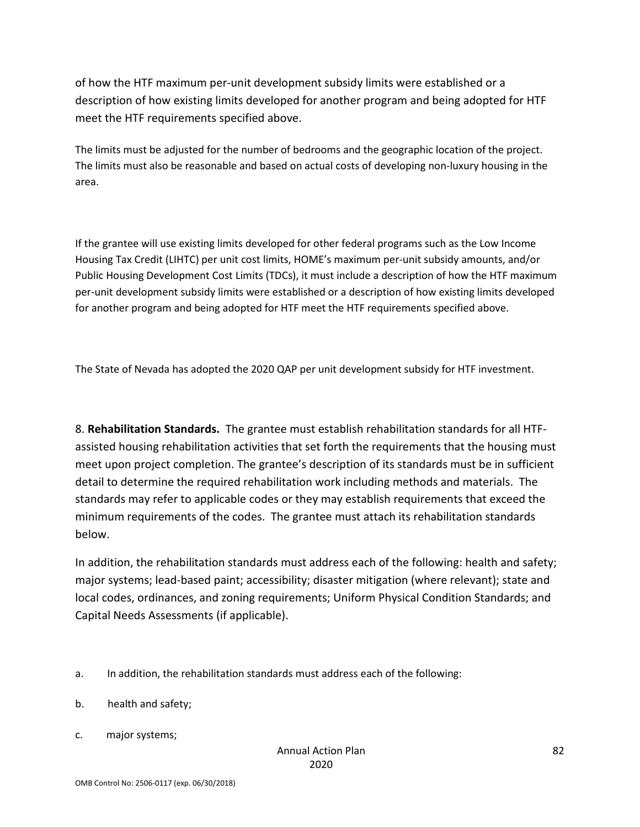of how the HTF maximum per-unit development subsidy limits were established or a description of how existing limits developed for another program and being adopted for HTF meet the HTF requirements specified above.

The limits must be adjusted for the number of bedrooms and the geographic location of the project. The limits must also be reasonable and based on actual costs of developing non-luxury housing in the area.

If the grantee will use existing limits developed for other federal programs such as the Low Income Housing Tax Credit (LIHTC) per unit cost limits, HOME's maximum per-unit subsidy amounts, and/or Public Housing Development Cost Limits (TDCs), it must include a description of how the HTF maximum per-unit development subsidy limits were established or a description of how existing limits developed for another program and being adopted for HTF meet the HTF requirements specified above.

The State of Nevada has adopted the 2020 QAP per unit development subsidy for HTF investment.

8. **Rehabilitation Standards.** The grantee must establish rehabilitation standards for all HTFassisted housing rehabilitation activities that set forth the requirements that the housing must meet upon project completion. The grantee's description of its standards must be in sufficient detail to determine the required rehabilitation work including methods and materials. The standards may refer to applicable codes or they may establish requirements that exceed the minimum requirements of the codes. The grantee must attach its rehabilitation standards below.

In addition, the rehabilitation standards must address each of the following: health and safety; major systems; lead-based paint; accessibility; disaster mitigation (where relevant); state and local codes, ordinances, and zoning requirements; Uniform Physical Condition Standards; and Capital Needs Assessments (if applicable).

- a. In addition, the rehabilitation standards must address each of the following:
- b. health and safety;
- c. major systems;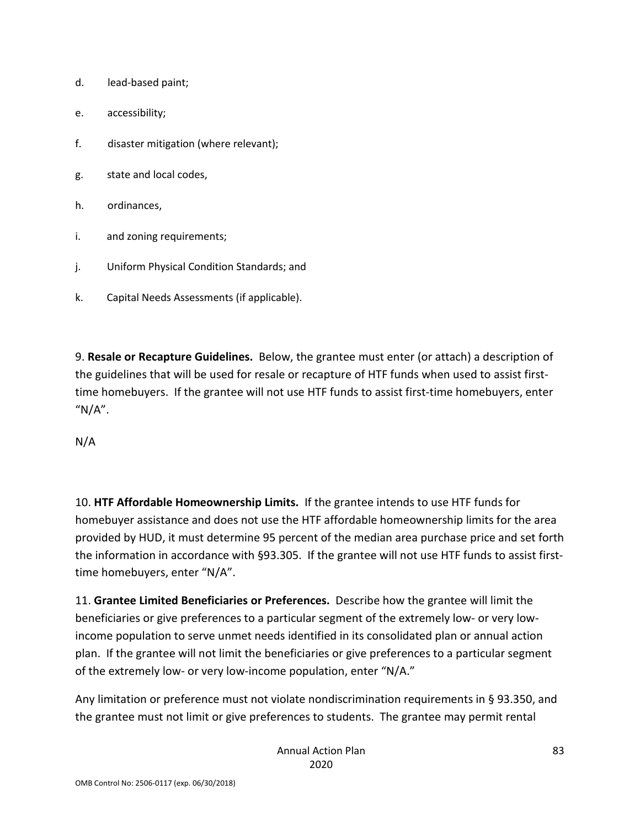- d. lead-based paint;
- e. accessibility;
- f. disaster mitigation (where relevant);
- g. state and local codes,
- h. ordinances,
- i. and zoning requirements;
- j. Uniform Physical Condition Standards; and
- k. Capital Needs Assessments (if applicable).

9. **Resale or Recapture Guidelines.** Below, the grantee must enter (or attach) a description of the guidelines that will be used for resale or recapture of HTF funds when used to assist firsttime homebuyers. If the grantee will not use HTF funds to assist first-time homebuyers, enter " $N/A$ ".

N/A

10. **HTF Affordable Homeownership Limits.** If the grantee intends to use HTF funds for homebuyer assistance and does not use the HTF affordable homeownership limits for the area provided by HUD, it must determine 95 percent of the median area purchase price and set forth the information in accordance with §93.305. If the grantee will not use HTF funds to assist firsttime homebuyers, enter "N/A".

11. **Grantee Limited Beneficiaries or Preferences.** Describe how the grantee will limit the beneficiaries or give preferences to a particular segment of the extremely low- or very lowincome population to serve unmet needs identified in its consolidated plan or annual action plan. If the grantee will not limit the beneficiaries or give preferences to a particular segment of the extremely low- or very low-income population, enter "N/A."

Any limitation or preference must not violate nondiscrimination requirements in § 93.350, and the grantee must not limit or give preferences to students. The grantee may permit rental